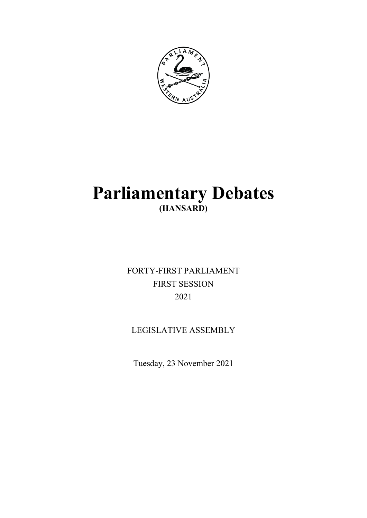

# **Parliamentary Debates (HANSARD)**

FORTY-FIRST PARLIAMENT FIRST SESSION 2021

## LEGISLATIVE ASSEMBLY

Tuesday, 23 November 2021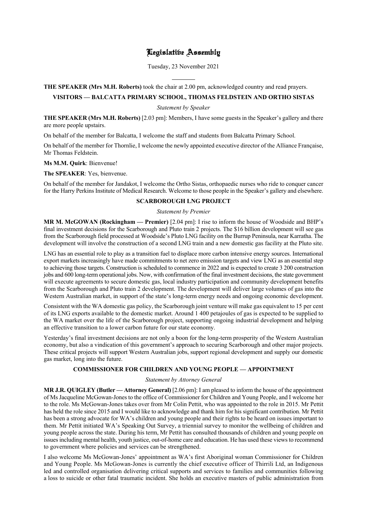### Legislative Assembly

Tuesday, 23 November 2021

#### **THE SPEAKER (Mrs M.H. Roberts)** took the chair at 2.00 pm, acknowledged country and read prayers.

l

#### **VISITORS — BALCATTA PRIMARY SCHOOL, THOMAS FELDSTEIN AND ORTHO SISTAS**

*Statement by Speaker*

**THE SPEAKER (Mrs M.H. Roberts)** [2.03 pm]: Members, I have some guests in the Speaker's gallery and there are more people upstairs.

On behalf of the member for Balcatta, I welcome the staff and students from Balcatta Primary School.

On behalf of the member for Thornlie, I welcome the newly appointed executive director of the Alliance Française, Mr Thomas Feldstein.

**Ms M.M. Quirk**: Bienvenue!

**The SPEAKER**: Yes, bienvenue.

On behalf of the member for Jandakot, I welcome the Ortho Sistas, orthopaedic nurses who ride to conquer cancer for the Harry Perkins Institute of Medical Research. Welcome to those people in the Speaker's gallery and elsewhere.

#### **SCARBOROUGH LNG PROJECT**

#### *Statement by Premier*

**MR M. McGOWAN (Rockingham — Premier)** [2.04 pm]: I rise to inform the house of Woodside and BHP's final investment decisions for the Scarborough and Pluto train 2 projects. The \$16 billion development will see gas from the Scarborough field processed at Woodside's Pluto LNG facility on the Burrup Peninsula, near Karratha. The development will involve the construction of a second LNG train and a new domestic gas facility at the Pluto site.

LNG has an essential role to play as a transition fuel to displace more carbon intensive energy sources. International export markets increasingly have made commitments to net zero emission targets and view LNG as an essential step to achieving those targets. Construction is scheduled to commence in 2022 and is expected to create 3 200 construction jobs and 600 long-term operational jobs. Now, with confirmation of the final investment decisions, the state government will execute agreements to secure domestic gas, local industry participation and community development benefits from the Scarborough and Pluto train 2 development. The development will deliver large volumes of gas into the Western Australian market, in support of the state's long-term energy needs and ongoing economic development.

Consistent with the WA domestic gas policy, the Scarborough joint venture will make gas equivalent to 15 per cent of its LNG exports available to the domestic market. Around 1 400 petajoules of gas is expected to be supplied to the WA market over the life of the Scarborough project, supporting ongoing industrial development and helping an effective transition to a lower carbon future for our state economy.

Yesterday's final investment decisions are not only a boon for the long-term prosperity of the Western Australian economy, but also a vindication of this government's approach to securing Scarborough and other major projects. These critical projects will support Western Australian jobs, support regional development and supply our domestic gas market, long into the future.

#### **COMMISSIONER FOR CHILDREN AND YOUNG PEOPLE — APPOINTMENT**

#### *Statement by Attorney General*

**MR J.R. QUIGLEY (Butler — Attorney General)** [2.06 pm]: I am pleased to inform the house of the appointment of Ms Jacqueline McGowan-Jones to the office of Commissioner for Children and Young People, and I welcome her to the role. Ms McGowan-Jones takes over from Mr Colin Pettit, who was appointed to the role in 2015. Mr Pettit has held the role since 2015 and I would like to acknowledge and thank him for his significant contribution. Mr Pettit has been a strong advocate for WA's children and young people and their rights to be heard on issues important to them. Mr Pettit initiated WA's Speaking Out Survey, a triennial survey to monitor the wellbeing of children and young people across the state. During his term, Mr Pettit has consulted thousands of children and young people on issues including mental health, youth justice, out-of-home care and education. He has used these views to recommend to government where policies and services can be strengthened.

I also welcome Ms McGowan-Jones' appointment as WA's first Aboriginal woman Commissioner for Children and Young People. Ms McGowan-Jones is currently the chief executive officer of Thirrili Ltd, an Indigenous led and controlled organisation delivering critical supports and services to families and communities following a loss to suicide or other fatal traumatic incident. She holds an executive masters of public administration from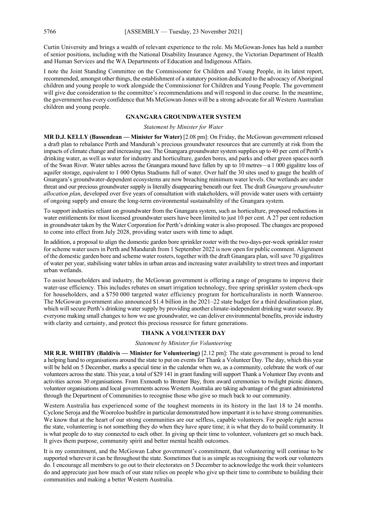Curtin University and brings a wealth of relevant experience to the role. Ms McGowan-Jones has held a number of senior positions, including with the National Disability Insurance Agency, the Victorian Department of Health and Human Services and the WA Departments of Education and Indigenous Affairs.

I note the Joint Standing Committee on the Commissioner for Children and Young People, in its latest report, recommended, amongst other things, the establishment of a statutory position dedicated to the advocacy of Aboriginal children and young people to work alongside the Commissioner for Children and Young People. The government will give due consideration to the committee's recommendations and will respond in due course. In the meantime, the government has every confidence that Ms McGowan-Jones will be a strong advocate for all Western Australian children and young people.

#### **GNANGARA GROUNDWATER SYSTEM**

#### *Statement by Minister for Water*

**MR D.J. KELLY (Bassendean — Minister for Water)** [2.08 pm]: On Friday, the McGowan government released a draft plan to rebalance Perth and Mandurah's precious groundwater resources that are currently at risk from the impacts of climate change and increasing use. The Gnangara groundwater system supplies up to 40 per cent of Perth's drinking water, as well as water for industry and horticulture, garden bores, and parks and other green spaces north of the Swan River. Water tables across the Gnangara mound have fallen by up to 10 metres—a 1 000 gigalitre loss of aquifer storage, equivalent to 1 000 Optus Stadiums full of water. Over half the 30 sites used to gauge the health of Gnangara's groundwater-dependent ecosystems are now breaching minimum water levels. Our wetlands are under threat and our precious groundwater supply is literally disappearing beneath our feet. The draft *Gnangara groundwater allocation plan*, developed over five years of consultation with stakeholders, will provide water users with certainty of ongoing supply and ensure the long-term environmental sustainability of the Gnangara system.

To support industries reliant on groundwater from the Gnangara system, such as horticulture, proposed reductions in water entitlements for most licensed groundwater users have been limited to just 10 per cent. A 27 per cent reduction in groundwater taken by the Water Corporation for Perth's drinking water is also proposed. The changes are proposed to come into effect from July 2028, providing water users with time to adapt.

In addition, a proposal to align the domestic garden bore sprinkler roster with the two-days-per-week sprinkler roster for scheme water users in Perth and Mandurah from 1 September 2022 is now open for public comment. Alignment of the domestic garden bore and scheme water rosters, together with the draft Gnangara plan, will save 70 gigalitres of water per year, stabilising water tables in urban areas and increasing water availability to street trees and important urban wetlands.

To assist householders and industry, the McGowan government is offering a range of programs to improve their water-use efficiency. This includes rebates on smart irrigation technology, free spring sprinkler system check-ups for householders, and a \$750 000 targeted water efficiency program for horticulturalists in north Wanneroo. The McGowan government also announced \$1.4 billion in the 2021–22 state budget for a third desalination plant, which will secure Perth's drinking water supply by providing another climate-independent drinking water source. By everyone making small changes to how we use groundwater, we can deliver environmental benefits, provide industry with clarity and certainty, and protect this precious resource for future generations.

#### **THANK A VOLUNTEER DAY**

#### *Statement by Minister for Volunteering*

**MR R.R. WHITBY (Baldivis — Minister for Volunteering)** [2.12 pm]: The state government is proud to lend a helping hand to organisations around the state to put on events for Thank a Volunteer Day. The day, which this year will be held on 5 December, marks a special time in the calendar when we, as a community, celebrate the work of our volunteers across the state. This year, a total of \$29 141 in grant funding will support Thank a Volunteer Day events and activities across 30 organisations. From Exmouth to Bremer Bay, from award ceremonies to twilight picnic dinners, volunteer organisations and local governments across Western Australia are taking advantage of the grant administered through the Department of Communities to recognise those who give so much back to our community.

Western Australia has experienced some of the toughest moments in its history in the last 18 to 24 months. Cyclone Seroja and the Wooroloo bushfire in particular demonstrated how important it is to have strong communities. We know that at the heart of our strong communities are our selfless, capable volunteers. For people right across the state, volunteering is not something they do when they have spare time; it is what they do to build community. It is what people do to stay connected to each other. In giving up their time to volunteer, volunteers get so much back. It gives them purpose, community spirit and better mental health outcomes.

It is my commitment, and the McGowan Labor government's commitment, that volunteering will continue to be supported wherever it can be throughout the state. Sometimes that is as simple as recognising the work our volunteers do. I encourage all members to go out to their electorates on 5 December to acknowledge the work their volunteers do and appreciate just how much of our state relies on people who give up their time to contribute to building their communities and making a better Western Australia.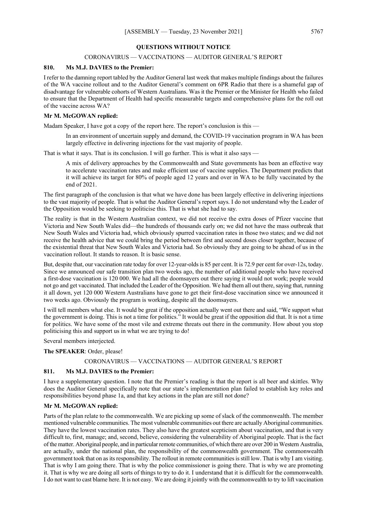#### **QUESTIONS WITHOUT NOTICE**

#### CORONAVIRUS — VACCINATIONS — AUDITOR GENERAL'S REPORT

#### **810. Ms M.J. DAVIES to the Premier:**

I refer to the damning report tabled by the Auditor General last week that makes multiple findings about the failures of the WA vaccine rollout and to the Auditor General's comment on 6PR Radio that there is a shameful gap of disadvantage for vulnerable cohorts of Western Australians. Was it the Premier or the Minister for Health who failed to ensure that the Department of Health had specific measurable targets and comprehensive plans for the roll out of the vaccine across WA?

#### **Mr M. McGOWAN replied:**

Madam Speaker, I have got a copy of the report here. The report's conclusion is this —

In an environment of uncertain supply and demand, the COVID-19 vaccination program in WA has been largely effective in delivering injections for the vast majority of people.

That is what it says. That is its conclusion. I will go further. This is what it also says —

A mix of delivery approaches by the Commonwealth and State governments has been an effective way to accelerate vaccination rates and make efficient use of vaccine supplies. The Department predicts that it will achieve its target for 80% of people aged 12 years and over in WA to be fully vaccinated by the end of 2021.

The first paragraph of the conclusion is that what we have done has been largely effective in delivering injections to the vast majority of people. That is what the Auditor General's report says. I do not understand why the Leader of the Opposition would be seeking to politicise this. That is what she had to say.

The reality is that in the Western Australian context, we did not receive the extra doses of Pfizer vaccine that Victoria and New South Wales did—the hundreds of thousands early on; we did not have the mass outbreak that New South Wales and Victoria had, which obviously spurred vaccination rates in those two states; and we did not receive the health advice that we could bring the period between first and second doses closer together, because of the existential threat that New South Wales and Victoria had. So obviously they are going to be ahead of us in the vaccination rollout. It stands to reason. It is basic sense.

But, despite that, our vaccination rate today for over 12-year-olds is 85 per cent. It is 72.9 per cent for over-12s, today. Since we announced our safe transition plan two weeks ago, the number of additional people who have received a first-dose vaccination is 120 000. We had all the doomsayers out there saying it would not work; people would not go and get vaccinated. That included the Leader of the Opposition. We had them all out there, saying that, running it all down, yet 120 000 Western Australians have gone to get their first-dose vaccination since we announced it two weeks ago. Obviously the program is working, despite all the doomsayers.

I will tell members what else. It would be great if the opposition actually went out there and said, "We support what the government is doing. This is not a time for politics." It would be great if the opposition did that. It is not a time for politics. We have some of the most vile and extreme threats out there in the community. How about you stop politicising this and support us in what we are trying to do!

Several members interjected.

#### **The SPEAKER**: Order, please!

#### CORONAVIRUS — VACCINATIONS — AUDITOR GENERAL'S REPORT

#### **811. Ms M.J. DAVIES to the Premier:**

I have a supplementary question. I note that the Premier's reading is that the report is all beer and skittles. Why does the Auditor General specifically note that our state's implementation plan failed to establish key roles and responsibilities beyond phase 1a, and that key actions in the plan are still not done?

#### **Mr M. McGOWAN replied:**

Parts of the plan relate to the commonwealth. We are picking up some of slack of the commonwealth. The member mentioned vulnerable communities. The most vulnerable communities out there are actually Aboriginal communities. They have the lowest vaccination rates. They also have the greatest scepticism about vaccination, and that is very difficult to, first, manage; and, second, believe, considering the vulnerability of Aboriginal people. That is the fact of the matter. Aboriginal people, and in particular remote communities, of which there are over 200 in Western Australia, are actually, under the national plan, the responsibility of the commonwealth government. The commonwealth government took that on as its responsibility. The rollout in remote communities is still low. That is why I am visiting. That is why I am going there. That is why the police commissioner is going there. That is why we are promoting it. That is why we are doing all sorts of things to try to do it. I understand that it is difficult for the commonwealth. I do not want to cast blame here. It is not easy. We are doing it jointly with the commonwealth to try to lift vaccination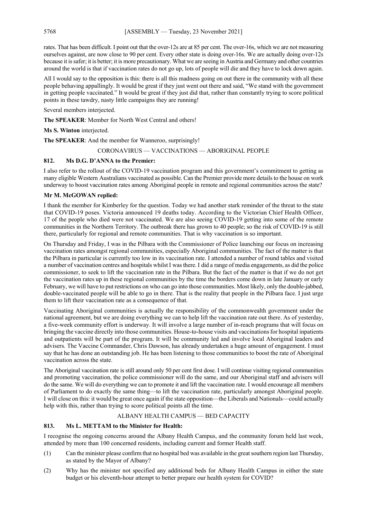rates. That has been difficult. I point out that the over-12s are at 85 per cent. The over-16s, which we are not measuring ourselves against, are now close to 90 per cent. Every other state is doing over-16s. We are actually doing over-12s because it is safer; it is better; it is more precautionary. What we are seeing in Austria and Germany and other countries around the world is that if vaccination rates do not go up, lots of people will die and they have to lock down again.

All I would say to the opposition is this: there is all this madness going on out there in the community with all these people behaving appallingly. It would be great if they just went out there and said, "We stand with the government in getting people vaccinated." It would be great if they just did that, rather than constantly trying to score political points in these tawdry, nasty little campaigns they are running!

Several members interjected.

**The SPEAKER**: Member for North West Central and others!

**Ms S. Winton** interjected.

**The SPEAKER**: And the member for Wanneroo, surprisingly!

CORONAVIRUS — VACCINATIONS — ABORIGINAL PEOPLE

#### **812. Ms D.G. D'ANNA to the Premier:**

I also refer to the rollout of the COVID-19 vaccination program and this government's commitment to getting as many eligible Western Australians vaccinated as possible. Can the Premier provide more details to the house on work underway to boost vaccination rates among Aboriginal people in remote and regional communities across the state?

#### **Mr M. McGOWAN replied:**

I thank the member for Kimberley for the question. Today we had another stark reminder of the threat to the state that COVID-19 poses. Victoria announced 19 deaths today. According to the Victorian Chief Health Officer, 17 of the people who died were not vaccinated. We are also seeing COVID-19 getting into some of the remote communities in the Northern Territory. The outbreak there has grown to 40 people; so the risk of COVID-19 is still there, particularly for regional and remote communities. That is why vaccination is so important.

On Thursday and Friday, I was in the Pilbara with the Commissioner of Police launching our focus on increasing vaccination rates amongst regional communities, especially Aboriginal communities. The fact of the matter is that the Pilbara in particular is currently too low in its vaccination rate. I attended a number of round tables and visited a number of vaccination centres and hospitals whilst I was there. I did a range of media engagements, as did the police commissioner, to seek to lift the vaccination rate in the Pilbara. But the fact of the matter is that if we do not get the vaccination rates up in these regional communities by the time the borders come down in late January or early February, we will have to put restrictions on who can go into those communities. Most likely, only the double-jabbed, double-vaccinated people will be able to go in there. That is the reality that people in the Pilbara face. I just urge them to lift their vaccination rate as a consequence of that.

Vaccinating Aboriginal communities is actually the responsibility of the commonwealth government under the national agreement, but we are doing everything we can to help lift the vaccination rate out there. As of yesterday, a five-week community effort is underway. It will involve a large number of in-reach programs that will focus on bringing the vaccine directly into those communities. House-to-house visits and vaccinations for hospital inpatients and outpatients will be part of the program. It will be community led and involve local Aboriginal leaders and advisers. The Vaccine Commander, Chris Dawson, has already undertaken a huge amount of engagement. I must say that he has done an outstanding job. He has been listening to those communities to boost the rate of Aboriginal vaccination across the state.

The Aboriginal vaccination rate is still around only 50 per cent first dose. I will continue visiting regional communities and promoting vaccination, the police commissioner will do the same, and our Aboriginal staff and advisers will do the same. We will do everything we can to promote it and lift the vaccination rate. I would encourage all members of Parliament to do exactly the same thing—to lift the vaccination rate, particularly amongst Aboriginal people. I will close on this: it would be great once again if the state opposition—the Liberals and Nationals—could actually help with this, rather than trying to score political points all the time.

#### ALBANY HEALTH CAMPUS — BED CAPACITY

#### **813. Ms L. METTAM to the Minister for Health:**

I recognise the ongoing concerns around the Albany Health Campus, and the community forum held last week, attended by more than 100 concerned residents, including current and former Health staff.

- (1) Can the minister please confirm that no hospital bed was available in the great southern region last Thursday, as stated by the Mayor of Albany?
- (2) Why has the minister not specified any additional beds for Albany Health Campus in either the state budget or his eleventh-hour attempt to better prepare our health system for COVID?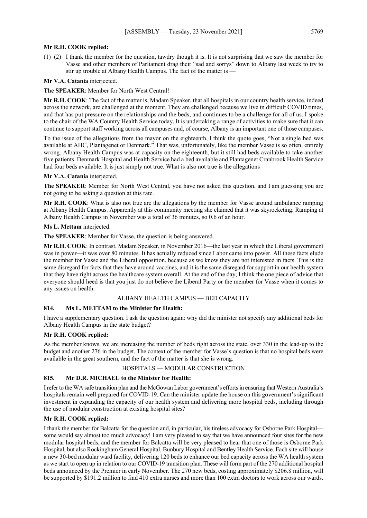#### **Mr R.H. COOK replied:**

 $(1)$ –(2) I thank the member for the question, tawdry though it is. It is not surprising that we saw the member for Vasse and other members of Parliament drag their "sad and sorrys" down to Albany last week to try to stir up trouble at Albany Health Campus. The fact of the matter is —

#### **Mr V.A. Catania** interjected.

#### **The SPEAKER**: Member for North West Central!

**Mr R.H. COOK**: The fact of the matter is, Madam Speaker, that all hospitals in our country health service, indeed across the network, are challenged at the moment. They are challenged because we live in difficult COVID times, and that has put pressure on the relationships and the beds, and continues to be a challenge for all of us. I spoke to the chair of the WA Country Health Service today. It is undertaking a range of activities to make sure that it can continue to support staff working across all campuses and, of course, Albany is an important one of those campuses.

To the issue of the allegations from the mayor on the eighteenth, I think the quote goes, "Not a single bed was available at AHC, Plantagenet or Denmark." That was, unfortunately, like the member Vasse is so often, entirely wrong. Albany Health Campus was at capacity on the eighteenth, but it still had beds available to take another five patients. Denmark Hospital and Health Service had a bed available and Plantagenet Cranbrook Health Service had four beds available. It is just simply not true. What is also not true is the allegations —

#### **Mr V.A. Catania** interjected.

**The SPEAKER**: Member for North West Central, you have not asked this question, and I am guessing you are not going to be asking a question at this rate.

**Mr R.H. COOK**: What is also not true are the allegations by the member for Vasse around ambulance ramping at Albany Health Campus. Apparently at this community meeting she claimed that it was skyrocketing. Ramping at Albany Health Campus in November was a total of 36 minutes, so 0.6 of an hour.

#### **Ms L. Mettam** interjected.

**The SPEAKER**: Member for Vasse, the question is being answered.

**Mr R.H. COOK**: In contrast, Madam Speaker, in November 2016—the last year in which the Liberal government was in power—it was over 80 minutes. It has actually reduced since Labor came into power. All these facts elude the member for Vasse and the Liberal opposition, because as we know they are not interested in facts. This is the same disregard for facts that they have around vaccines, and it is the same disregard for support in our health system that they have right across the healthcare system overall. At the end of the day, I think the one piece of advice that everyone should heed is that you just do not believe the Liberal Party or the member for Vasse when it comes to any issues on health.

#### ALBANY HEALTH CAMPUS — BED CAPACITY

#### **814. Ms L. METTAM to the Minister for Health:**

I have a supplementary question. I ask the question again: why did the minister not specify any additional beds for Albany Health Campus in the state budget?

#### **Mr R.H. COOK replied:**

As the member knows, we are increasing the number of beds right across the state, over 330 in the lead-up to the budget and another 276 in the budget. The context of the member for Vasse's question is that no hospital beds were available in the great southern, and the fact of the matter is that she is wrong.

#### HOSPITALS — MODULAR CONSTRUCTION

#### **815. Mr D.R. MICHAEL to the Minister for Health:**

I refer to the WA safe transition plan and the McGowan Labor government's efforts in ensuring that Western Australia's hospitals remain well prepared for COVID-19. Can the minister update the house on this government's significant investment in expanding the capacity of our health system and delivering more hospital beds, including through the use of modular construction at existing hospital sites?

#### **Mr R.H. COOK replied:**

I thank the member for Balcatta for the question and, in particular, his tireless advocacy for Osborne Park Hospital some would say almost too much advocacy! I am very pleased to say that we have announced four sites for the new modular hospital beds, and the member for Balcatta will be very pleased to hear that one of those is Osborne Park Hospital, but also Rockingham General Hospital, Bunbury Hospital and Bentley Health Service. Each site will house a new 30-bed modular ward facility, delivering 120 beds to enhance our bed capacity across the WA health system as we start to open up in relation to our COVID-19 transition plan. These will form part of the 270 additional hospital beds announced by the Premier in early November. The 270 new beds, costing approximately \$206.8 million, will be supported by \$191.2 million to find 410 extra nurses and more than 100 extra doctors to work across our wards.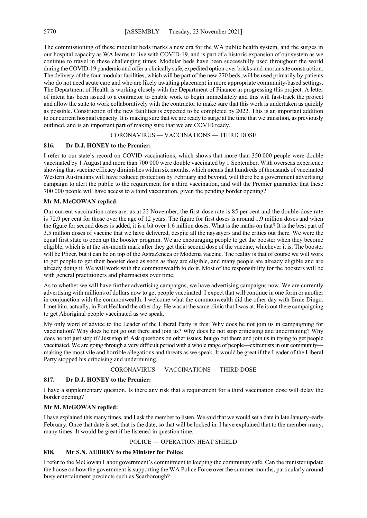The commissioning of these modular beds marks a new era for the WA public health system, and the surges in our hospital capacity as WA learns to live with COVID-19, and is part of a historic expansion of our system as we continue to travel in these challenging times. Modular beds have been successfully used throughout the world during the COVID-19 pandemic and offer a clinically safe, expedited option over bricks-and-mortar site construction. The delivery of the four modular facilities, which will be part of the new 270 beds, will be used primarily by patients who do not need acute care and who are likely awaiting placement in more appropriate community-based settings. The Department of Health is working closely with the Department of Finance in progressing this project. A letter of intent has been issued to a contractor to enable work to begin immediately and this will fast-track the project and allow the state to work collaboratively with the contractor to make sure that this work is undertaken as quickly as possible. Construction of the new facilities is expected to be completed by 2022. This is an important addition to our current hospital capacity. It is making sure that we are ready to surge at the time that we transition, as previously outlined, and is an important part of making sure that we are COVID ready.

#### CORONAVIRUS — VACCINATIONS — THIRD DOSE

#### **816. Dr D.J. HONEY to the Premier:**

I refer to our state's record on COVID vaccinations, which shows that more than 350 000 people were double vaccinated by 1 August and more than 700 000 were double vaccinated by 1 September. With overseas experience showing that vaccine efficacy diminishes within six months, which means that hundreds of thousands of vaccinated Western Australians will have reduced protection by February and beyond, will there be a government advertising campaign to alert the public to the requirement for a third vaccination, and will the Premier guarantee that these 700 000 people will have access to a third vaccination, given the pending border opening?

#### **Mr M. McGOWAN replied:**

Our current vaccination rates are: as at 22 November, the first-dose rate is 85 per cent and the double-dose rate is 72.9 per cent for those over the age of 12 years. The figure for first doses is around 1.9 million doses and when the figure for second doses is added, it is a bit over 1.6 million doses. What is the maths on that? It is the best part of 3.5 million doses of vaccine that we have delivered, despite all the naysayers and the critics out there. We were the equal first state to open up the booster program. We are encouraging people to get the booster when they become eligible, which is at the six-month mark after they get their second dose of the vaccine, whichever it is. The booster will be Pfizer, but it can be on top of the AstraZeneca or Moderna vaccine. The reality is that of course we will work to get people to get their booster dose as soon as they are eligible, and many people are already eligible and are already doing it. We will work with the commonwealth to do it. Most of the responsibility for the boosters will be with general practitioners and pharmacists over time.

As to whether we will have further advertising campaigns, we have advertising campaigns now. We are currently advertising with millions of dollars now to get people vaccinated. I expect that will continue in one form or another in conjunction with the commonwealth. I welcome what the commonwealth did the other day with Ernie Dingo. I met him, actually, in Port Hedland the other day. He was at the same clinic that I was at. He is out there campaigning to get Aboriginal people vaccinated as we speak.

My only word of advice to the Leader of the Liberal Party is this: Why does he not join us in campaigning for vaccination? Why does he not go out there and join us? Why does he not stop criticising and undermining? Why does he not just stop it? Just stop it! Ask questions on other issues, but go out there and join us in trying to get people vaccinated. We are going through a very difficult period with a whole range of people—extremists in our community making the most vile and horrible allegations and threats as we speak. It would be great if the Leader of the Liberal Party stopped his criticising and undermining.

#### CORONAVIRUS — VACCINATIONS — THIRD DOSE

#### **817. Dr D.J. HONEY to the Premier:**

I have a supplementary question. Is there any risk that a requirement for a third vaccination dose will delay the border opening?

#### **Mr M. McGOWAN replied:**

I have explained this many times, and I ask the member to listen. We said that we would set a date in late January–early February. Once that date is set, that is the date, so that will be locked in. I have explained that to the member many, many times. It would be great if he listened in question time.

POLICE — OPERATION HEAT SHIELD

#### **818. Mr S.N. AUBREY to the Minister for Police:**

I refer to the McGowan Labor government's commitment to keeping the community safe. Can the minister update the house on how the government is supporting the WA Police Force over the summer months, particularly around busy entertainment precincts such as Scarborough?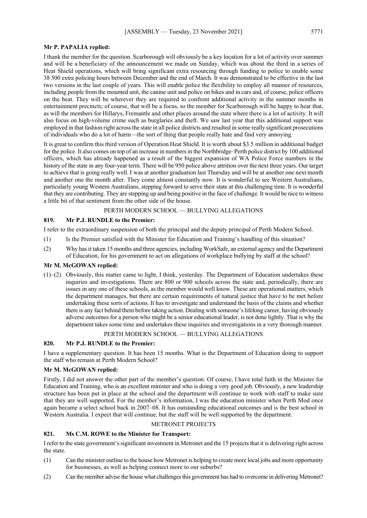#### **Mr P. PAPALIA replied:**

I thank the member for the question. Scarborough will obviously be a key location for a lot of activity over summer and will be a beneficiary of the announcement we made on Sunday, which was about the third in a series of Heat Shield operations, which will bring significant extra resourcing through funding to police to enable some 38 500 extra policing hours between December and the end of March. It was demonstrated to be effective in the last two versions in the last couple of years. This will enable police the flexibility to employ all manner of resources, including people from the mounted unit, the canine unit and police on bikes and in cars and, of course, police officers on the beat. They will be wherever they are required to confront additional activity in the summer months in entertainment precincts; of course, that will be a focus, so the member for Scarborough will be happy to hear that, as will the members for Hillarys, Fremantle and other places around the state where there is a lot of activity. It will also focus on high-volume crime such as burglaries and theft. We saw last year that this additional support was employed in that fashion right across the state in all police districts and resulted in some really significant prosecutions of individuals who do a lot of harm—the sort of thing that people really hate and find very annoying.

It is great to confirm this third version of Operation Heat Shield. It is worth about \$3.5 million in additional budget for the police. It also comes on top of an increase in numbers in the Northbridge–Perth police district by 100 additional officers, which has already happened as a result of the biggest expansion of WA Police Force numbers in the history of the state in any four-year term. There will be 950 police above attrition over the next three years. Our target to achieve that is going really well. I was at another graduation last Thursday and will be at another one next month and another one the month after. They come almost constantly now. It is wonderful to see Western Australians, particularly young Western Australians, stepping forward to serve their state at this challenging time. It is wonderful that they are contributing. They are stepping up and being positive in the face of challenge. It would be nice to witness a little bit of that sentiment from the other side of the house.

#### PERTH MODERN SCHOOL — BULLYING ALLEGATIONS

#### **819. Mr P.J. RUNDLE to the Premier:**

I refer to the extraordinary suspension of both the principal and the deputy principal of Perth Modern School.

- (1) Is the Premier satisfied with the Minister for Education and Training's handling of this situation?
- (2) Why has it taken 15 months and three agencies, including WorkSafe, an external agency and the Department of Education, for his government to act on allegations of workplace bullying by staff at the school?

#### **Mr M. McGOWAN replied:**

(1)–(2) Obviously, this matter came to light, I think, yesterday. The Department of Education undertakes these inquiries and investigations. There are 800 or 900 schools across the state and, periodically, there are issues in any one of these schools, as the member would well know. These are operational matters, which the department manages, but there are certain requirements of natural justice that have to be met before undertaking these sorts of actions. It has to investigate and understand the basis of the claims and whether there is any fact behind them before taking action. Dealing with someone's lifelong career, having obviously adverse outcomes for a person who might be a senior educational leader, is not done lightly. That is why the department takes some time and undertakes these inquiries and investigations in a very thorough manner.

#### PERTH MODERN SCHOOL — BULLYING ALLEGATIONS

#### **820. Mr P.J. RUNDLE to the Premier:**

I have a supplementary question. It has been 15 months. What is the Department of Education doing to support the staff who remain at Perth Modern School?

#### **Mr M. McGOWAN replied:**

Firstly, I did not answer the other part of the member's question. Of course, I have total faith in the Minister for Education and Training, who is an excellent minister and who is doing a very good job. Obviously, a new leadership structure has been put in place at the school and the department will continue to work with staff to make sure that they are well supported. For the member's information, I was the education minister when Perth Mod once again became a select school back in 2007–08. It has outstanding educational outcomes and is the best school in Western Australia. I expect that will continue, but the staff will be well supported by the department.

#### METRONET PROJECTS

#### **821. Ms C.M. ROWE to the Minister for Transport:**

I refer to the state government's significant investment in Metronet and the 15 projects that it is delivering right across the state.

- (1) Can the minister outline to the house how Metronet is helping to create more local jobs and more opportunity for businesses, as well as helping connect more to our suburbs?
- (2) Can the member advise the house what challenges this government has had to overcome in delivering Metronet?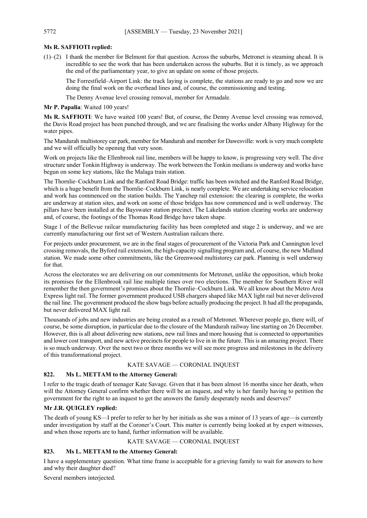#### **Ms R. SAFFIOTI replied:**

(1)–(2) I thank the member for Belmont for that question. Across the suburbs, Metronet is steaming ahead. It is incredible to see the work that has been undertaken across the suburbs. But it is timely, as we approach the end of the parliamentary year, to give an update on some of those projects.

The Forrestfield–Airport Link: the track laying is complete, the stations are ready to go and now we are doing the final work on the overhead lines and, of course, the commissioning and testing.

The Denny Avenue level crossing removal, member for Armadale.

#### **Mr P. Papalia**: Waited 100 years!

**Ms R. SAFFIOTI**: We have waited 100 years! But, of course, the Denny Avenue level crossing was removed, the Davis Road project has been punched through, and we are finalising the works under Albany Highway for the water pipes.

The Mandurah multistorey car park, member for Mandurah and member for Dawesville: work is very much complete and we will officially be opening that very soon.

Work on projects like the Ellenbrook rail line, members will be happy to know, is progressing very well. The dive structure under Tonkin Highway is underway. The work between the Tonkin medians is underway and works have begun on some key stations, like the Malaga train station.

The Thornlie–Cockburn Link and the Ranford Road Bridge: traffic has been switched and the Ranford Road Bridge, which is a huge benefit from the Thornlie–Cockburn Link, is nearly complete. We are undertaking service relocation and work has commenced on the station builds. The Yanchep rail extension: the clearing is complete, the works are underway at station sites, and work on some of those bridges has now commenced and is well underway. The pillars have been installed at the Bayswater station precinct. The Lakelands station clearing works are underway and, of course, the footings of the Thomas Road Bridge have taken shape.

Stage 1 of the Bellevue railcar manufacturing facility has been completed and stage 2 is underway, and we are currently manufacturing our first set of Western Australian railcars there.

For projects under procurement, we are in the final stages of procurement of the Victoria Park and Cannington level crossing removals, the Byford rail extension, the high-capacity signalling program and, of course, the new Midland station. We made some other commitments, like the Greenwood multistorey car park. Planning is well underway for that.

Across the electorates we are delivering on our commitments for Metronet, unlike the opposition, which broke its promises for the Ellenbrook rail line multiple times over two elections. The member for Southern River will remember the then government's promises about the Thornlie–Cockburn Link. We all know about the Metro Area Express light rail. The former government produced USB chargers shaped like MAX light rail but never delivered the rail line. The government produced the show bags before actually producing the project. It had all the propaganda, but never delivered MAX light rail.

Thousands of jobs and new industries are being created as a result of Metronet. Wherever people go, there will, of course, be some disruption, in particular due to the closure of the Mandurah railway line starting on 26 December. However, this is all about delivering new stations, new rail lines and more housing that is connected to opportunities and lower cost transport, and new active precincts for people to live in in the future. This is an amazing project. There is so much underway. Over the next two or three months we will see more progress and milestones in the delivery of this transformational project.

#### KATE SAVAGE — CORONIAL INQUEST

#### **822. Ms L. METTAM to the Attorney General:**

I refer to the tragic death of teenager Kate Savage. Given that it has been almost 16 months since her death, when will the Attorney General confirm whether there will be an inquest, and why is her family having to petition the government for the right to an inquest to get the answers the family desperately needs and deserves?

#### **Mr J.R. QUIGLEY replied:**

The death of young KS—I prefer to refer to her by her initials as she was a minor of 13 years of age—is currently under investigation by staff at the Coroner's Court. This matter is currently being looked at by expert witnesses, and when those reports are to hand, further information will be available.

#### KATE SAVAGE — CORONIAL INQUEST

#### **823. Ms L. METTAM to the Attorney General:**

I have a supplementary question. What time frame is acceptable for a grieving family to wait for answers to how and why their daughter died?

Several members interjected.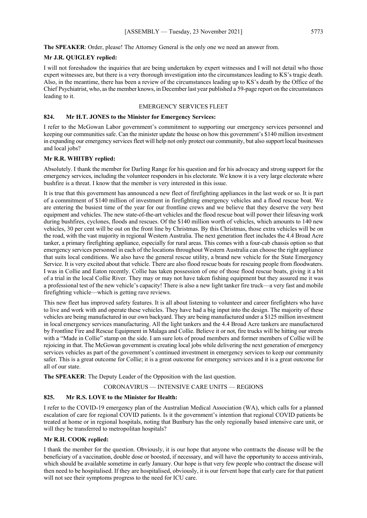#### **Mr J.R. QUIGLEY replied:**

I will not foreshadow the inquiries that are being undertaken by expert witnesses and I will not detail who those expert witnesses are, but there is a very thorough investigation into the circumstances leading to KS's tragic death. Also, in the meantime, there has been a review of the circumstances leading up to KS's death by the Office of the Chief Psychiatrist, who, as the member knows, in December last year published a 59-page report on the circumstances leading to it.

#### EMERGENCY SERVICES FLEET

#### **824. Mr H.T. JONES to the Minister for Emergency Services:**

I refer to the McGowan Labor government's commitment to supporting our emergency services personnel and keeping our communities safe. Can the minister update the house on how this government's \$140 million investment in expanding our emergency services fleet will help not only protect our community, but also support local businesses and local jobs?

#### **Mr R.R. WHITBY replied:**

Absolutely. I thank the member for Darling Range for his question and for his advocacy and strong support for the emergency services, including the volunteer responders in his electorate. We know it is a very large electorate where bushfire is a threat. I know that the member is very interested in this issue.

It is true that this government has announced a new fleet of firefighting appliances in the last week or so. It is part of a commitment of \$140 million of investment in firefighting emergency vehicles and a flood rescue boat. We are entering the busiest time of the year for our frontline crews and we believe that they deserve the very best equipment and vehicles. The new state-of-the-art vehicles and the flood rescue boat will power their lifesaving work during bushfires, cyclones, floods and rescues. Of the \$140 million worth of vehicles, which amounts to 140 new vehicles, 30 per cent will be out on the front line by Christmas. By this Christmas, those extra vehicles will be on the road, with the vast majority in regional Western Australia. The next generation fleet includes the 4.4 Broad Acre tanker, a primary firefighting appliance, especially for rural areas. This comes with a four-cab chassis option so that emergency services personnel in each of the locations throughout Western Australia can choose the right appliance that suits local conditions. We also have the general rescue utility, a brand new vehicle for the State Emergency Service. It is very excited about that vehicle. There are also flood rescue boats for rescuing people from floodwaters. I was in Collie and Eaton recently. Collie has taken possession of one of those flood rescue boats, giving it a bit of a trial in the local Collie River. They may or may not have taken fishing equipment but they assured me it was a professional test of the new vehicle's capacity! There is also a new light tanker fire truck—a very fast and mobile firefighting vehicle—which is getting rave reviews.

This new fleet has improved safety features. It is all about listening to volunteer and career firefighters who have to live and work with and operate these vehicles. They have had a big input into the design. The majority of these vehicles are being manufactured in our own backyard. They are being manufactured under a \$125 million investment in local emergency services manufacturing. All the light tankers and the 4.4 Broad Acre tankers are manufactured by Frontline Fire and Rescue Equipment in Malaga and Collie. Believe it or not, fire trucks will be hitting our streets with a "Made in Collie" stamp on the side. I am sure lots of proud members and former members of Collie will be rejoicing in that. The McGowan government is creating local jobs while delivering the next generation of emergency services vehicles as part of the government's continued investment in emergency services to keep our community safer. This is a great outcome for Collie; it is a great outcome for emergency services and it is a great outcome for all of our state.

**The SPEAKER**: The Deputy Leader of the Opposition with the last question.

CORONAVIRUS — INTENSIVE CARE UNITS — REGIONS

#### **825. Mr R.S. LOVE to the Minister for Health:**

I refer to the COVID-19 emergency plan of the Australian Medical Association (WA), which calls for a planned escalation of care for regional COVID patients. Is it the government's intention that regional COVID patients be treated at home or in regional hospitals, noting that Bunbury has the only regionally based intensive care unit, or will they be transferred to metropolitan hospitals?

#### **Mr R.H. COOK replied:**

I thank the member for the question. Obviously, it is our hope that anyone who contracts the disease will be the beneficiary of a vaccination, double dose or boosted, if necessary, and will have the opportunity to access antivirals, which should be available sometime in early January. Our hope is that very few people who contract the disease will then need to be hospitalised. If they are hospitalised, obviously, it is our fervent hope that early care for that patient will not see their symptoms progress to the need for ICU care.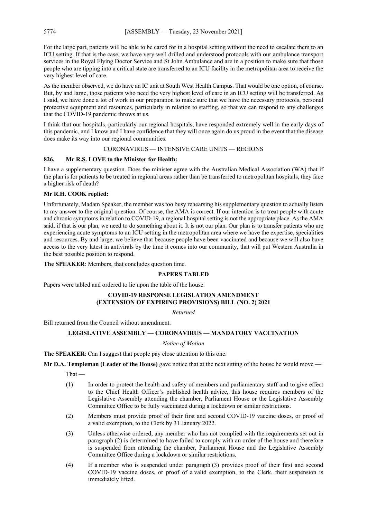For the large part, patients will be able to be cared for in a hospital setting without the need to escalate them to an ICU setting. If that is the case, we have very well drilled and understood protocols with our ambulance transport services in the Royal Flying Doctor Service and St John Ambulance and are in a position to make sure that those people who are tipping into a critical state are transferred to an ICU facility in the metropolitan area to receive the very highest level of care.

As the member observed, we do have an IC unit at South West Health Campus. That would be one option, of course. But, by and large, those patients who need the very highest level of care in an ICU setting will be transferred. As I said, we have done a lot of work in our preparation to make sure that we have the necessary protocols, personal protective equipment and resources, particularly in relation to staffing, so that we can respond to any challenges that the COVID-19 pandemic throws at us.

I think that our hospitals, particularly our regional hospitals, have responded extremely well in the early days of this pandemic, and I know and I have confidence that they will once again do us proud in the event that the disease does make its way into our regional communities.

#### CORONAVIRUS — INTENSIVE CARE UNITS — REGIONS

#### **826. Mr R.S. LOVE to the Minister for Health:**

I have a supplementary question. Does the minister agree with the Australian Medical Association (WA) that if the plan is for patients to be treated in regional areas rather than be transferred to metropolitan hospitals, they face a higher risk of death?

#### **Mr R.H. COOK replied:**

Unfortunately, Madam Speaker, the member was too busy rehearsing his supplementary question to actually listen to my answer to the original question. Of course, the AMA is correct. If our intention is to treat people with acute and chronic symptoms in relation to COVID-19, a regional hospital setting is not the appropriate place. As the AMA said, if that is our plan, we need to do something about it. It is not our plan. Our plan is to transfer patients who are experiencing acute symptoms to an ICU setting in the metropolitan area where we have the expertise, specialities and resources. By and large, we believe that because people have been vaccinated and because we will also have access to the very latest in antivirals by the time it comes into our community, that will put Western Australia in the best possible position to respond.

**The SPEAKER**: Members, that concludes question time.

#### **PAPERS TABLED**

Papers were tabled and ordered to lie upon the table of the house.

#### **COVID-19 RESPONSE LEGISLATION AMENDMENT (EXTENSION OF EXPIRING PROVISIONS) BILL (NO. 2) 2021**

*Returned*

Bill returned from the Council without amendment.

#### **LEGISLATIVE ASSEMBLY — CORONAVIRUS — MANDATORY VACCINATION**

#### *Notice of Motion*

**The SPEAKER**: Can I suggest that people pay close attention to this one.

**Mr D.A. Templeman (Leader of the House)** gave notice that at the next sitting of the house he would move —

That —

- (1) In order to protect the health and safety of members and parliamentary staff and to give effect to the Chief Health Officer's published health advice, this house requires members of the Legislative Assembly attending the chamber, Parliament House or the Legislative Assembly Committee Office to be fully vaccinated during a lockdown or similar restrictions.
- (2) Members must provide proof of their first and second COVID-19 vaccine doses, or proof of a valid exemption, to the Clerk by 31 January 2022.
- (3) Unless otherwise ordered, any member who has not complied with the requirements set out in paragraph (2) is determined to have failed to comply with an order of the house and therefore is suspended from attending the chamber, Parliament House and the Legislative Assembly Committee Office during a lockdown or similar restrictions.
- (4) If a member who is suspended under paragraph (3) provides proof of their first and second COVID-19 vaccine doses, or proof of a valid exemption, to the Clerk, their suspension is immediately lifted.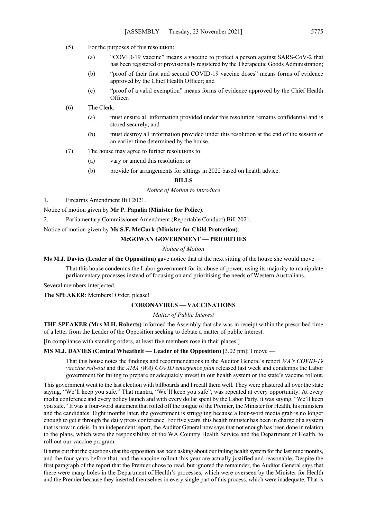- (5) For the purposes of this resolution:
	- (a) "COVID-19 vaccine" means a vaccine to protect a person against SARS-CoV-2 that has been registered or provisionally registered by the Therapeutic Goods Administration;
	- (b) "proof of their first and second COVID-19 vaccine doses" means forms of evidence approved by the Chief Health Officer; and
	- (c) "proof of a valid exemption" means forms of evidence approved by the Chief Health Officer.
- (6) The Clerk:
	- (a) must ensure all information provided under this resolution remains confidential and is stored securely; and
	- (b) must destroy all information provided under this resolution at the end of the session or an earlier time determined by the house.
- (7) The house may agree to further resolutions to:
	- (a) vary or amend this resolution; or
	- (b) provide for arrangements for sittings in 2022 based on health advice.

#### **BILLS**

#### *Notice of Motion to Introduce*

1. Firearms Amendment Bill 2021.

Notice of motion given by **Mr P. Papalia (Minister for Police)**.

2. Parliamentary Commissioner Amendment (Reportable Conduct) Bill 2021.

Notice of motion given by **Ms S.F. McGurk (Minister for Child Protection)**.

#### **McGOWAN GOVERNMENT — PRIORITIES**

*Notice of Motion*

**Ms M.J. Davies (Leader of the Opposition)** gave notice that at the next sitting of the house she would move —

That this house condemns the Labor government for its abuse of power, using its majority to manipulate parliamentary processes instead of focusing on and prioritising the needs of Western Australians.

Several members interjected.

**The SPEAKER**: Members! Order, please!

#### **CORONAVIRUS — VACCINATIONS**

*Matter of Public Interest*

**THE SPEAKER (Mrs M.H. Roberts)** informed the Assembly that she was in receipt within the prescribed time of a letter from the Leader of the Opposition seeking to debate a matter of public interest.

[In compliance with standing orders, at least five members rose in their places.]

**MS M.J. DAVIES (Central Wheatbelt — Leader of the Opposition)** [3.02 pm]: I move —

That this house notes the findings and recommendations in the Auditor General's report *WA's COVID-19 vaccine roll-out* and the *AMA (WA) COVID emergence plan* released last week and condemns the Labor government for failing to prepare or adequately invest in our health system or the state's vaccine rollout.

This government went to the last election with billboards and I recall them well. They were plastered all over the state saying, "We'll keep you safe." That mantra, "We'll keep you safe", was repeated at every opportunity. At every media conference and every policy launch and with every dollar spent by the Labor Party, it was saying, "We'll keep you safe." It was a four-word statement that rolled off the tongue of the Premier, the Minister for Health, his ministers and the candidates. Eight months later, the government is struggling because a four-word media grab is no longer enough to get it through the daily press conference. For five years, this health minister has been in charge of a system that is now in crisis. In an independent report, the Auditor General now says that not enough has been done in relation to the plans, which were the responsibility of the WA Country Health Service and the Department of Health, to roll out our vaccine program.

It turns out that the questions that the opposition has been asking about our failing health system for the last nine months, and the four years before that, and the vaccine rollout this year are actually justified and reasonable. Despite the first paragraph of the report that the Premier chose to read, but ignored the remainder, the Auditor General says that there were many holes in the Department of Health's processes, which were overseen by the Minister for Health and the Premier because they inserted themselves in every single part of this process, which were inadequate. That is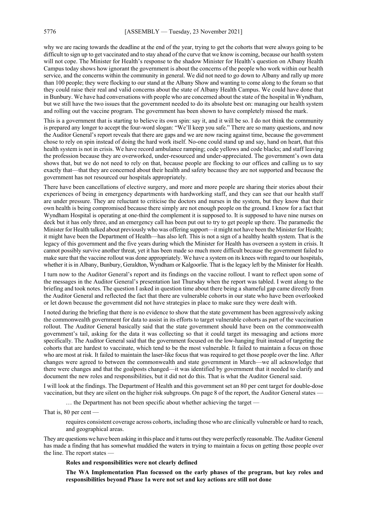why we are racing towards the deadline at the end of the year, trying to get the cohorts that were always going to be difficult to sign up to get vaccinated and to stay ahead of the curve that we know is coming, because our health system will not cope. The Minister for Health's response to the shadow Minister for Health's question on Albany Health Campus today shows how ignorant the government is about the concerns of the people who work within our health service, and the concerns within the community in general. We did not need to go down to Albany and rally up more than 100 people; they were flocking to our stand at the Albany Show and wanting to come along to the forum so that they could raise their real and valid concerns about the state of Albany Health Campus. We could have done that in Bunbury. We have had conversations with people who are concerned about the state of the hospital in Wyndham, but we still have the two issues that the government needed to do its absolute best on: managing our health system and rolling out the vaccine program. The government has been shown to have completely missed the mark.

This is a government that is starting to believe its own spin: say it, and it will be so. I do not think the community is prepared any longer to accept the four-word slogan: "We'll keep you safe." There are so many questions, and now the Auditor General's report reveals that there are gaps and we are now racing against time, because the government chose to rely on spin instead of doing the hard work itself. No-one could stand up and say, hand on heart, that this health system is not in crisis. We have record ambulance ramping; code yellows and code blacks; and staff leaving the profession because they are overworked, under-resourced and under-appreciated. The government's own data shows that, but we do not need to rely on that, because people are flocking to our offices and calling us to say exactly that—that they are concerned about their health and safety because they are not supported and because the government has not resourced our hospitals appropriately.

There have been cancellations of elective surgery, and more and more people are sharing their stories about their experiences of being in emergency departments with hardworking staff, and they can see that our health staff are under pressure. They are reluctant to criticise the doctors and nurses in the system, but they know that their own health is being compromised because there simply are not enough people on the ground. I know for a fact that Wyndham Hospital is operating at one-third the complement it is supposed to. It is supposed to have nine nurses on deck but it has only three, and an emergency call has been put out to try to get people up there. The paramedic the Minister for Health talked about previously who was offering support—it might not have been the Minister for Health; it might have been the Department of Health—has also left. This is not a sign of a healthy health system. That is the legacy of this government and the five years during which the Minister for Health has overseen a system in crisis. It cannot possibly survive another threat, yet it has been made so much more difficult because the government failed to make sure that the vaccine rollout was done appropriately. We have a system on its knees with regard to our hospitals, whether it is in Albany, Bunbury, Geraldton, Wyndham or Kalgoorlie. That is the legacy left by the Minister for Health.

I turn now to the Auditor General's report and its findings on the vaccine rollout. I want to reflect upon some of the messages in the Auditor General's presentation last Thursday when the report was tabled. I went along to the briefing and took notes. The question I asked in question time about there being a shameful gap came directly from the Auditor General and reflected the fact that there are vulnerable cohorts in our state who have been overlooked or let down because the government did not have strategies in place to make sure they were dealt with.

I noted during the briefing that there is no evidence to show that the state government has been aggressively asking the commonwealth government for data to assist in its efforts to target vulnerable cohorts as part of the vaccination rollout. The Auditor General basically said that the state government should have been on the commonwealth government's tail, asking for the data it was collecting so that it could target its messaging and actions more specifically. The Auditor General said that the government focused on the low-hanging fruit instead of targeting the cohorts that are hardest to vaccinate, which tend to be the most vulnerable. It failed to maintain a focus on those who are most at risk. It failed to maintain the laser-like focus that was required to get those people over the line. After changes were agreed to between the commonwealth and state government in March—we all acknowledge that there were changes and that the goalposts changed—it was identified by government that it needed to clarify and document the new roles and responsibilities, but it did not do this. That is what the Auditor General said.

I will look at the findings. The Department of Health and this government set an 80 per cent target for double-dose vaccination, but they are silent on the higher risk subgroups. On page 8 of the report, the Auditor General states -

… the Department has not been specific about whether achieving the target —

That is, 80 per cent —

requires consistent coverage across cohorts, including those who are clinically vulnerable or hard to reach, and geographical areas.

They are questions we have been asking in this place and it turns out they were perfectly reasonable. The Auditor General has made a finding that has somewhat muddied the waters in trying to maintain a focus on getting those people over the line. The report states —

**Roles and responsibilities were not clearly defined**

**The WA Implementation Plan focussed on the early phases of the program, but key roles and responsibilities beyond Phase 1a were not set and key actions are still not done**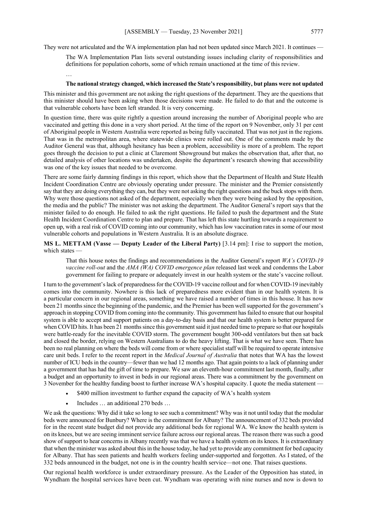They were not articulated and the WA implementation plan had not been updated since March 2021. It continues —

The WA Implementation Plan lists several outstanding issues including clarity of responsibilities and definitions for population cohorts, some of which remain unactioned at the time of this review.

### …

#### **The national strategy changed, which increased the State's responsibility, but plans were not updated**

This minister and this government are not asking the right questions of the department. They are the questions that this minister should have been asking when those decisions were made. He failed to do that and the outcome is that vulnerable cohorts have been left stranded. It is very concerning.

In question time, there was quite rightly a question around increasing the number of Aboriginal people who are vaccinated and getting this done in a very short period. At the time of the report on 9 November, only 31 per cent of Aboriginal people in Western Australia were reported as being fully vaccinated. That was not just in the regions. That was in the metropolitan area, where statewide clinics were rolled out. One of the comments made by the Auditor General was that, although hesitancy has been a problem, accessibility is more of a problem. The report goes through the decision to put a clinic at Claremont Showground but makes the observation that, after that, no detailed analysis of other locations was undertaken, despite the department's research showing that accessibility was one of the key issues that needed to be overcome.

There are some fairly damning findings in this report, which show that the Department of Health and State Health Incident Coordination Centre are obviously operating under pressure. The minister and the Premier consistently say that they are doing everything they can, but they were not asking the right questions and the buck stops with them. Why were those questions not asked of the department, especially when they were being asked by the opposition, the media and the public? The minister was not asking the department. The Auditor General's report says that the minister failed to do enough. He failed to ask the right questions. He failed to push the department and the State Health Incident Coordination Centre to plan and prepare. That has left this state hurtling towards a requirement to open up, with a real risk of COVID coming into our community, which has low vaccination rates in some of our most vulnerable cohorts and populations in Western Australia. It is an absolute disgrace.

**MS L. METTAM (Vasse — Deputy Leader of the Liberal Party)** [3.14 pm]: I rise to support the motion, which states —

That this house notes the findings and recommendations in the Auditor General's report *WA's COVID-19 vaccine roll-out* and the *AMA (WA) COVID emergence plan* released last week and condemns the Labor government for failing to prepare or adequately invest in our health system or the state's vaccine rollout.

I turn to the government's lack of preparedness for the COVID-19 vaccine rollout and for when COVID-19 inevitably comes into the community. Nowhere is this lack of preparedness more evident than in our health system. It is a particular concern in our regional areas, something we have raised a number of times in this house. It has now been 21 months since the beginning of the pandemic, and the Premier has been well supported for the government's approach in stopping COVID from coming into the community. This government has failed to ensure that our hospital system is able to accept and support patients on a day-to-day basis and that our health system is better prepared for when COVID hits. It has been 21 months since this government said it just needed time to prepare so that our hospitals were battle-ready for the inevitable COVID storm. The government bought 300-odd ventilators but then sat back and closed the border, relying on Western Australians to do the heavy lifting. That is what we have seen. There has been no real planning on where the beds will come from or where specialist staff will be required to operate intensive care unit beds. I refer to the recent report in the *Medical Journal of Australia* that notes that WA has the lowest number of ICU beds in the country—fewer than we had 12 months ago. That again points to a lack of planning under a government that has had the gift of time to prepare. We saw an eleventh-hour commitment last month, finally, after a budget and an opportunity to invest in beds in our regional areas. There was a commitment by the government on 3 November for the healthy funding boost to further increase WA's hospital capacity. I quote the media statement —

- \$400 million investment to further expand the capacity of WA's health system
- Includes ... an additional 270 beds ...

We ask the questions: Why did it take so long to see such a commitment? Why was it not until today that the modular beds were announced for Bunbury? Where is the commitment for Albany? The announcement of 332 beds provided for in the recent state budget did not provide any additional beds for regional WA. We know the health system is on its knees, but we are seeing imminent service failure across our regional areas. The reason there was such a good show of support to hear concerns in Albany recently was that we have a health system on its knees. It is extraordinary that when the minister was asked about this in the house today, he had yet to provide any commitment for bed capacity for Albany. That has seen patients and health workers feeling under-supported and forgotten. As I stated, of the 332 beds announced in the budget, not one is in the country health service—not one. That raises questions.

Our regional health workforce is under extraordinary pressure. As the Leader of the Opposition has stated, in Wyndham the hospital services have been cut. Wyndham was operating with nine nurses and now is down to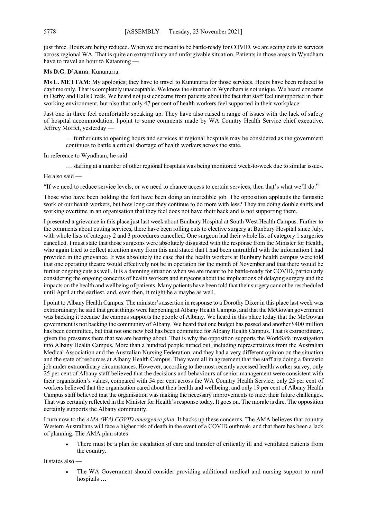just three. Hours are being reduced. When we are meant to be battle-ready for COVID, we are seeing cuts to services across regional WA. That is quite an extraordinary and unforgivable situation. Patients in those areas in Wyndham have to travel an hour to Katanning -

**Ms D.G. D'Anna**: Kununurra.

**Ms L. METTAM**: My apologies; they have to travel to Kununurra for those services. Hours have been reduced to daytime only. That is completely unacceptable. We know the situation in Wyndham is not unique. We heard concerns in Derby and Halls Creek. We heard not just concerns from patients about the fact that staff feel unsupported in their working environment, but also that only 47 per cent of health workers feel supported in their workplace.

Just one in three feel comfortable speaking up. They have also raised a range of issues with the lack of safety of hospital accommodation. I point to some comments made by WA Country Health Service chief executive, Jeffrey Moffet, yesterday —

… further cuts to opening hours and services at regional hospitals may be considered as the government continues to battle a critical shortage of health workers across the state.

In reference to Wyndham, he said —

… staffing at a number of other regional hospitals was being monitored week-to-week due to similar issues.

He also said —

"If we need to reduce service levels, or we need to chance access to certain services, then that's what we'll do."

Those who have been holding the fort have been doing an incredible job. The opposition applauds the fantastic work of our health workers, but how long can they continue to do more with less? They are doing double shifts and working overtime in an organisation that they feel does not have their back and is not supporting them.

I presented a grievance in this place just last week about Bunbury Hospital at South West Health Campus. Further to the comments about cutting services, there have been rolling cuts to elective surgery at Bunbury Hospital since July, with whole lists of category 2 and 3 procedures cancelled. One surgeon had their whole list of category 1 surgeries cancelled. I must state that those surgeons were absolutely disgusted with the response from the Minister for Health, who again tried to deflect attention away from this and stated that I had been untruthful with the information I had provided in the grievance. It was absolutely the case that the health workers at Bunbury health campus were told that one operating theatre would effectively not be in operation for the month of November and that there would be further ongoing cuts as well. It is a damning situation when we are meant to be battle-ready for COVID, particularly considering the ongoing concerns of health workers and surgeons about the implications of delaying surgery and the impacts on the health and wellbeing of patients. Many patients have been told that their surgery cannot be rescheduled until April at the earliest, and, even then, it might be a maybe as well.

I point to Albany Health Campus. The minister's assertion in response to a Dorothy Dixer in this place last week was extraordinary; he said that great things were happening at Albany Health Campus, and that the McGowan government was backing it because the campus supports the people of Albany. We heard in this place today that the McGowan government is not backing the community of Albany. We heard that one budget has passed and another \$400 million has been committed, but that not one new bed has been committed for Albany Health Campus. That is extraordinary, given the pressures there that we are hearing about. That is why the opposition supports the WorkSafe investigation into Albany Health Campus. More than a hundred people turned out, including representatives from the Australian Medical Association and the Australian Nursing Federation, and they had a very different opinion on the situation and the state of resources at Albany Health Campus. They were all in agreement that the staff are doing a fantastic job under extraordinary circumstances. However, according to the most recently accessed health worker survey, only 25 per cent of Albany staff believed that the decisions and behaviours of senior management were consistent with their organisation's values, compared with 54 per cent across the WA Country Health Service; only 25 per cent of workers believed that the organisation cared about their health and wellbeing; and only 19 per cent of Albany Health Campus staff believed that the organisation was making the necessary improvements to meet their future challenges. That was certainly reflected in the Minister for Health's response today. It goes on. The morale is dire. The opposition certainly supports the Albany community.

I turn now to the *AMA (WA) COVID emergence plan*. It backs up these concerns. The AMA believes that country Western Australians will face a higher risk of death in the event of a COVID outbreak, and that there has been a lack of planning. The AMA plan states

• There must be a plan for escalation of care and transfer of critically ill and ventilated patients from the country.

It states also —

• The WA Government should consider providing additional medical and nursing support to rural hospitals …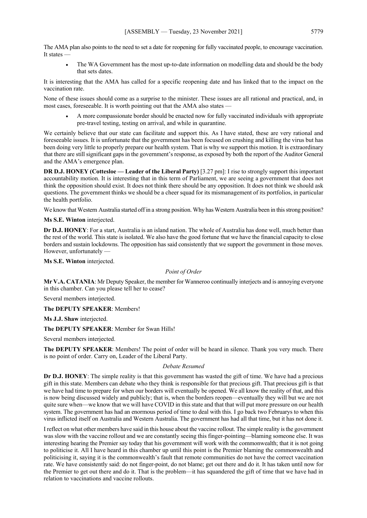The AMA plan also points to the need to set a date for reopening for fully vaccinated people, to encourage vaccination. It states —

• The WA Government has the most up-to-date information on modelling data and should be the body that sets dates.

It is interesting that the AMA has called for a specific reopening date and has linked that to the impact on the vaccination rate.

None of these issues should come as a surprise to the minister. These issues are all rational and practical, and, in most cases, foreseeable. It is worth pointing out that the AMA also states —

• A more compassionate border should be enacted now for fully vaccinated individuals with appropriate pre-travel testing, testing on arrival, and while in quarantine.

We certainly believe that our state can facilitate and support this. As I have stated, these are very rational and foreseeable issues. It is unfortunate that the government has been focused on crushing and killing the virus but has been doing very little to properly prepare our health system. That is why we support this motion. It is extraordinary that there are still significant gaps in the government's response, as exposed by both the report of the Auditor General and the AMA's emergence plan.

**DR D.J. HONEY (Cottesloe — Leader of the Liberal Party)** [3.27 pm]: I rise to strongly support this important accountability motion. It is interesting that in this term of Parliament, we are seeing a government that does not think the opposition should exist. It does not think there should be any opposition. It does not think we should ask questions. The government thinks we should be a cheer squad for its mismanagement of its portfolios, in particular the health portfolio.

We know that Western Australia started off in a strong position. Why has Western Australia been in this strong position?

**Ms S.E. Winton** interjected.

**Dr D.J. HONEY**: For a start, Australia is an island nation. The whole of Australia has done well, much better than the rest of the world. This state is isolated. We also have the good fortune that we have the financial capacity to close borders and sustain lockdowns. The opposition has said consistently that we support the government in those moves. However, unfortunately —

**Ms S.E. Winton** interjected.

*Point of Order*

**Mr V.A. CATANIA**: Mr Deputy Speaker, the member for Wanneroo continually interjects and is annoying everyone in this chamber. Can you please tell her to cease?

Several members interjected.

**The DEPUTY SPEAKER**: Members!

**Ms J.J. Shaw** interjected.

**The DEPUTY SPEAKER**: Member for Swan Hills!

Several members interjected.

**The DEPUTY SPEAKER**: Members! The point of order will be heard in silence. Thank you very much. There is no point of order. Carry on, Leader of the Liberal Party.

#### *Debate Resumed*

**Dr D.J. HONEY**: The simple reality is that this government has wasted the gift of time. We have had a precious gift in this state. Members can debate who they think is responsible for that precious gift. That precious gift is that we have had time to prepare for when our borders will eventually be opened. We all know the reality of that, and this is now being discussed widely and publicly; that is, when the borders reopen—eventually they will but we are not quite sure when—we know that we will have COVID in this state and that that will put more pressure on our health system. The government has had an enormous period of time to deal with this. I go back two Februarys to when this virus inflicted itself on Australia and Western Australia. The government has had all that time, but it has not done it.

I reflect on what other members have said in this house about the vaccine rollout. The simple reality is the government was slow with the vaccine rollout and we are constantly seeing this finger-pointing—blaming someone else. It was interesting hearing the Premier say today that his government will work with the commonwealth; that it is not going to politicise it. All I have heard in this chamber up until this point is the Premier blaming the commonwealth and politicising it, saying it is the commonwealth's fault that remote communities do not have the correct vaccination rate. We have consistently said: do not finger-point, do not blame; get out there and do it. It has taken until now for the Premier to get out there and do it. That is the problem—it has squandered the gift of time that we have had in relation to vaccinations and vaccine rollouts.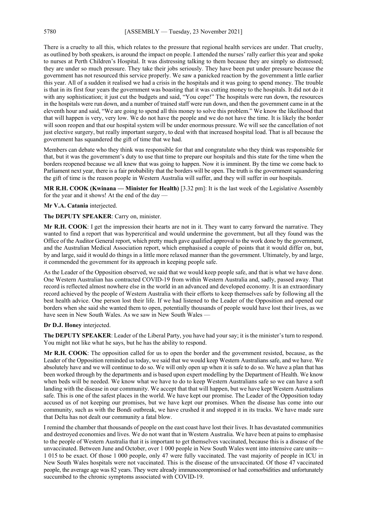There is a cruelty to all this, which relates to the pressure that regional health services are under. That cruelty, as outlined by both speakers, is around the impact on people. I attended the nurses' rally earlier this year and spoke to nurses at Perth Children's Hospital. It was distressing talking to them because they are simply so distressed; they are under so much pressure. They take their jobs seriously. They have been put under pressure because the government has not resourced this service properly. We saw a panicked reaction by the government a little earlier this year. All of a sudden it realised we had a crisis in the hospitals and it was going to spend money. The trouble is that in its first four years the government was boasting that it was cutting money to the hospitals. It did not do it with any sophistication; it just cut the budgets and said, "You cope!" The hospitals were run down, the resources in the hospitals were run down, and a number of trained staff were run down, and then the government came in at the eleventh hour and said, "We are going to spend all this money to solve this problem." We know the likelihood that that will happen is very, very low. We do not have the people and we do not have the time. It is likely the border will soon reopen and that our hospital system will be under enormous pressure. We will see the cancellation of not just elective surgery, but really important surgery, to deal with that increased hospital load. That is all because the government has squandered the gift of time that we had.

Members can debate who they think was responsible for that and congratulate who they think was responsible for that, but it was the government's duty to use that time to prepare our hospitals and this state for the time when the borders reopened because we all knew that was going to happen. Now it is imminent. By the time we come back to Parliament next year, there is a fair probability that the borders will be open. The truth is the government squandering the gift of time is the reason people in Western Australia will suffer, and they will suffer in our hospitals.

**MR R.H. COOK (Kwinana — Minister for Health)** [3.32 pm]: It is the last week of the Legislative Assembly for the year and it shows! At the end of the day —

#### **Mr V.A. Catania** interjected.

#### **The DEPUTY SPEAKER**: Carry on, minister.

**Mr R.H. COOK**: I get the impression their hearts are not in it. They want to carry forward the narrative. They wanted to find a report that was hypercritical and would undermine the government, but all they found was the Office of the Auditor General report, which pretty much gave qualified approval to the work done by the government, and the Australian Medical Association report, which emphasised a couple of points that it would differ on, but, by and large, said it would do things in a little more relaxed manner than the government. Ultimately, by and large, it commended the government for its approach in keeping people safe.

As the Leader of the Opposition observed, we said that we would keep people safe, and that is what we have done. One Western Australian has contracted COVID-19 from within Western Australia and, sadly, passed away. That record is reflected almost nowhere else in the world in an advanced and developed economy. It is an extraordinary record achieved by the people of Western Australia with their efforts to keep themselves safe by following all the best health advice. One person lost their life. If we had listened to the Leader of the Opposition and opened our borders when she said she wanted them to open, potentially thousands of people would have lost their lives, as we have seen in New South Wales. As we saw in New South Wales -

#### **Dr D.J. Honey** interjected.

**The DEPUTY SPEAKER**: Leader of the Liberal Party, you have had your say; it is the minister's turn to respond. You might not like what he says, but he has the ability to respond.

**Mr R.H. COOK**: The opposition called for us to open the border and the government resisted, because, as the Leader of the Opposition reminded us today, we said that we would keep Western Australians safe, and we have. We absolutely have and we will continue to do so. We will only open up when it is safe to do so. We have a plan that has been worked through by the departments and is based upon expert modelling by the Department of Health. We know when beds will be needed. We know what we have to do to keep Western Australians safe so we can have a soft landing with the disease in our community. We accept that that will happen, but we have kept Western Australians safe. This is one of the safest places in the world. We have kept our promise. The Leader of the Opposition today accused us of not keeping our promises, but we have kept our promises. When the disease has come into our community, such as with the Bondi outbreak, we have crushed it and stopped it in its tracks. We have made sure that Delta has not dealt our community a fatal blow.

I remind the chamber that thousands of people on the east coast have lost their lives. It has devastated communities and destroyed economies and lives. We do not want that in Western Australia. We have been at pains to emphasise to the people of Western Australia that it is important to get themselves vaccinated, because this is a disease of the unvaccinated. Between June and October, over 1 000 people in New South Wales went into intensive care units— 1 015 to be exact. Of those 1 000 people, only 47 were fully vaccinated. The vast majority of people in ICU in New South Wales hospitals were not vaccinated. This is the disease of the unvaccinated. Of those 47 vaccinated people, the average age was 82 years. They were already immunocompromised or had comorbidities and unfortunately succumbed to the chronic symptoms associated with COVID-19.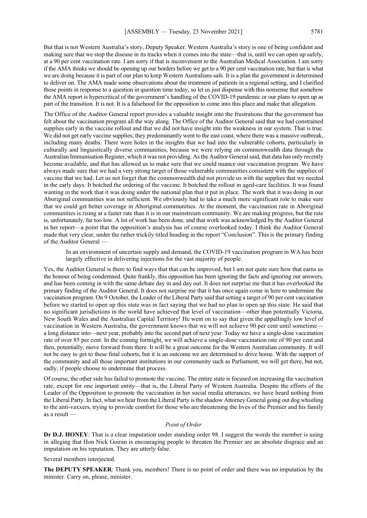But that is not Western Australia's story, Deputy Speaker. Western Australia's story is one of being confident and making sure that we stop the disease in its tracks when it comes into the state—that is, until we can open up safely, at a 90 per cent vaccination rate. I am sorry if that is inconvenient to the Australian Medical Association. I am sorry if the AMA thinks we should be opening up our borders before we get to a 90 per cent vaccination rate, but that is what we are doing because it is part of our plan to keep Western Australians safe. It is a plan the government is determined to deliver on. The AMA made some observations about the treatment of patients in a regional setting, and I clarified those points in response to a question in question time today, so let us just dispense with this nonsense that somehow the AMA report is hypercritical of the government's handling of the COVID-19 pandemic or our plans to open up as part of the transition. It is not. It is a falsehood for the opposition to come into this place and make that allegation.

The Office of the Auditor General report provides a valuable insight into the frustrations that the government has felt about the vaccination program all the way along. The Office of the Auditor General said that we had constrained supplies early in the vaccine rollout and that we did not have insight into the weakness in our system. That is true. We did not get early vaccine supplies; they predominantly went to the east coast, where there was a massive outbreak, including many deaths. There were holes in the insights that we had into the vulnerable cohorts, particularly in culturally and linguistically diverse communities, because we were relying on commonwealth data through the Australian Immunisation Register, which it was not providing. As the Auditor General said, that data has only recently become available, and that has allowed us to make sure that we could nuance our vaccination program. We have always made sure that we had a very strong target of those vulnerable communities consistent with the supplies of vaccine that we had. Let us not forget that the commonwealth did not provide us with the supplies that we needed in the early days. It botched the ordering of the vaccine. It botched the rollout in aged-care facilities. It was found wanting in the work that it was doing under the national plan that it put in place. The work that it was doing in our Aboriginal communities was not sufficient. We obviously had to take a much more significant role to make sure that we could get better coverage in Aboriginal communities. At the moment, the vaccination rate in Aboriginal communities is rising at a faster rate than it is in our mainstream community. We are making progress, but the rate is, unfortunately, far too low. A lot of work has been done, and that work was acknowledged by the Auditor General in her report—a point that the opposition's analysis has of course overlooked today. I think the Auditor General made that very clear, under the rather trickily titled heading in the report "Conclusion". This is the primary finding of the Auditor General —

In an environment of uncertain supply and demand, the COVID-19 vaccination program in WA has been largely effective in delivering injections for the vast majority of people.

Yes, the Auditor General is there to find ways that that can be improved, but I am not quite sure how that earns us the honour of being condemned. Quite frankly, this opposition has been ignoring the facts and ignoring our answers, and has been coming in with the same debate day in and day out. It does not surprise me that it has overlooked the primary finding of the Auditor General. It does not surprise me that it has once again come in here to undermine the vaccination program. On 9 October, the Leader of the Liberal Party said that setting a target of 90 per cent vaccination before we started to open up this state was in fact saying that we had no plan to open up this state. He said that no significant jurisdictions in the world have achieved that level of vaccination—other than potentially Victoria, New South Wales and the Australian Capital Territory! He went on to say that given the appallingly low level of vaccination in Western Australia, the government knows that we will not achieve 90 per cent until sometime a long distance into—next year, probably into the second part of next year. Today we have a single-dose vaccination rate of over 85 per cent. In the coming fortnight, we will achieve a single-dose vaccination rate of 90 per cent and then, potentially, move forward from there. It will be a great outcome for the Western Australian community. It will not be easy to get to these final cohorts, but it is an outcome we are determined to drive home. With the support of the community and all those important institutions in our community such as Parliament, we will get there, but not, sadly, if people choose to undermine that process.

Of course, the other side has failed to promote the vaccine. The entire state is focused on increasing the vaccination rate, except for one important entity—that is, the Liberal Party of Western Australia. Despite the efforts of the Leader of the Opposition to promote the vaccination in her social media utterances, we have heard nothing from the Liberal Party. In fact, what we hear from the Liberal Party is the shadow Attorney General going out dog whistling to the anti-vaxxers, trying to provide comfort for those who are threatening the lives of the Premier and his family as a result —

#### *Point of Order*

**Dr D.J. HONEY**: That is a clear imputation under standing order 98. I suggest the words the member is using in alleging that Hon Nick Goiran is encouraging people to threaten the Premier are an absolute disgrace and an imputation on his reputation. They are utterly false.

Several members interjected.

**The DEPUTY SPEAKER**: Thank you, members! There is no point of order and there was no imputation by the minister. Carry on, please, minister.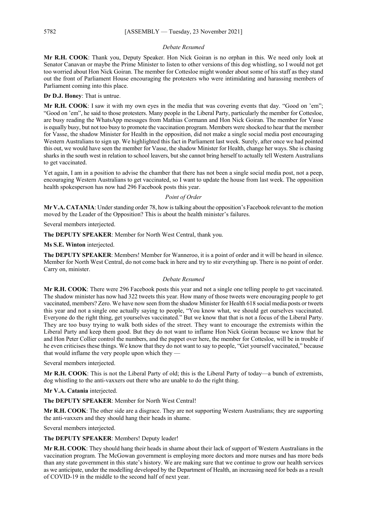#### *Debate Resumed*

**Mr R.H. COOK**: Thank you, Deputy Speaker. Hon Nick Goiran is no orphan in this. We need only look at Senator Canavan or maybe the Prime Minister to listen to other versions of this dog whistling, so I would not get too worried about Hon Nick Goiran. The member for Cottesloe might wonder about some of his staff as they stand out the front of Parliament House encouraging the protesters who were intimidating and harassing members of Parliament coming into this place.

**Dr D.J. Honey**: That is untrue.

**Mr R.H. COOK**: I saw it with my own eyes in the media that was covering events that day. "Good on 'em"; "Good on 'em", he said to those protesters. Many people in the Liberal Party, particularly the member for Cottesloe, are busy reading the WhatsApp messages from Mathias Cormann and Hon Nick Goiran. The member for Vasse is equally busy, but not too busy to promote the vaccination program. Members were shocked to hear that the member for Vasse, the shadow Minister for Health in the opposition, did not make a single social media post encouraging Western Australians to sign up. We highlighted this fact in Parliament last week. Surely, after once we had pointed this out, we would have seen the member for Vasse, the shadow Minister for Health, change her ways. She is chasing sharks in the south west in relation to school leavers, but she cannot bring herself to actually tell Western Australians to get vaccinated.

Yet again, I am in a position to advise the chamber that there has not been a single social media post, not a peep, encouraging Western Australians to get vaccinated, so I want to update the house from last week. The opposition health spokesperson has now had 296 Facebook posts this year.

#### *Point of Order*

**Mr V.A. CATANIA**: Under standing order 78, how is talking about the opposition's Facebook relevant to the motion moved by the Leader of the Opposition? This is about the health minister's failures.

Several members interjected.

**The DEPUTY SPEAKER**: Member for North West Central, thank you.

**Ms S.E. Winton** interjected.

**The DEPUTY SPEAKER**: Members! Member for Wanneroo, it is a point of order and it will be heard in silence. Member for North West Central, do not come back in here and try to stir everything up. There is no point of order. Carry on, minister.

#### *Debate Resumed*

**Mr R.H. COOK**: There were 296 Facebook posts this year and not a single one telling people to get vaccinated. The shadow minister has now had 322 tweets this year. How many of those tweets were encouraging people to get vaccinated, members? Zero. We have now seen from the shadow Minister for Health 618 social media posts or tweets this year and not a single one actually saying to people, "You know what, we should get ourselves vaccinated. Everyone do the right thing, get yourselves vaccinated." But we know that that is not a focus of the Liberal Party. They are too busy trying to walk both sides of the street. They want to encourage the extremists within the Liberal Party and keep them good. But they do not want to inflame Hon Nick Goiran because we know that he and Hon Peter Collier control the numbers, and the puppet over here, the member for Cottesloe, will be in trouble if he even criticises these things. We know that they do not want to say to people, "Get yourself vaccinated," because that would inflame the very people upon which they —

Several members interjected.

**Mr R.H. COOK**: This is not the Liberal Party of old; this is the Liberal Party of today—a bunch of extremists, dog whistling to the anti-vaxxers out there who are unable to do the right thing.

**Mr V.A. Catania** interjected.

**The DEPUTY SPEAKER**: Member for North West Central!

**Mr R.H. COOK**: The other side are a disgrace. They are not supporting Western Australians; they are supporting the anti-vaxxers and they should hang their heads in shame.

Several members interjected.

**The DEPUTY SPEAKER**: Members! Deputy leader!

**Mr R.H. COOK**: They should hang their heads in shame about their lack of support of Western Australians in the vaccination program. The McGowan government is employing more doctors and more nurses and has more beds than any state government in this state's history. We are making sure that we continue to grow our health services as we anticipate, under the modelling developed by the Department of Health, an increasing need for beds as a result of COVID-19 in the middle to the second half of next year.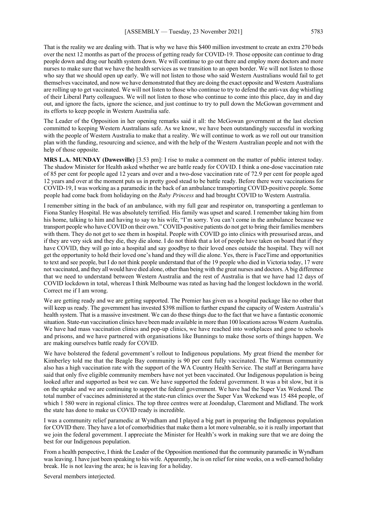That is the reality we are dealing with. That is why we have this \$400 million investment to create an extra 270 beds over the next 12 months as part of the process of getting ready for COVID-19. Those opposite can continue to drag people down and drag our health system down. We will continue to go out there and employ more doctors and more nurses to make sure that we have the health services as we transition to an open border. We will not listen to those who say that we should open up early. We will not listen to those who said Western Australians would fail to get themselves vaccinated, and now we have demonstrated that they are doing the exact opposite and Western Australians are rolling up to get vaccinated. We will not listen to those who continue to try to defend the anti-vax dog whistling of their Liberal Party colleagues. We will not listen to those who continue to come into this place, day in and day out, and ignore the facts, ignore the science, and just continue to try to pull down the McGowan government and its efforts to keep people in Western Australia safe.

The Leader of the Opposition in her opening remarks said it all: the McGowan government at the last election committed to keeping Western Australians safe. As we know, we have been outstandingly successful in working with the people of Western Australia to make that a reality. We will continue to work as we roll out our transition plan with the funding, resourcing and science, and with the help of the Western Australian people and not with the help of those opposite.

**MRS L.A. MUNDAY (Dawesville)** [3.53 pm]: I rise to make a comment on the matter of public interest today. The shadow Minister for Health asked whether we are battle ready for COVID. I think a one-dose vaccination rate of 85 per cent for people aged 12 years and over and a two-dose vaccination rate of 72.9 per cent for people aged 12 years and over at the moment puts us in pretty good stead to be battle ready. Before there were vaccinations for COVID-19, I was working as a paramedic in the back of an ambulance transporting COVID-positive people. Some people had come back from holidaying on the *Ruby Princess* and had brought COVID to Western Australia.

I remember sitting in the back of an ambulance, with my full gear and respirator on, transporting a gentleman to Fiona Stanley Hospital. He was absolutely terrified. His family was upset and scared. I remember taking him from his home, talking to him and having to say to his wife, "I'm sorry. You can't come in the ambulance because we transport people who have COVID on their own." COVID-positive patients do not get to bring their families members with them. They do not get to see them in hospital. People with COVID go into clinics with pressurised areas, and if they are very sick and they die, they die alone. I do not think that a lot of people have taken on board that if they have COVID, they will go into a hospital and say goodbye to their loved ones outside the hospital. They will not get the opportunity to hold their loved one's hand and they will die alone. Yes, there is FaceTime and opportunities to text and see people, but I do not think people understand that of the 19 people who died in Victoria today, 17 were not vaccinated, and they all would have died alone, other than being with the great nurses and doctors. A big difference that we need to understand between Western Australia and the rest of Australia is that we have had 12 days of COVID lockdown in total, whereas I think Melbourne was rated as having had the longest lockdown in the world. Correct me if I am wrong.

We are getting ready and we are getting supported. The Premier has given us a hospital package like no other that will keep us ready. The government has invested \$398 million to further expand the capacity of Western Australia's health system. That is a massive investment. We can do these things due to the fact that we have a fantastic economic situation. State-run vaccination clinics have been made available in more than 100 locations across Western Australia. We have had mass vaccination clinics and pop-up clinics, we have reached into workplaces and gone to schools and prisons, and we have partnered with organisations like Bunnings to make those sorts of things happen. We are making ourselves battle ready for COVID.

We have bolstered the federal government's rollout to Indigenous populations. My great friend the member for Kimberley told me that the Beagle Bay community is 90 per cent fully vaccinated. The Warmun community also has a high vaccination rate with the support of the WA Country Health Service. The staff at Beringarra have said that only five eligible community members have not yet been vaccinated. Our Indigenous population is being looked after and supported as best we can. We have supported the federal government. It was a bit slow, but it is on the uptake and we are continuing to support the federal government. We have had the Super Vax Weekend. The total number of vaccines administered at the state-run clinics over the Super Vax Weekend was 15 484 people, of which 1 580 were in regional clinics. The top three centres were at Joondalup, Claremont and Midland. The work the state has done to make us COVID ready is incredible.

I was a community relief paramedic at Wyndham and I played a big part in preparing the Indigenous population for COVID there. They have a lot of comorbidities that make them a lot more vulnerable, so it is really important that we join the federal government. I appreciate the Minister for Health's work in making sure that we are doing the best for our Indigenous population.

From a health perspective, I think the Leader of the Opposition mentioned that the community paramedic in Wyndham was leaving. I have just been speaking to his wife. Apparently, he is on relief for nine weeks, on a well-earned holiday break. He is not leaving the area; he is leaving for a holiday.

Several members interjected.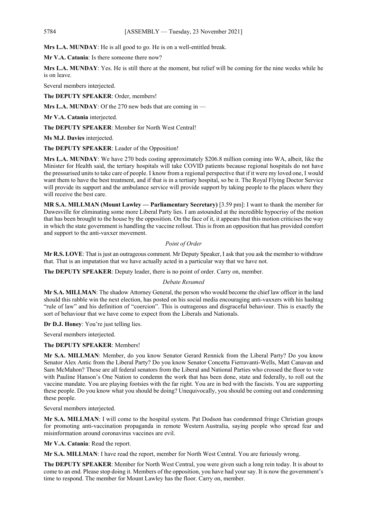**Mrs L.A. MUNDAY**: He is all good to go. He is on a well-entitled break.

**Mr V.A. Catania**: Is there someone there now?

**Mrs L.A. MUNDAY**: Yes. He is still there at the moment, but relief will be coming for the nine weeks while he is on leave.

Several members interjected.

**The DEPUTY SPEAKER**: Order, members!

**Mrs L.A. MUNDAY**: Of the 270 new beds that are coming in —

**Mr V.A. Catania** interjected.

**The DEPUTY SPEAKER**: Member for North West Central!

**Ms M.J. Davies** interjected.

**The DEPUTY SPEAKER**: Leader of the Opposition!

**Mrs L.A. MUNDAY**: We have 270 beds costing approximately \$206.8 million coming into WA, albeit, like the Minister for Health said, the tertiary hospitals will take COVID patients because regional hospitals do not have the pressurised units to take care of people. I know from a regional perspective that if it were my loved one, I would want them to have the best treatment, and if that is in a tertiary hospital, so be it. The Royal Flying Doctor Service will provide its support and the ambulance service will provide support by taking people to the places where they will receive the best care.

**MR S.A. MILLMAN (Mount Lawley — Parliamentary Secretary)** [3.59 pm]: I want to thank the member for Dawesville for eliminating some more Liberal Party lies. I am astounded at the incredible hypocrisy of the motion that has been brought to the house by the opposition. On the face of it, it appears that this motion criticises the way in which the state government is handling the vaccine rollout. This is from an opposition that has provided comfort and support to the anti-vaxxer movement.

#### *Point of Order*

**Mr R.S. LOVE**: That is just an outrageous comment. Mr Deputy Speaker, I ask that you ask the member to withdraw that. That is an imputation that we have actually acted in a particular way that we have not.

**The DEPUTY SPEAKER**: Deputy leader, there is no point of order. Carry on, member.

#### *Debate Resumed*

**Mr S.A. MILLMAN**: The shadow Attorney General, the person who would become the chief law officer in the land should this rabble win the next election, has posted on his social media encouraging anti-vaxxers with his hashtag "rule of law" and his definition of "coercion". This is outrageous and disgraceful behaviour. This is exactly the sort of behaviour that we have come to expect from the Liberals and Nationals.

**Dr D.J. Honey**: You're just telling lies.

Several members interjected.

**The DEPUTY SPEAKER**: Members!

**Mr S.A. MILLMAN**: Member, do you know Senator Gerard Rennick from the Liberal Party? Do you know Senator Alex Antic from the Liberal Party? Do you know Senator Concetta Fierravanti-Wells, Matt Canavan and Sam McMahon? These are all federal senators from the Liberal and National Parties who crossed the floor to vote with Pauline Hanson's One Nation to condemn the work that has been done, state and federally, to roll out the vaccine mandate. You are playing footsies with the far right. You are in bed with the fascists. You are supporting these people. Do you know what you should be doing? Unequivocally, you should be coming out and condemning these people.

Several members interjected.

**Mr S.A. MILLMAN**: I will come to the hospital system. Pat Dodson has condemned fringe Christian groups for promoting anti-vaccination propaganda in remote Western Australia, saying people who spread fear and misinformation around coronavirus vaccines are evil.

**Mr V.A. Catania**: Read the report.

Mr S.A. MILLMAN: I have read the report, member for North West Central. You are furiously wrong.

**The DEPUTY SPEAKER**: Member for North West Central, you were given such a long rein today. It is about to come to an end. Please stop doing it. Members of the opposition, you have had your say. It is now the government's time to respond. The member for Mount Lawley has the floor. Carry on, member.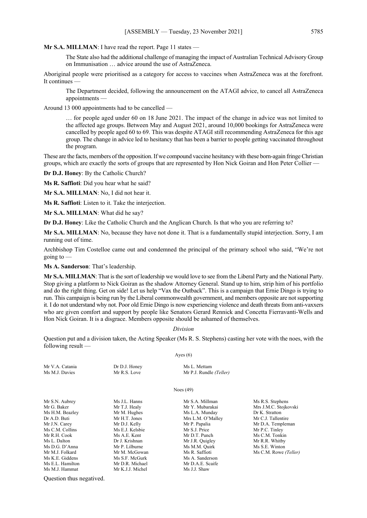#### **Mr S.A. MILLMAN**: I have read the report. Page 11 states —

The State also had the additional challenge of managing the impact of Australian Technical Advisory Group on Immunisation … advice around the use of AstraZeneca.

Aboriginal people were prioritised as a category for access to vaccines when AstraZeneca was at the forefront. It continues

The Department decided, following the announcement on the ATAGI advice, to cancel all AstraZeneca appointments —

Around 13 000 appointments had to be cancelled —

… for people aged under 60 on 18 June 2021. The impact of the change in advice was not limited to the affected age groups. Between May and August 2021, around 10,000 bookings for AstraZeneca were cancelled by people aged 60 to 69. This was despite ATAGI still recommending AstraZeneca for this age group. The change in advice led to hesitancy that has been a barrier to people getting vaccinated throughout the program.

These are the facts, members of the opposition. If we compound vaccine hesitancy with these born-again fringe Christian groups, which are exactly the sorts of groups that are represented by Hon Nick Goiran and Hon Peter Collier —

**Dr D.J. Honey**: By the Catholic Church?

**Ms R. Saffioti**: Did you hear what he said?

**Mr S.A. MILLMAN**: No, I did not hear it.

**Ms R. Saffioti**: Listen to it. Take the interjection.

**Mr S.A. MILLMAN**: What did he say?

**Dr D.J. Honey**: Like the Catholic Church and the Anglican Church. Is that who you are referring to?

**Mr S.A. MILLMAN**: No, because they have not done it. That is a fundamentally stupid interjection. Sorry, I am running out of time.

Archbishop Tim Costelloe came out and condemned the principal of the primary school who said, "We're not going to —

**Ms A. Sanderson**: That's leadership.

**Mr S.A. MILLMAN**: That is the sort of leadership we would love to see from the Liberal Party and the National Party. Stop giving a platform to Nick Goiran as the shadow Attorney General. Stand up to him, strip him of his portfolio and do the right thing. Get on side! Let us help "Vax the Outback". This is a campaign that Ernie Dingo is trying to run. This campaign is being run by the Liberal commonwealth government, and members opposite are not supporting it. I do not understand why not. Poor old Ernie Dingo is now experiencing violence and death threats from anti-vaxxers who are given comfort and support by people like Senators Gerard Rennick and Concetta Fierravanti-Wells and Hon Nick Goiran. It is a disgrace. Members opposite should be ashamed of themselves.

#### *Division*

Question put and a division taken, the Acting Speaker (Ms R. S. Stephens) casting her vote with the noes, with the following result —

#### Ayes  $(6)$

| Mr V.A. Catania | Dr D.J. Honey   | Ms L. Mettam            |                |
|-----------------|-----------------|-------------------------|----------------|
| Ms M.J. Davies  | Mr R.S. Love    | Mr P.J. Rundle (Teller) |                |
|                 |                 | Noes $(49)$             |                |
| Mr S.N. Aubrey  | Ms J.L. Hanns   | Mr S.A. Millman         | Ms R.S. Steph  |
| Mr G. Baker     | Mr T.J. Healy   | Mr Y. Mubarakai         | Mrs J.M.C. St  |
| Ms H.M. Beazley | Mr M. Hughes    | Ms L.A. Munday          | Dr K. Stratton |
| Dr A.D. Buti    | Mr H.T. Jones   | Mrs L.M. O'Malley       | Mr C.J. Taller |
| Mr J.N. Carey   | Mr D.J. Kelly   | Mr P. Papalia           | Mr D.A. Tem    |
| Ms C.M. Collins | Ms E.J. Kelsbie | Mr S.J. Price           | Mr P.C. Tinle  |
| Mr R.H. Cook    | Ms A.E. Kent    | Mr D.T. Punch           | Ms C.M. Tonl   |
| Ms L. Dalton    | Dr J. Krishnan  | Mr J.R. Quigley         | Mr R.R. Whit   |
| Ms D.G. D'Anna  | Mr P. Lilburne  | Ms M.M. Quirk           | Ms S.E. Winte  |
| Mr M.J. Folkard | Mr M. McGowan   | Ms R. Saffioti          | Ms C.M. Row    |
| Ms K.E. Giddens | Ms S.F. McGurk  | Ms A. Sanderson         |                |

Ms E.L. Hamilton Mr D.R. Michael Mr D.A.E. Scaife<br>
Ms M I Hammat Mr K I I Michel Ms I I Shaw Mr K.J.J. Michel

Ms R.S. Stephens Mrs J.M.C. Stojkovski<br>Dr K. Stratton Mr C.J. Tallentire Mr D.A. Templeman Mr P.C. Tinley Ms C.M. Tonkin Mr R.R. Whitby Ms S.E. Winton Ms C.M. Rowe (Teller)

Question thus negatived.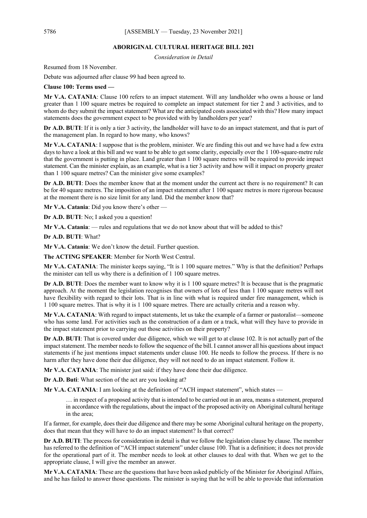#### **ABORIGINAL CULTURAL HERITAGE BILL 2021**

*Consideration in Detail*

Resumed from 18 November.

Debate was adjourned after clause 99 had been agreed to.

**Clause 100: Terms used —**

**Mr V.A. CATANIA**: Clause 100 refers to an impact statement. Will any landholder who owns a house or land greater than 1 100 square metres be required to complete an impact statement for tier 2 and 3 activities, and to whom do they submit the impact statement? What are the anticipated costs associated with this? How many impact statements does the government expect to be provided with by landholders per year?

**Dr A.D. BUTI**: If it is only a tier 3 activity, the landholder will have to do an impact statement, and that is part of the management plan. In regard to how many, who knows?

**Mr V.A. CATANIA**: I suppose that is the problem, minister. We are finding this out and we have had a few extra days to have a look at this bill and we want to be able to get some clarity, especially over the 1 100-square-metre rule that the government is putting in place. Land greater than 1 100 square metres will be required to provide impact statement. Can the minister explain, as an example, what is a tier 3 activity and how will it impact on property greater than 1 100 square metres? Can the minister give some examples?

**Dr A.D. BUTI**: Does the member know that at the moment under the current act there is no requirement? It can be for 40 square metres. The imposition of an impact statement after 1 100 square metres is more rigorous because at the moment there is no size limit for any land. Did the member know that?

**Mr V.A. Catania**: Did you know there's other —

**Dr A.D. BUTI**: No; I asked you a question!

**Mr V.A. Catania**: — rules and regulations that we do not know about that will be added to this?

**Dr A.D. BUTI**: What?

**Mr V.A. Catania:** We don't know the detail. Further question.

**The ACTING SPEAKER**: Member for North West Central.

**Mr V.A. CATANIA:** The minister keeps saying, "It is 1 100 square metres." Why is that the definition? Perhaps the minister can tell us why there is a definition of 1 100 square metres.

**Dr A.D. BUTI:** Does the member want to know why it is 1 100 square metres? It is because that is the pragmatic approach. At the moment the legislation recognises that owners of lots of less than 1 100 square metres will not have flexibility with regard to their lots. That is in line with what is required under fire management, which is 1 100 square metres. That is why it is 1 100 square metres. There are actually criteria and a reason why.

**Mr V.A. CATANIA**: With regard to impact statements, let us take the example of a farmer or pastoralist—someone who has some land. For activities such as the construction of a dam or a track, what will they have to provide in the impact statement prior to carrying out those activities on their property?

**Dr A.D. BUTI**: That is covered under due diligence, which we will get to at clause 102. It is not actually part of the impact statement. The member needs to follow the sequence of the bill. I cannot answer all his questions about impact statements if he just mentions impact statements under clause 100. He needs to follow the process. If there is no harm after they have done their due diligence, they will not need to do an impact statement. Follow it.

**Mr V.A. CATANIA**: The minister just said: if they have done their due diligence.

**Dr A.D. Buti**: What section of the act are you looking at?

**Mr V.A. CATANIA**: I am looking at the definition of "ACH impact statement", which states —

… in respect of a proposed activity that is intended to be carried out in an area, means a statement, prepared in accordance with the regulations, about the impact of the proposed activity on Aboriginal cultural heritage in the area;

If a farmer, for example, does their due diligence and there may be some Aboriginal cultural heritage on the property, does that mean that they will have to do an impact statement? Is that correct?

**Dr A.D. BUTI:** The process for consideration in detail is that we follow the legislation clause by clause. The member has referred to the definition of "ACH impact statement" under clause 100. That is a definition; it does not provide for the operational part of it. The member needs to look at other clauses to deal with that. When we get to the appropriate clause, I will give the member an answer.

**Mr V.A. CATANIA**: These are the questions that have been asked publicly of the Minister for Aboriginal Affairs, and he has failed to answer those questions. The minister is saying that he will be able to provide that information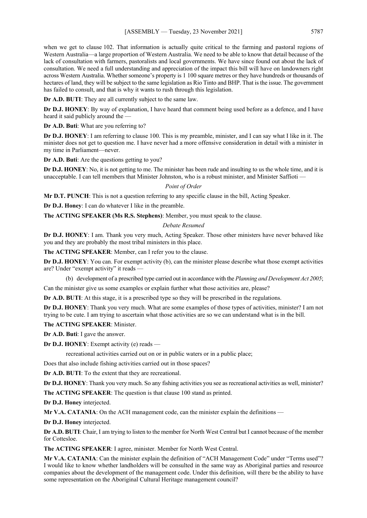when we get to clause 102. That information is actually quite critical to the farming and pastoral regions of Western Australia—a large proportion of Western Australia. We need to be able to know that detail because of the lack of consultation with farmers, pastoralists and local governments. We have since found out about the lack of consultation. We need a full understanding and appreciation of the impact this bill will have on landowners right across Western Australia. Whether someone's property is 1 100 square metres or they have hundreds or thousands of hectares of land, they will be subject to the same legislation as Rio Tinto and BHP. That is the issue. The government has failed to consult, and that is why it wants to rush through this legislation.

**Dr A.D. BUTI**: They are all currently subject to the same law.

**Dr D.J. HONEY**: By way of explanation, I have heard that comment being used before as a defence, and I have heard it said publicly around the

**Dr A.D. Buti**: What are you referring to?

**Dr D.J. HONEY**: I am referring to clause 100. This is my preamble, minister, and I can say what I like in it. The minister does not get to question me. I have never had a more offensive consideration in detail with a minister in my time in Parliament—never.

**Dr A.D. Buti**: Are the questions getting to you?

**Dr D.J. HONEY**: No, it is not getting to me. The minister has been rude and insulting to us the whole time, and it is unacceptable. I can tell members that Minister Johnston, who is a robust minister, and Minister Saffioti —

#### *Point of Order*

**Mr D.T. PUNCH**: This is not a question referring to any specific clause in the bill, Acting Speaker.

**Dr D.J. Honey**: I can do whatever I like in the preamble.

**The ACTING SPEAKER (Ms R.S. Stephens)**: Member, you must speak to the clause.

#### *Debate Resumed*

**Dr D.J. HONEY**: I am. Thank you very much, Acting Speaker. Those other ministers have never behaved like you and they are probably the most tribal ministers in this place.

**The ACTING SPEAKER**: Member, can I refer you to the clause.

**Dr D.J. HONEY**: You can. For exempt activity (b), can the minister please describe what those exempt activities are? Under "exempt activity" it reads —

(b) development of a prescribed type carried out in accordance with the *Planning and Development Act 2005*;

Can the minister give us some examples or explain further what those activities are, please?

**Dr A.D. BUTI**: At this stage, it is a prescribed type so they will be prescribed in the regulations.

**Dr D.J. HONEY**: Thank you very much. What are some examples of those types of activities, minister? I am not trying to be cute. I am trying to ascertain what those activities are so we can understand what is in the bill.

#### **The ACTING SPEAKER**: Minister.

**Dr A.D. Buti**: I gave the answer.

**Dr D.J. HONEY**: Exempt activity (e) reads —

recreational activities carried out on or in public waters or in a public place;

Does that also include fishing activities carried out in those spaces?

**Dr A.D. BUTI**: To the extent that they are recreational.

**Dr D.J. HONEY**: Thank you very much. So any fishing activities you see as recreational activities as well, minister?

**The ACTING SPEAKER**: The question is that clause 100 stand as printed.

**Dr D.J. Honey** interjected.

**Mr V.A. CATANIA:** On the ACH management code, can the minister explain the definitions —

**Dr D.J. Honey** interjected.

**Dr A.D. BUTI**: Chair, I am trying to listen to the member for North West Central but I cannot because of the member for Cottesloe.

**The ACTING SPEAKER**: I agree, minister. Member for North West Central.

**Mr V.A. CATANIA**: Can the minister explain the definition of "ACH Management Code" under "Terms used"? I would like to know whether landholders will be consulted in the same way as Aboriginal parties and resource companies about the development of the management code. Under this definition, will there be the ability to have some representation on the Aboriginal Cultural Heritage management council?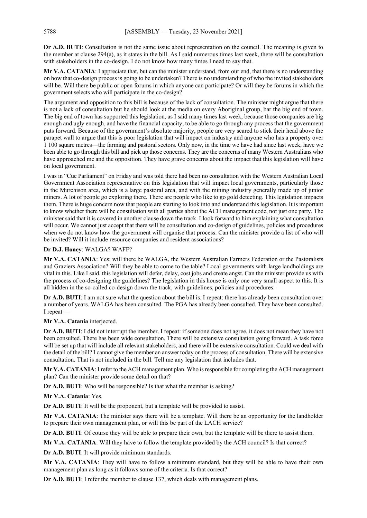**Dr A.D. BUTI**: Consultation is not the same issue about representation on the council. The meaning is given to the member at clause 294(a), as it states in the bill. As I said numerous times last week, there will be consultation with stakeholders in the co-design. I do not know how many times I need to say that.

**Mr V.A. CATANIA**: I appreciate that, but can the minister understand, from our end, that there is no understanding on how that co-design process is going to be undertaken? There is no understanding of who the invited stakeholders will be. Will there be public or open forums in which anyone can participate? Or will they be forums in which the government selects who will participate in the co-design?

The argument and opposition to this bill is because of the lack of consultation. The minister might argue that there is not a lack of consultation but he should look at the media on every Aboriginal group, bar the big end of town. The big end of town has supported this legislation, as I said many times last week, because those companies are big enough and ugly enough, and have the financial capacity, to be able to go through any process that the government puts forward. Because of the government's absolute majority, people are very scared to stick their head above the parapet wall to argue that this is poor legislation that will impact on industry and anyone who has a property over 1 100 square metres—the farming and pastoral sectors. Only now, in the time we have had since last week, have we been able to go through this bill and pick up those concerns. They are the concerns of many Western Australians who have approached me and the opposition. They have grave concerns about the impact that this legislation will have on local government.

I was in "Cue Parliament" on Friday and was told there had been no consultation with the Western Australian Local Government Association representative on this legislation that will impact local governments, particularly those in the Murchison area, which is a large pastoral area, and with the mining industry generally made up of junior miners. A lot of people go exploring there. There are people who like to go gold detecting. This legislation impacts them. There is huge concern now that people are starting to look into and understand this legislation. It is important to know whether there will be consultation with all parties about the ACH management code, not just one party. The minister said that it is covered in another clause down the track. I look forward to him explaining what consultation will occur. We cannot just accept that there will be consultation and co-design of guidelines, policies and procedures when we do not know how the government will organise that process. Can the minister provide a list of who will be invited? Will it include resource companies and resident associations?

#### **Dr D.J. Honey**: WALGA? WAFF?

**Mr V.A. CATANIA**: Yes; will there be WALGA, the Western Australian Farmers Federation or the Pastoralists and Graziers Association? Will they be able to come to the table? Local governments with large landholdings are vital in this. Like I said, this legislation will defer, delay, cost jobs and create angst. Can the minister provide us with the process of co-designing the guidelines? The legislation in this house is only one very small aspect to this. It is all hidden in the so-called co-design down the track, with guidelines, policies and procedures.

**Dr A.D. BUTI**: I am not sure what the question about the bill is. I repeat: there has already been consultation over a number of years. WALGA has been consulted. The PGA has already been consulted. They have been consulted. I repeat —

#### **Mr V.A. Catania** interjected.

**Dr A.D. BUTI**: I did not interrupt the member. I repeat: if someone does not agree, it does not mean they have not been consulted. There has been wide consultation. There will be extensive consultation going forward. A task force will be set up that will include all relevant stakeholders, and there will be extensive consultation. Could we deal with the detail of the bill? I cannot give the member an answer today on the process of consultation. There will be extensive consultation. That is not included in the bill. Tell me any legislation that includes that.

**Mr V.A. CATANIA**: I refer to the ACH management plan. Who is responsible for completing the ACH management plan? Can the minister provide some detail on that?

**Dr A.D. BUTI**: Who will be responsible? Is that what the member is asking?

**Mr V.A. Catania**: Yes.

**Dr A.D. BUTI**: It will be the proponent, but a template will be provided to assist.

**Mr V.A. CATANIA**: The minister says there will be a template. Will there be an opportunity for the landholder to prepare their own management plan, or will this be part of the LACH service?

**Dr A.D. BUTI**: Of course they will be able to prepare their own, but the template will be there to assist them.

**Mr V.A. CATANIA**: Will they have to follow the template provided by the ACH council? Is that correct?

**Dr A.D. BUTI**: It will provide minimum standards.

**Mr V.A. CATANIA**: They will have to follow a minimum standard, but they will be able to have their own management plan as long as it follows some of the criteria. Is that correct?

**Dr A.D. BUTI**: I refer the member to clause 137, which deals with management plans.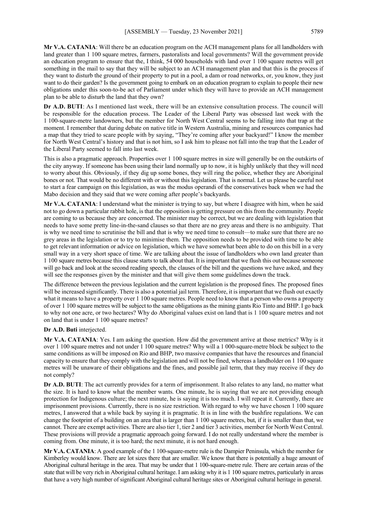**Mr V.A. CATANIA**: Will there be an education program on the ACH management plans for all landholders with land greater than 1 100 square metres, farmers, pastoralists and local governments? Will the government provide an education program to ensure that the, I think, 54 000 households with land over 1 100 square metres will get something in the mail to say that they will be subject to an ACH management plan and that this is the process if they want to disturb the ground of their property to put in a pool, a dam or road networks, or, you know, they just want to do their garden? Is the government going to embark on an education program to explain to people their new obligations under this soon-to-be act of Parliament under which they will have to provide an ACH management plan to be able to disturb the land that they own?

**Dr A.D. BUTI**: As I mentioned last week, there will be an extensive consultation process. The council will be responsible for the education process. The Leader of the Liberal Party was obsessed last week with the 1 100-square-metre landowners, but the member for North West Central seems to be falling into that trap at the moment. I remember that during debate on native title in Western Australia, mining and resources companies had a map that they tried to scare people with by saying, "They're coming after your backyard!" I know the member for North West Central's history and that is not him, so I ask him to please not fall into the trap that the Leader of the Liberal Party seemed to fall into last week.

This is also a pragmatic approach. Properties over 1 100 square metres in size will generally be on the outskirts of the city anyway. If someone has been using their land normally up to now, it is highly unlikely that they will need to worry about this. Obviously, if they dig up some bones, they will ring the police, whether they are Aboriginal bones or not. That would be no different with or without this legislation. That is normal. Let us please be careful not to start a fear campaign on this legislation, as was the modus operandi of the conservatives back when we had the Mabo decision and they said that we were coming after people's backyards.

**Mr V.A. CATANIA**: I understand what the minister is trying to say, but where I disagree with him, when he said not to go down a particular rabbit hole, is that the opposition is getting pressure on this from the community. People are coming to us because they are concerned. The minister may be correct, but we are dealing with legislation that needs to have some pretty line-in-the-sand clauses so that there are no grey areas and there is no ambiguity. That is why we need time to scrutinise the bill and that is why we need time to consult—to make sure that there are no grey areas in the legislation or to try to minimise them. The opposition needs to be provided with time to be able to get relevant information or advice on legislation, which we have somewhat been able to do on this bill in a very small way in a very short space of time. We are talking about the issue of landholders who own land greater than 1 100 square metres because this clause starts to talk about that. It is important that we flush this out because someone will go back and look at the second reading speech, the clauses of the bill and the questions we have asked, and they will see the responses given by the minister and that will give them some guidelines down the track.

The difference between the previous legislation and the current legislation is the proposed fines. The proposed fines will be increased significantly. There is also a potential jail term. Therefore, it is important that we flush out exactly what it means to have a property over 1 100 square metres. People need to know that a person who owns a property of over 1 100 square metres will be subject to the same obligations as the mining giants Rio Tinto and BHP. I go back to why not one acre, or two hectares? Why do Aboriginal values exist on land that is 1 100 square metres and not on land that is under 1 100 square metres?

#### **Dr A.D. Buti** interjected.

**Mr V.A. CATANIA**: Yes. I am asking the question. How did the government arrive at those metrics? Why is it over 1 100 square metres and not under 1 100 square metres? Why will a 1 000-square-metre block be subject to the same conditions as will be imposed on Rio and BHP, two massive companies that have the resources and financial capacity to ensure that they comply with the legislation and will not be fined, whereas a landholder on 1 100 square metres will be unaware of their obligations and the fines, and possible jail term, that they may receive if they do not comply?

**Dr A.D. BUTI**: The act currently provides for a term of imprisonment. It also relates to any land, no matter what the size. It is hard to know what the member wants. One minute, he is saying that we are not providing enough protection for Indigenous culture; the next minute, he is saying it is too much. I will repeat it. Currently, there are imprisonment provisions. Currently, there is no size restriction. With regard to why we have chosen 1 100 square metres, I answered that a while back by saying it is pragmatic. It is in line with the bushfire regulations. We can change the footprint of a building on an area that is larger than 1 100 square metres, but, if it is smaller than that, we cannot. There are exempt activities. There are also tier 1, tier 2 and tier 3 activities, member for North West Central. These provisions will provide a pragmatic approach going forward. I do not really understand where the member is coming from. One minute, it is too hard; the next minute, it is not hard enough.

**Mr V.A. CATANIA**: A good example of the 1 100-square-metre rule is the Dampier Peninsula, which the member for Kimberley would know. There are lot sizes there that are smaller. We know that there is potentially a huge amount of Aboriginal cultural heritage in the area. That may be under that 1 100-square-metre rule. There are certain areas of the state that will be very rich in Aboriginal cultural heritage. I am asking why it is 1 100 square metres, particularly in areas that have a very high number of significant Aboriginal cultural heritage sites or Aboriginal cultural heritage in general.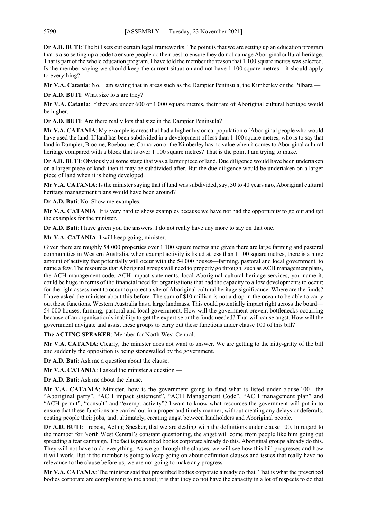**Dr A.D. BUTI**: The bill sets out certain legal frameworks. The point is that we are setting up an education program that is also setting up a code to ensure people do their best to ensure they do not damage Aboriginal cultural heritage. That is part of the whole education program. I have told the member the reason that 1 100 square metres was selected. Is the member saying we should keep the current situation and not have 1 100 square metres—it should apply to everything?

**Mr V.A. Catania**: No. I am saying that in areas such as the Dampier Peninsula, the Kimberley or the Pilbara —

**Dr A.D. BUTI**: What size lots are they?

**Mr V.A. Catania**: If they are under 600 or 1 000 square metres, their rate of Aboriginal cultural heritage would be higher.

**Dr A.D. BUTI**: Are there really lots that size in the Dampier Peninsula?

**Mr V.A. CATANIA**: My example is areas that had a higher historical population of Aboriginal people who would have used the land. If land has been subdivided in a development of less than 1 100 square metres, who is to say that land in Dampier, Broome, Roebourne, Carnarvon or the Kimberley has no value when it comes to Aboriginal cultural heritage compared with a block that is over 1 100 square metres? That is the point I am trying to make.

**Dr A.D. BUTI**: Obviously at some stage that was a larger piece of land. Due diligence would have been undertaken on a larger piece of land; then it may be subdivided after. But the due diligence would be undertaken on a larger piece of land when it is being developed.

**Mr V.A. CATANIA**: Is the minister saying that if land was subdivided, say, 30 to 40 years ago, Aboriginal cultural heritage management plans would have been around?

**Dr A.D. Buti**: No. Show me examples.

**Mr V.A. CATANIA**: It is very hard to show examples because we have not had the opportunity to go out and get the examples for the minister.

**Dr A.D. Buti**: I have given you the answers. I do not really have any more to say on that one.

**Mr V.A. CATANIA**: I will keep going, minister.

Given there are roughly 54 000 properties over 1 100 square metres and given there are large farming and pastoral communities in Western Australia, when exempt activity is listed at less than 1 100 square metres, there is a huge amount of activity that potentially will occur with the 54 000 houses—farming, pastoral and local government, to name a few. The resources that Aboriginal groups will need to properly go through, such as ACH management plans, the ACH management code, ACH impact statements, local Aboriginal cultural heritage services, you name it, could be huge in terms of the financial need for organisations that had the capacity to allow developments to occur; for the right assessment to occur to protect a site of Aboriginal cultural heritage significance. Where are the funds? I have asked the minister about this before. The sum of \$10 million is not a drop in the ocean to be able to carry out these functions. Western Australia has a large landmass. This could potentially impact right across the board— 54 000 houses, farming, pastoral and local government. How will the government prevent bottlenecks occurring because of an organisation's inability to get the expertise or the funds needed? That will cause angst. How will the government navigate and assist these groups to carry out these functions under clause 100 of this bill?

**The ACTING SPEAKER**: Member for North West Central.

**Mr V.A. CATANIA**: Clearly, the minister does not want to answer. We are getting to the nitty-gritty of the bill and suddenly the opposition is being stonewalled by the government.

**Dr A.D. Buti**: Ask me a question about the clause.

**Mr V.A. CATANIA**: I asked the minister a question —

**Dr A.D. Buti**: Ask me about the clause.

**Mr V.A. CATANIA**: Minister, how is the government going to fund what is listed under clause 100—the "Aboriginal party", "ACH impact statement", "ACH Management Code", "ACH management plan" and "ACH permit", "consult" and "exempt activity"? I want to know what resources the government will put in to ensure that these functions are carried out in a proper and timely manner, without creating any delays or deferrals, costing people their jobs, and, ultimately, creating angst between landholders and Aboriginal people.

**Dr A.D. BUTI**: I repeat, Acting Speaker, that we are dealing with the definitions under clause 100. In regard to the member for North West Central's constant questioning, the angst will come from people like him going out spreading a fear campaign. The fact is prescribed bodies corporate already do this. Aboriginal groups already do this. They will not have to do everything. As we go through the clauses, we will see how this bill progresses and how it will work. But if the member is going to keep going on about definition clauses and issues that really have no relevance to the clause before us, we are not going to make any progress.

**Mr V.A. CATANIA**: The minister said that prescribed bodies corporate already do that. That is what the prescribed bodies corporate are complaining to me about; it is that they do not have the capacity in a lot of respects to do that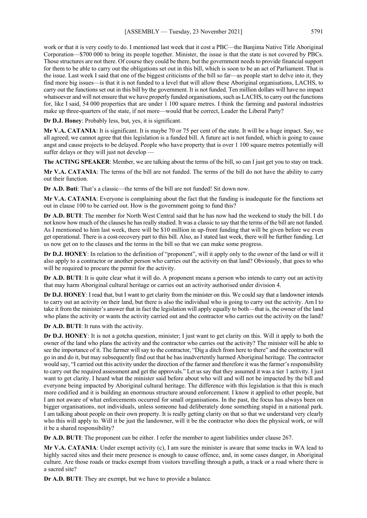work or that it is very costly to do. I mentioned last week that it cost a PBC—the Banjima Native Title Aboriginal Corporation—\$700 000 to bring its people together. Minister, the issue is that the state is not covered by PBCs. Those structures are not there. Of course they could be there, but the government needs to provide financial support for them to be able to carry out the obligations set out in this bill, which is soon to be an act of Parliament. That is the issue. Last week I said that one of the biggest criticisms of the bill so far—as people start to delve into it, they find more big issues—is that it is not funded to a level that will allow these Aboriginal organisations, LACHS, to carry out the functions set out in this bill by the government. It is not funded. Ten million dollars will have no impact whatsoever and will not ensure that we have properly funded organisations, such as LACHS, to carry out the functions for, like I said, 54 000 properties that are under 1 100 square metres. I think the farming and pastoral industries make up three-quarters of the state, if not more—would that be correct, Leader the Liberal Party?

**Dr D.J. Honey**: Probably less, but, yes, it is significant.

**Mr V.A. CATANIA**: It is significant. It is maybe 70 or 75 per cent of the state. It will be a huge impact. Say, we all agreed; we cannot agree that this legislation is a funded bill. A future act is not funded, which is going to cause angst and cause projects to be delayed. People who have property that is over 1 100 square metres potentially will suffer delays or they will just not develop —

**The ACTING SPEAKER**: Member, we are talking about the terms of the bill, so can I just get you to stay on track.

**Mr V.A. CATANIA**: The terms of the bill are not funded. The terms of the bill do not have the ability to carry out their function.

**Dr A.D. Buti**: That's a classic—the terms of the bill are not funded! Sit down now.

**Mr V.A. CATANIA**: Everyone is complaining about the fact that the funding is inadequate for the functions set out in clause 100 to be carried out. How is the government going to fund this?

**Dr A.D. BUTI**: The member for North West Central said that he has now had the weekend to study the bill. I do not know how much of the clauses he has really studied. It was a classic to say that the terms of the bill are not funded. As I mentioned to him last week, there will be \$10 million in up-front funding that will be given before we even get operational. There is a cost-recovery part to this bill. Also, as I stated last week, there will be further funding. Let us now get on to the clauses and the terms in the bill so that we can make some progress.

**Dr D.J. HONEY**: In relation to the definition of "proponent", will it apply only to the owner of the land or will it also apply to a contractor or another person who carries out the activity on that land? Obviously, that goes to who will be required to procure the permit for the activity.

**Dr A.D. BUTI**: It is quite clear what it will do. A proponent means a person who intends to carry out an activity that may harm Aboriginal cultural heritage or carries out an activity authorised under division 4.

**Dr D.J. HONEY**: I read that, but I want to get clarity from the minister on this. We could say that a landowner intends to carry out an activity on their land, but there is also the individual who is going to carry out the activity. Am I to take it from the minister's answer that in fact the legislation will apply equally to both—that is, the owner of the land who plans the activity or wants the activity carried out and the contractor who carries out the activity on the land?

**Dr A.D. BUTI**: It runs with the activity.

**Dr D.J. HONEY**: It is not a gotcha question, minister; I just want to get clarity on this. Will it apply to both the owner of the land who plans the activity and the contractor who carries out the activity? The minister will be able to see the importance of it. The farmer will say to the contractor, "Dig a ditch from here to there" and the contractor will go in and do it, but may subsequently find out that he has inadvertently harmed Aboriginal heritage. The contractor would say, "I carried out this activity under the direction of the farmer and therefore it was the farmer's responsibility to carry out the required assessment and get the approvals." Let us say that they assumed it was a tier 1 activity. I just want to get clarity. I heard what the minister said before about who will and will not be impacted by the bill and everyone being impacted by Aboriginal cultural heritage. The difference with this legislation is that this is much more codified and it is building an enormous structure around enforcement. I know it applied to other people, but I am not aware of what enforcements occurred for small organisations. In the past, the focus has always been on bigger organisations, not individuals, unless someone had deliberately done something stupid in a national park. I am talking about people on their own property. It is really getting clarity on that so that we understand very clearly who this will apply to. Will it be just the landowner, will it be the contractor who does the physical work, or will it be a shared responsibility?

**Dr A.D. BUTI:** The proponent can be either. I refer the member to agent liabilities under clause 267.

**Mr V.A. CATANIA**: Under exempt activity (c), I am sure the minister is aware that some tracks in WA lead to highly sacred sites and their mere presence is enough to cause offence, and, in some cases danger, in Aboriginal culture. Are those roads or tracks exempt from visitors travelling through a path, a track or a road where there is a sacred site?

**Dr A.D. BUTI**: They are exempt, but we have to provide a balance.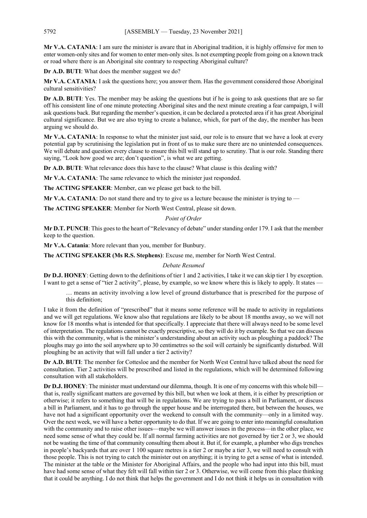**Mr V.A. CATANIA**: I am sure the minister is aware that in Aboriginal tradition, it is highly offensive for men to enter women-only sites and for women to enter men-only sites. Is not exempting people from going on a known track or road where there is an Aboriginal site contrary to respecting Aboriginal culture?

**Dr A.D. BUTI**: What does the member suggest we do?

**Mr V.A. CATANIA**: I ask the questions here; you answer them. Has the government considered those Aboriginal cultural sensitivities?

**Dr A.D. BUTI**: Yes. The member may be asking the questions but if he is going to ask questions that are so far off his consistent line of one minute protecting Aboriginal sites and the next minute creating a fear campaign, I will ask questions back. But regarding the member's question, it can be declared a protected area if it has great Aboriginal cultural significance. But we are also trying to create a balance, which, for part of the day, the member has been arguing we should do.

**Mr V.A. CATANIA**: In response to what the minister just said, our role is to ensure that we have a look at every potential gap by scrutinising the legislation put in front of us to make sure there are no unintended consequences. We will debate and question every clause to ensure this bill will stand up to scrutiny. That is our role. Standing there saying, "Look how good we are; don't question", is what we are getting.

**Dr A.D. BUTI**: What relevance does this have to the clause? What clause is this dealing with?

**Mr V.A. CATANIA**: The same relevance to which the minister just responded.

**The ACTING SPEAKER**: Member, can we please get back to the bill.

**Mr V.A. CATANIA:** Do not stand there and try to give us a lecture because the minister is trying to —

**The ACTING SPEAKER**: Member for North West Central, please sit down.

#### *Point of Order*

**Mr D.T. PUNCH**: This goes to the heart of "Relevancy of debate" under standing order 179. I ask that the member keep to the question.

**Mr V.A. Catania**: More relevant than you, member for Bunbury.

**The ACTING SPEAKER (Ms R.S. Stephens)**: Excuse me, member for North West Central.

#### *Debate Resumed*

**Dr D.J. HONEY**: Getting down to the definitions of tier 1 and 2 activities, I take it we can skip tier 1 by exception. I want to get a sense of "tier 2 activity", please, by example, so we know where this is likely to apply. It states

… means an activity involving a low level of ground disturbance that is prescribed for the purpose of this definition;

I take it from the definition of "prescribed" that it means some reference will be made to activity in regulations and we will get regulations. We know also that regulations are likely to be about 18 months away, so we will not know for 18 months what is intended for that specifically. I appreciate that there will always need to be some level of interpretation. The regulations cannot be exactly prescriptive, so they will do it by example. So that we can discuss this with the community, what is the minister's understanding about an activity such as ploughing a paddock? The ploughs may go into the soil anywhere up to 30 centimetres so the soil will certainly be significantly disturbed. Will ploughing be an activity that will fall under a tier 2 activity?

**Dr A.D. BUTI**: The member for Cottesloe and the member for North West Central have talked about the need for consultation. Tier 2 activities will be prescribed and listed in the regulations, which will be determined following consultation with all stakeholders.

**Dr D.J. HONEY**: The minister must understand our dilemma, though. It is one of my concerns with this whole bill that is, really significant matters are governed by this bill, but when we look at them, it is either by prescription or otherwise; it refers to something that will be in regulations. We are trying to pass a bill in Parliament, or discuss a bill in Parliament, and it has to go through the upper house and be interrogated there, but between the houses, we have not had a significant opportunity over the weekend to consult with the community—only in a limited way. Over the next week, we will have a better opportunity to do that. If we are going to enter into meaningful consultation with the community and to raise other issues—maybe we will answer issues in the process—in the other place, we need some sense of what they could be. If all normal farming activities are not governed by tier 2 or 3, we should not be wasting the time of that community consulting them about it. But if, for example, a plumber who digs trenches in people's backyards that are over 1 100 square metres is a tier 2 or maybe a tier 3, we will need to consult with those people. This is not trying to catch the minister out on anything; it is trying to get a sense of what is intended. The minister at the table or the Minister for Aboriginal Affairs, and the people who had input into this bill, must have had some sense of what they felt will fall within tier 2 or 3. Otherwise, we will come from this place thinking that it could be anything. I do not think that helps the government and I do not think it helps us in consultation with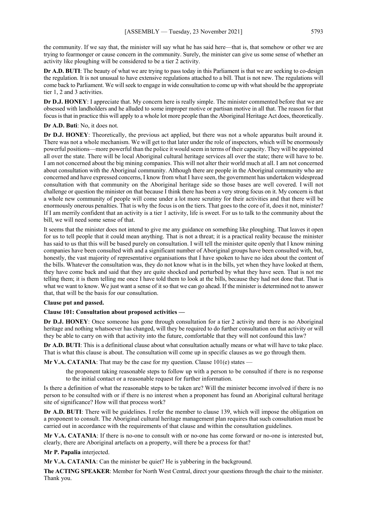the community. If we say that, the minister will say what he has said here—that is, that somehow or other we are trying to fearmonger or cause concern in the community. Surely, the minister can give us some sense of whether an activity like ploughing will be considered to be a tier 2 activity.

**Dr A.D. BUTI:** The beauty of what we are trying to pass today in this Parliament is that we are seeking to co-design the regulation. It is not unusual to have extensive regulations attached to a bill. That is not new. The regulations will come back to Parliament. We will seek to engage in wide consultation to come up with what should be the appropriate tier 1, 2 and 3 activities.

**Dr D.J. HONEY**: I appreciate that. My concern here is really simple. The minister commented before that we are obsessed with landholders and he alluded to some improper motive or partisan motive in all that. The reason for that focus is that in practice this will apply to a whole lot more people than the Aboriginal Heritage Act does, theoretically.

#### **Dr A.D. Buti**: No, it does not.

**Dr D.J. HONEY**: Theoretically, the previous act applied, but there was not a whole apparatus built around it. There was not a whole mechanism. We will get to that later under the role of inspectors, which will be enormously powerful positions—more powerful than the police it would seem in terms of their capacity. They will be appointed all over the state. There will be local Aboriginal cultural heritage services all over the state; there will have to be. I am not concerned about the big mining companies. This will not alter their world much at all. I am not concerned about consultation with the Aboriginal community. Although there are people in the Aboriginal community who are concerned and have expressed concerns, I know from what I have seen, the government has undertaken widespread consultation with that community on the Aboriginal heritage side so those bases are well covered. I will not challenge or question the minister on that because I think there has been a very strong focus on it. My concern is that a whole new community of people will come under a lot more scrutiny for their activities and that there will be enormously onerous penalties. That is why the focus is on the tiers. That goes to the core of it, does it not, minister? If I am merrily confident that an activity is a tier 1 activity, life is sweet. For us to talk to the community about the bill, we will need some sense of that.

It seems that the minister does not intend to give me any guidance on something like ploughing. That leaves it open for us to tell people that it could mean anything. That is not a threat; it is a practical reality because the minister has said to us that this will be based purely on consultation. I will tell the minister quite openly that I know mining companies have been consulted with and a significant number of Aboriginal groups have been consulted with, but, honestly, the vast majority of representative organisations that I have spoken to have no idea about the content of the bills. Whatever the consultation was, they do not know what is in the bills, yet when they have looked at them, they have come back and said that they are quite shocked and perturbed by what they have seen. That is not me telling them; it is them telling me once I have told them to look at the bills, because they had not done that. That is what we want to know. We just want a sense of it so that we can go ahead. If the minister is determined not to answer that, that will be the basis for our consultation.

#### **Clause put and passed.**

#### **Clause 101: Consultation about proposed activities —**

**Dr D.J. HONEY**: Once someone has gone through consultation for a tier 2 activity and there is no Aboriginal heritage and nothing whatsoever has changed, will they be required to do further consultation on that activity or will they be able to carry on with that activity into the future, comfortable that they will not confound this law?

**Dr A.D. BUTI**: This is a definitional clause about what consultation actually means or what will have to take place. That is what this clause is about. The consultation will come up in specific clauses as we go through them.

**Mr V.A. CATANIA:** That may be the case for my question. Clause  $101(e)$  states —

the proponent taking reasonable steps to follow up with a person to be consulted if there is no response to the initial contact or a reasonable request for further information.

Is there a definition of what the reasonable steps to be taken are? Will the minister become involved if there is no person to be consulted with or if there is no interest when a proponent has found an Aboriginal cultural heritage site of significance? How will that process work?

**Dr A.D. BUTI**: There will be guidelines. I refer the member to clause 139, which will impose the obligation on a proponent to consult. The Aboriginal cultural heritage management plan requires that such consultation must be carried out in accordance with the requirements of that clause and within the consultation guidelines.

**Mr V.A. CATANIA**: If there is no-one to consult with or no-one has come forward or no-one is interested but, clearly, there are Aboriginal artefacts on a property, will there be a process for that?

**Mr P. Papalia** interjected.

**Mr V.A. CATANIA**: Can the minister be quiet? He is yabbering in the background.

**The ACTING SPEAKER**: Member for North West Central, direct your questions through the chair to the minister. Thank you.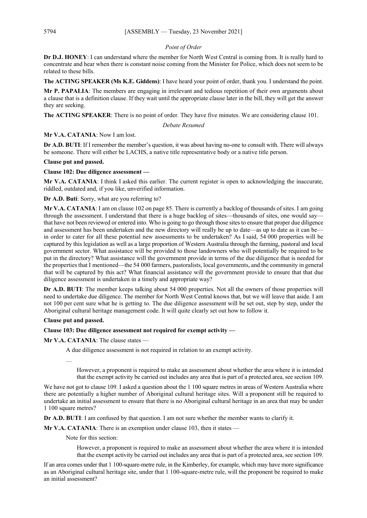#### *Point of Order*

**Dr D.J. HONEY**: I can understand where the member for North West Central is coming from. It is really hard to concentrate and hear when there is constant noise coming from the Minister for Police, which does not seem to be related to these bills.

**The ACTING SPEAKER (Ms K.E. Giddens)**: I have heard your point of order, thank you. I understand the point.

**Mr P. PAPALIA**: The members are engaging in irrelevant and tedious repetition of their own arguments about a clause that is a definition clause. If they wait until the appropriate clause later in the bill, they will get the answer they are seeking.

**The ACTING SPEAKER**: There is no point of order. They have five minutes. We are considering clause 101.

*Debate Resumed*

#### **Mr V.A. CATANIA**: Now I am lost.

**Dr A.D. BUTI**: If I remember the member's question, it was about having no-one to consult with. There will always be someone. There will either be LACHS, a native title representative body or a native title person.

#### **Clause put and passed.**

#### **Clause 102: Due diligence assessment —**

**Mr V.A. CATANIA**: I think I asked this earlier. The current register is open to acknowledging the inaccurate, riddled, outdated and, if you like, unverified information.

**Dr A.D. Buti**: Sorry, what are you referring to?

**Mr V.A. CATANIA**: I am on clause 102 on page 85. There is currently a backlog of thousands of sites. I am going through the assessment. I understand that there is a huge backlog of sites—thousands of sites, one would say that have not been reviewed or entered into. Who is going to go through those sites to ensure that proper due diligence and assessment has been undertaken and the new directory will really be up to date—as up to date as it can be in order to cater for all these potential new assessments to be undertaken? As I said, 54 000 properties will be captured by this legislation as well as a large proportion of Western Australia through the farming, pastoral and local government sector. What assistance will be provided to those landowners who will potentially be required to be put in the directory? What assistance will the government provide in terms of the due diligence that is needed for the properties that I mentioned—the 54 000 farmers, pastoralists, local governments, and the community in general that will be captured by this act? What financial assistance will the government provide to ensure that that due diligence assessment is undertaken in a timely and appropriate way?

**Dr A.D. BUTI**: The member keeps talking about 54 000 properties. Not all the owners of those properties will need to undertake due diligence. The member for North West Central knows that, but we will leave that aside. I am not 100 per cent sure what he is getting to. The due diligence assessment will be set out, step by step, under the Aboriginal cultural heritage management code. It will quite clearly set out how to follow it.

#### **Clause put and passed.**

#### **Clause 103: Due diligence assessment not required for exempt activity —**

**Mr V.A. CATANIA**: The clause states —

A due diligence assessment is not required in relation to an exempt activity.

…

However, a proponent is required to make an assessment about whether the area where it is intended that the exempt activity be carried out includes any area that is part of a protected area, see section 109.

We have not got to clause 109. I asked a question about the 1 100 square metres in areas of Western Australia where there are potentially a higher number of Aboriginal cultural heritage sites. Will a proponent still be required to undertake an initial assessment to ensure that there is no Aboriginal cultural heritage in an area that may be under 1 100 square metres?

**Dr A.D. BUTI**: I am confused by that question. I am not sure whether the member wants to clarify it.

**Mr V.A. CATANIA:** There is an exemption under clause 103, then it states —

Note for this section:

However, a proponent is required to make an assessment about whether the area where it is intended that the exempt activity be carried out includes any area that is part of a protected area, see section 109.

If an area comes under that 1 100-square-metre rule, in the Kimberley, for example, which may have more significance as an Aboriginal cultural heritage site, under that 1 100-square-metre rule, will the proponent be required to make an initial assessment?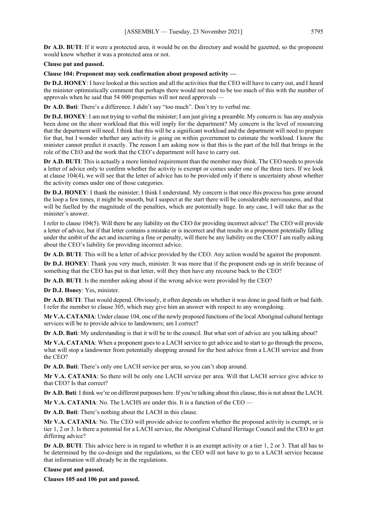**Dr A.D. BUTI**: If it were a protected area, it would be on the directory and would be gazetted, so the proponent would know whether it was a protected area or not.

#### **Clause put and passed.**

#### **Clause 104: Proponent may seek confirmation about proposed activity —**

**Dr D.J. HONEY**: I have looked at this section and all the activities that the CEO will have to carry out, and I heard the minister optimistically comment that perhaps there would not need to be too much of this with the number of approvals when he said that 54 000 properties will not need approvals —

**Dr A.D. Buti**: There's a difference. I didn't say "too much". Don't try to verbal me.

**Dr D.J. HONEY**: I am not trying to verbal the minister; I am just giving a preamble. My concern is: has any analysis been done on the sheer workload that this will imply for the department? My concern is the level of resourcing that the department will need. I think that this will be a significant workload and the department will need to prepare for that, but I wonder whether any activity is going on within government to estimate the workload. I know the minister cannot predict it exactly. The reason I am asking now is that this is the part of the bill that brings in the role of the CEO and the work that the CEO's department will have to carry out.

**Dr A.D. BUTI**: This is actually a more limited requirement than the member may think. The CEO needs to provide a letter of advice only to confirm whether the activity is exempt or comes under one of the three tiers. If we look at clause 104(4), we will see that the letter of advice has to be provided only if there is uncertainty about whether the activity comes under one of those categories.

**Dr D.J. HONEY**: I thank the minister; I think I understand. My concern is that once this process has gone around the loop a few times, it might be smooth, but I suspect at the start there will be considerable nervousness, and that will be fuelled by the magnitude of the penalties, which are potentially huge. In any case, I will take that as the minister's answer.

I refer to clause 104(5). Will there be any liability on the CEO for providing incorrect advice? The CEO will provide a letter of advice, but if that letter contains a mistake or is incorrect and that results in a proponent potentially falling under the ambit of the act and incurring a fine or penalty, will there be any liability on the CEO? I am really asking about the CEO's liability for providing incorrect advice.

**Dr A.D. BUTI**: This will be a letter of advice provided by the CEO. Any action would be against the proponent.

**Dr D.J. HONEY**: Thank you very much, minister. It was more that if the proponent ends up in strife because of something that the CEO has put in that letter, will they then have any recourse back to the CEO?

**Dr A.D. BUTI**: Is the member asking about if the wrong advice were provided by the CEO?

**Dr D.J. Honey**: Yes, minister.

**Dr A.D. BUTI:** That would depend. Obviously, it often depends on whether it was done in good faith or bad faith. I refer the member to clause 305, which may give him an answer with respect to any wrongdoing.

**Mr V.A. CATANIA**: Under clause 104, one of the newly proposed functions of the local Aboriginal cultural heritage services will be to provide advice to landowners; am I correct?

**Dr A.D. Buti**: My understanding is that it will be to the council. But what sort of advice are you talking about?

**Mr V.A. CATANIA**: When a proponent goes to a LACH service to get advice and to start to go through the process, what will stop a landowner from potentially shopping around for the best advice from a LACH service and from the CEO?

**Dr A.D. Buti**: There's only one LACH service per area, so you can't shop around.

**Mr V.A. CATANIA**: So there will be only one LACH service per area. Will that LACH service give advice to that CEO? Is that correct?

**Dr A.D. Buti**: I think we're on different purposes here. If you're talking about this clause, this is not about the LACH.

**Mr V.A. CATANIA:** No. The LACHS are under this. It is a function of the CEO —

**Dr A.D. Buti**: There's nothing about the LACH in this clause.

**Mr V.A. CATANIA**: No. The CEO will provide advice to confirm whether the proposed activity is exempt, or is tier 1, 2 or 3. Is there a potential for a LACH service, the Aboriginal Cultural Heritage Council and the CEO to get differing advice?

**Dr A.D. BUTI**: This advice here is in regard to whether it is an exempt activity or a tier 1, 2 or 3. That all has to be determined by the co-design and the regulations, so the CEO will not have to go to a LACH service because that information will already be in the regulations.

#### **Clause put and passed.**

**Clauses 105 and 106 put and passed.**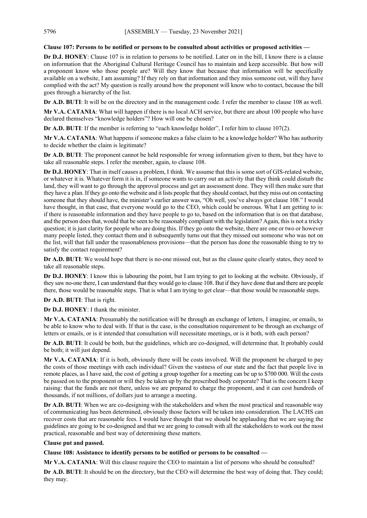#### **Clause 107: Persons to be notified or persons to be consulted about activities or proposed activities —**

**Dr D.J. HONEY**: Clause 107 is in relation to persons to be notified. Later on in the bill, I know there is a clause on information that the Aboriginal Cultural Heritage Council has to maintain and keep accessible. But how will a proponent know who those people are? Will they know that because that information will be specifically available on a website, I am assuming? If they rely on that information and they miss someone out, will they have complied with the act? My question is really around how the proponent will know who to contact, because the bill goes through a hierarchy of the list.

**Dr A.D. BUTI**: It will be on the directory and in the management code. I refer the member to clause 108 as well.

**Mr V.A. CATANIA**: What will happen if there is no local ACH service, but there are about 100 people who have declared themselves "knowledge holders"? How will one be chosen?

**Dr A.D. BUTI**: If the member is referring to "each knowledge holder", I refer him to clause 107(2).

**Mr V.A. CATANIA**: What happens if someone makes a false claim to be a knowledge holder? Who has authority to decide whether the claim is legitimate?

**Dr A.D. BUTI**: The proponent cannot be held responsible for wrong information given to them, but they have to take all reasonable steps. I refer the member, again, to clause 108.

**Dr D.J. HONEY**: That in itself causes a problem, I think. We assume that this is some sort of GIS-related website, or whatever it is. Whatever form it is in, if someone wants to carry out an activity that they think could disturb the land, they will want to go through the approval process and get an assessment done. They will then make sure that they have a plan. If they go onto the website and it lists people that they should contact, but they miss out on contacting someone that they should have, the minister's earlier answer was, "Oh well, you've always got clause 108." I would have thought, in that case, that everyone would go to the CEO, which could be onerous. What I am getting to is: if there is reasonable information and they have people to go to, based on the information that is on that database, and the person does that, would that be seen to be reasonably compliant with the legislation? Again, this is not a tricky question; it is just clarity for people who are doing this. If they go onto the website, there are one or two or however many people listed, they contact them and it subsequently turns out that they missed out someone who was not on the list, will that fall under the reasonableness provisions—that the person has done the reasonable thing to try to satisfy the contact requirement?

**Dr A.D. BUTI**: We would hope that there is no-one missed out, but as the clause quite clearly states, they need to take all reasonable steps.

**Dr D.J. HONEY**: I know this is labouring the point, but I am trying to get to looking at the website. Obviously, if they saw no-one there, I can understand that they would go to clause 108. But if they have done that and there are people there, those would be reasonable steps. That is what I am trying to get clear—that those would be reasonable steps.

**Dr A.D. BUTI**: That is right.

**Dr D.J. HONEY**: I thank the minister.

**Mr V.A. CATANIA**: Presumably the notification will be through an exchange of letters, I imagine, or emails, to be able to know who to deal with. If that is the case, is the consultation requirement to be through an exchange of letters or emails, or is it intended that consultation will necessitate meetings, or is it both, with each person?

**Dr A.D. BUTI**: It could be both, but the guidelines, which are co-designed, will determine that. It probably could be both; it will just depend.

**Mr V.A. CATANIA**: If it is both, obviously there will be costs involved. Will the proponent be charged to pay the costs of those meetings with each individual? Given the vastness of our state and the fact that people live in remote places, as I have said, the cost of getting a group together for a meeting can be up to \$700 000. Will the costs be passed on to the proponent or will they be taken up by the prescribed body corporate? That is the concern I keep raising: that the funds are not there, unless we are prepared to charge the proponent, and it can cost hundreds of thousands, if not millions, of dollars just to arrange a meeting.

**Dr A.D. BUTI:** When we are co-designing with the stakeholders and when the most practical and reasonable way of communicating has been determined, obviously those factors will be taken into consideration. The LACHS can recover costs that are reasonable fees. I would have thought that we should be applauding that we are saying the guidelines are going to be co-designed and that we are going to consult with all the stakeholders to work out the most practical, reasonable and best way of determining these matters.

#### **Clause put and passed.**

**Clause 108: Assistance to identify persons to be notified or persons to be consulted —**

**Mr V.A. CATANIA**: Will this clause require the CEO to maintain a list of persons who should be consulted?

**Dr A.D. BUTI**: It should be on the directory, but the CEO will determine the best way of doing that. They could; they may.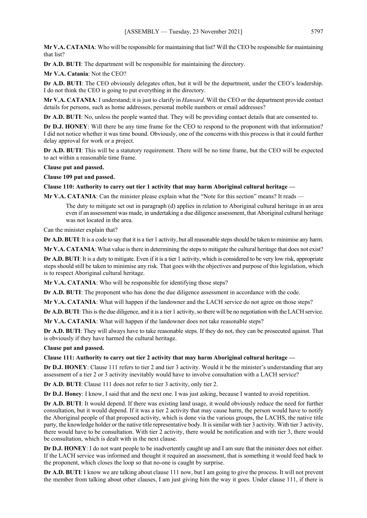**Mr V.A. CATANIA**: Who will be responsible for maintaining that list? Will the CEO be responsible for maintaining that list?

**Dr A.D. BUTI**: The department will be responsible for maintaining the directory.

**Mr V.A. Catania**: Not the CEO?

**Dr A.D. BUTI**: The CEO obviously delegates often, but it will be the department, under the CEO's leadership. I do not think the CEO is going to put everything in the directory.

**Mr V.A. CATANIA**: I understand; it is just to clarify in *Hansard*. Will the CEO or the department provide contact details for persons, such as home addresses, personal mobile numbers or email addresses?

**Dr A.D. BUTI**: No, unless the people wanted that. They will be providing contact details that are consented to.

**Dr D.J. HONEY**: Will there be any time frame for the CEO to respond to the proponent with that information? I did not notice whether it was time bound. Obviously, one of the concerns with this process is that it could further delay approval for work or a project.

**Dr A.D. BUTI**: This will be a statutory requirement. There will be no time frame, but the CEO will be expected to act within a reasonable time frame.

#### **Clause put and passed.**

**Clause 109 put and passed.**

#### **Clause 110: Authority to carry out tier 1 activity that may harm Aboriginal cultural heritage —**

**Mr V.A. CATANIA**: Can the minister please explain what the "Note for this section" means? It reads —

The duty to mitigate set out in paragraph (d) applies in relation to Aboriginal cultural heritage in an area even if an assessment was made, in undertaking a due diligence assessment, that Aboriginal cultural heritage was not located in the area.

Can the minister explain that?

**Dr A.D. BUTI**: It is a code to say that it is a tier 1 activity, but all reasonable steps should be taken to minimise any harm.

**Mr V.A. CATANIA**: What value is there in determining the steps to mitigate the cultural heritage that does not exist?

**Dr A.D. BUTI**: It is a duty to mitigate. Even if it is a tier 1 activity, which is considered to be very low risk, appropriate steps should still be taken to minimise any risk. That goes with the objectives and purpose of this legislation, which is to respect Aboriginal cultural heritage.

**Mr V.A. CATANIA**: Who will be responsible for identifying those steps?

**Dr A.D. BUTI**: The proponent who has done the due diligence assessment in accordance with the code.

**Mr V.A. CATANIA**: What will happen if the landowner and the LACH service do not agree on those steps?

**Dr A.D. BUTI**: This is the due diligence, and it is a tier 1 activity, so there will be no negotiation with the LACH service.

**Mr V.A. CATANIA**: What will happen if the landowner does not take reasonable steps?

**Dr A.D. BUTI**: They will always have to take reasonable steps. If they do not, they can be prosecuted against. That is obviously if they have harmed the cultural heritage.

**Clause put and passed.**

**Clause 111: Authority to carry out tier 2 activity that may harm Aboriginal cultural heritage —**

**Dr D.J. HONEY**: Clause 111 refers to tier 2 and tier 3 activity. Would it be the minister's understanding that any assessment of a tier 2 or 3 activity inevitably would have to involve consultation with a LACH service?

**Dr A.D. BUTI**: Clause 111 does not refer to tier 3 activity, only tier 2.

**Dr D.J. Honey**: I know, I said that and the next one. I was just asking, because I wanted to avoid repetition.

**Dr A.D. BUTI**: It would depend. If there was existing land usage, it would obviously reduce the need for further consultation, but it would depend. If it was a tier 2 activity that may cause harm, the person would have to notify the Aboriginal people of that proposed activity, which is done via the various groups, the LACHS, the native title party, the knowledge holder or the native title representative body. It is similar with tier 3 activity. With tier 3 activity, there would have to be consultation. With tier 2 activity, there would be notification and with tier 3, there would be consultation, which is dealt with in the next clause.

**Dr D.J. HONEY**: I do not want people to be inadvertently caught up and I am sure that the minister does not either. If the LACH service was informed and thought it required an assessment, that is something it would feed back to the proponent, which closes the loop so that no-one is caught by surprise.

**Dr A.D. BUTI**: I know we are talking about clause 111 now, but I am going to give the process. It will not prevent the member from talking about other clauses, I am just giving him the way it goes. Under clause 111, if there is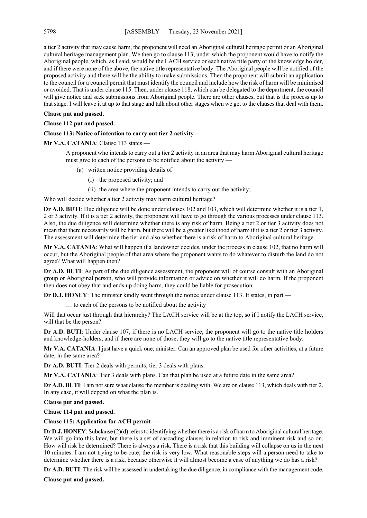a tier 2 activity that may cause harm, the proponent will need an Aboriginal cultural heritage permit or an Aboriginal cultural heritage management plan. We then go to clause 113, under which the proponent would have to notify the Aboriginal people, which, as I said, would be the LACH service or each native title party or the knowledge holder, and if there were none of the above, the native title representative body. The Aboriginal people will be notified of the proposed activity and there will be the ability to make submissions. Then the proponent will submit an application to the council for a council permit that must identify the council and include how the risk of harm will be minimised or avoided. That is under clause 115. Then, under clause 118, which can be delegated to the department, the council will give notice and seek submissions from Aboriginal people. There are other clauses, but that is the process up to that stage. I will leave it at up to that stage and talk about other stages when we get to the clauses that deal with them.

#### **Clause put and passed.**

#### **Clause 112 put and passed.**

#### **Clause 113: Notice of intention to carry out tier 2 activity —**

Mr V.A. CATANIA: Clause 113 states -

A proponent who intends to carry out a tier 2 activity in an area that may harm Aboriginal cultural heritage must give to each of the persons to be notified about the activity —

- (a) written notice providing details of
	- (i) the proposed activity; and
	- (ii) the area where the proponent intends to carry out the activity;

Who will decide whether a tier 2 activity may harm cultural heritage?

**Dr A.D. BUTI**: Due diligence will be done under clauses 102 and 103, which will determine whether it is a tier 1, 2 or 3 activity. If it is a tier 2 activity, the proponent will have to go through the various processes under clause 113. Also, the due diligence will determine whether there is any risk of harm. Being a tier 2 or tier 3 activity does not mean that there necessarily will be harm, but there will be a greater likelihood of harm if it is a tier 2 or tier 3 activity. The assessment will determine the tier and also whether there is a risk of harm to Aboriginal cultural heritage.

**Mr V.A. CATANIA**: What will happen if a landowner decides, under the process in clause 102, that no harm will occur, but the Aboriginal people of that area where the proponent wants to do whatever to disturb the land do not agree? What will happen then?

**Dr A.D. BUTI**: As part of the due diligence assessment, the proponent will of course consult with an Aboriginal group or Aboriginal person, who will provide information or advice on whether it will do harm. If the proponent then does not obey that and ends up doing harm, they could be liable for prosecution.

**Dr D.J. HONEY**: The minister kindly went through the notice under clause 113. It states, in part —

… to each of the persons to be notified about the activity —

Will that occur just through that hierarchy? The LACH service will be at the top, so if I notify the LACH service, will that be the person?

**Dr A.D. BUTI**: Under clause 107, if there is no LACH service, the proponent will go to the native title holders and knowledge-holders, and if there are none of those, they will go to the native title representative body.

**Mr V.A. CATANIA**: I just have a quick one, minister. Can an approved plan be used for other activities, at a future date, in the same area?

**Dr A.D. BUTI**: Tier 2 deals with permits; tier 3 deals with plans.

**Mr V.A. CATANIA**: Tier 3 deals with plans. Can that plan be used at a future date in the same area?

**Dr A.D. BUTI**: I am not sure what clause the member is dealing with. We are on clause 113, which deals with tier 2. In any case, it will depend on what the plan is.

**Clause put and passed.**

**Clause 114 put and passed.**

#### **Clause 115: Application for ACH permit —**

**Dr D.J. HONEY**: Subclause (2)(d) refers to identifying whether there is a risk of harm to Aboriginal cultural heritage. We will go into this later, but there is a set of cascading clauses in relation to risk and imminent risk and so on. How will risk be determined? There is always a risk. There is a risk that this building will collapse on us in the next 10 minutes. I am not trying to be cute; the risk is very low. What reasonable steps will a person need to take to determine whether there is a risk, because otherwise it will almost become a case of anything we do has a risk?

**Dr A.D. BUTI**: The risk will be assessed in undertaking the due diligence, in compliance with the management code.

**Clause put and passed.**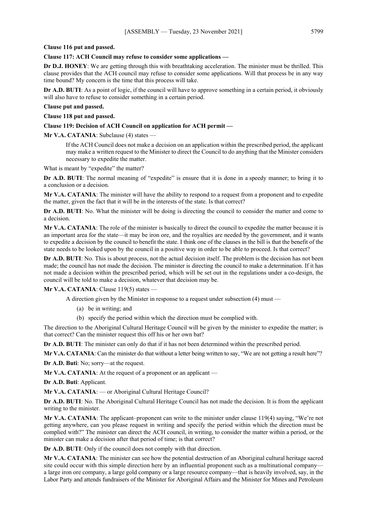#### **Clause 116 put and passed.**

## **Clause 117: ACH Council may refuse to consider some applications —**

**Dr D.J. HONEY**: We are getting through this with breathtaking acceleration. The minister must be thrilled. This clause provides that the ACH council may refuse to consider some applications. Will that process be in any way time bound? My concern is the time that this process will take.

**Dr A.D. BUTI**: As a point of logic, if the council will have to approve something in a certain period, it obviously will also have to refuse to consider something in a certain period.

## **Clause put and passed.**

#### **Clause 118 put and passed.**

#### **Clause 119: Decision of ACH Council on application for ACH permit —**

**Mr V.A. CATANIA**: Subclause (4) states —

If the ACH Council does not make a decision on an application within the prescribed period, the applicant may make a written request to the Minister to direct the Council to do anything that the Minister considers necessary to expedite the matter.

What is meant by "expedite" the matter?

**Dr A.D. BUTI:** The normal meaning of "expedite" is ensure that it is done in a speedy manner; to bring it to a conclusion or a decision.

**Mr V.A. CATANIA**: The minister will have the ability to respond to a request from a proponent and to expedite the matter, given the fact that it will be in the interests of the state. Is that correct?

**Dr A.D. BUTI:** No. What the minister will be doing is directing the council to consider the matter and come to a decision.

**Mr V.A. CATANIA**: The role of the minister is basically to direct the council to expedite the matter because it is an important area for the state—it may be iron ore, and the royalties are needed by the government, and it wants to expedite a decision by the council to benefit the state. I think one of the clauses in the bill is that the benefit of the state needs to be looked upon by the council in a positive way in order to be able to proceed. Is that correct?

**Dr A.D. BUTI**: No. This is about process, not the actual decision itself. The problem is the decision has not been made; the council has not made the decision. The minister is directing the council to make a determination. If it has not made a decision within the prescribed period, which will be set out in the regulations under a co-design, the council will be told to make a decision, whatever that decision may be.

#### **Mr V.A. CATANIA**: Clause 119(5) states —

A direction given by the Minister in response to a request under subsection (4) must —

- (a) be in writing; and
- (b) specify the period within which the direction must be complied with.

The direction to the Aboriginal Cultural Heritage Council will be given by the minister to expedite the matter; is that correct? Can the minister request this off his or her own bat?

**Dr A.D. BUTI**: The minister can only do that if it has not been determined within the prescribed period.

**Mr V.A. CATANIA:** Can the minister do that without a letter being written to say, "We are not getting a result here"?

**Dr A.D. Buti**: No; sorry—at the request.

**Mr V.A. CATANIA**: At the request of a proponent or an applicant —

**Dr A.D. Buti**: Applicant.

**Mr V.A. CATANIA**: — or Aboriginal Cultural Heritage Council?

**Dr A.D. BUTI**: No. The Aboriginal Cultural Heritage Council has not made the decision. It is from the applicant writing to the minister.

**Mr V.A. CATANIA**: The applicant–proponent can write to the minister under clause 119(4) saying, "We're not getting anywhere, can you please request in writing and specify the period within which the direction must be complied with?" The minister can direct the ACH council, in writing, to consider the matter within a period, or the minister can make a decision after that period of time; is that correct?

**Dr A.D. BUTI**: Only if the council does not comply with that direction.

**Mr V.A. CATANIA**: The minister can see how the potential destruction of an Aboriginal cultural heritage sacred site could occur with this simple direction here by an influential proponent such as a multinational company a large iron ore company, a large gold company or a large resource company—that is heavily involved, say, in the Labor Party and attends fundraisers of the Minister for Aboriginal Affairs and the Minister for Mines and Petroleum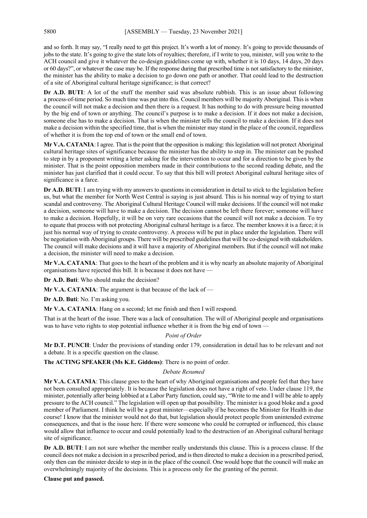and so forth. It may say, "I really need to get this project. It's worth a lot of money. It's going to provide thousands of jobs to the state. It's going to give the state lots of royalties; therefore, if I write to you, minister, will you write to the ACH council and give it whatever the co-design guidelines come up with, whether it is 10 days, 14 days, 20 days or 60 days?", or whatever the case may be. If the response during that prescribed time is not satisfactory to the minister, the minister has the ability to make a decision to go down one path or another. That could lead to the destruction of a site of Aboriginal cultural heritage significance; is that correct?

**Dr A.D. BUTI**: A lot of the stuff the member said was absolute rubbish. This is an issue about following a process-of-time period. So much time was put into this. Council members will be majority Aboriginal. This is when the council will not make a decision and then there is a request. It has nothing to do with pressure being mounted by the big end of town or anything. The council's purpose is to make a decision. If it does not make a decision, someone else has to make a decision. That is when the minister tells the council to make a decision. If it does not make a decision within the specified time, that is when the minister may stand in the place of the council, regardless of whether it is from the top end of town or the small end of town.

**Mr V.A. CATANIA**: I agree. That is the point that the opposition is making: this legislation will not protect Aboriginal cultural heritage sites of significance because the minister has the ability to step in. The minister can be pushed to step in by a proponent writing a letter asking for the intervention to occur and for a direction to be given by the minister. That is the point opposition members made in their contributions to the second reading debate, and the minister has just clarified that it could occur. To say that this bill will protect Aboriginal cultural heritage sites of significance is a farce.

**Dr A.D. BUTI**: I am trying with my answers to questions in consideration in detail to stick to the legislation before us, but what the member for North West Central is saying is just absurd. This is his normal way of trying to start scandal and controversy. The Aboriginal Cultural Heritage Council will make decisions. If the council will not make a decision, someone will have to make a decision. The decision cannot be left there forever; someone will have to make a decision. Hopefully, it will be on very rare occasions that the council will not make a decision. To try to equate that process with not protecting Aboriginal cultural heritage is a farce. The member knows it is a farce; it is just his normal way of trying to create controversy. A process will be put in place under the legislation. There will be negotiation with Aboriginal groups. There will be prescribed guidelines that will be co-designed with stakeholders. The council will make decisions and it will have a majority of Aboriginal members. But if the council will not make a decision, the minister will need to make a decision.

**Mr V.A. CATANIA**: That goes to the heart of the problem and it is why nearly an absolute majority of Aboriginal organisations have rejected this bill. It is because it does not have —

**Dr A.D. Buti**: Who should make the decision?

**Mr V.A. CATANIA**: The argument is that because of the lack of —

**Dr A.D. Buti**: No. I'm asking you.

**Mr V.A. CATANIA:** Hang on a second; let me finish and then I will respond.

That is at the heart of the issue. There was a lack of consultation. The will of Aboriginal people and organisations was to have veto rights to stop potential influence whether it is from the big end of town —

# *Point of Order*

**Mr D.T. PUNCH**: Under the provisions of standing order 179, consideration in detail has to be relevant and not a debate. It is a specific question on the clause.

**The ACTING SPEAKER (Ms K.E. Giddens)**: There is no point of order.

## *Debate Resumed*

**Mr V.A. CATANIA**: This clause goes to the heart of why Aboriginal organisations and people feel that they have not been consulted appropriately. It is because the legislation does not have a right of veto. Under clause 119, the minister, potentially after being lobbied at a Labor Party function, could say, "Write to me and I will be able to apply pressure to the ACH council." The legislation will open up that possibility. The minister is a good bloke and a good member of Parliament. I think he will be a great minister—especially if he becomes the Minister for Health in due course! I know that the minister would not do that, but legislation should protect people from unintended extreme consequences, and that is the issue here. If there were someone who could be corrupted or influenced, this clause would allow that influence to occur and could potentially lead to the destruction of an Aboriginal cultural heritage site of significance.

**Dr A.D. BUTI**: I am not sure whether the member really understands this clause. This is a process clause. If the council does not make a decision in a prescribed period, and is then directed to make a decision in a prescribed period, only then can the minister decide to step in in the place of the council. One would hope that the council will make an overwhelmingly majority of the decisions. This is a process only for the granting of the permit.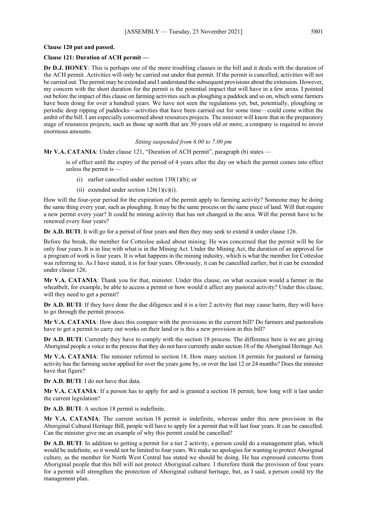## **Clause 120 put and passed.**

# **Clause 121: Duration of ACH permit —**

**Dr D.J. HONEY**: This is perhaps one of the more troubling clauses in the bill and it deals with the duration of the ACH permit. Activities will only be carried out under that permit. If the permit is cancelled, activities will not be carried out. The permit may be extended and I understand the subsequent provisions about the extension. However, my concern with the short duration for the permit is the potential impact that will have in a few areas. I pointed out before the impact of this clause on farming activities such as ploughing a paddock and so on, which some farmers have been doing for over a hundred years. We have not seen the regulations yet, but, potentially, ploughing or periodic deep ripping of paddocks—activities that have been carried out for some time—could come within the ambit of the bill. I am especially concerned about resources projects. The minister will know that in the preparatory stage of resources projects, such as those up north that are 30 years old or more, a company is required to invest enormous amounts.

*Sitting suspended from 6.00 to 7.00 pm*

**Mr V.A. CATANIA**: Under clause 121, "Duration of ACH permit", paragraph (b) states —

is of effect until the expiry of the period of 4 years after the day on which the permit comes into effect unless the permit is —

- (i) earlier cancelled under section 130(1)(b); or
- (ii) extended under section  $126(1)(c)(i)$ .

How will the four-year period for the expiration of the permit apply to farming activity? Someone may be doing the same thing every year, such as ploughing. It may be the same process on the same piece of land. Will that require a new permit every year? It could be mining activity that has not changed in the area. Will the permit have to be renewed every four years?

**Dr A.D. BUTI**: It will go for a period of four years and then they may seek to extend it under clause 126.

Before the break, the member for Cottesloe asked about mining. He was concerned that the permit will be for only four years. It is in line with what is in the Mining Act. Under the Mining Act, the duration of an approval for a program of work is four years. It is what happens in the mining industry, which is what the member for Cottesloe was referring to. As I have stated, it is for four years. Obviously, it can be cancelled earlier, but it can be extended under clause 126.

**Mr V.A. CATANIA**: Thank you for that, minister. Under this clause, on what occasion would a farmer in the wheatbelt, for example, be able to access a permit or how would it affect any pastoral activity? Under this clause, will they need to get a permit?

**Dr A.D. BUTI**: If they have done the due diligence and it is a tier 2 activity that may cause harm, they will have to go through the permit process.

**Mr V.A. CATANIA**: How does this compare with the provisions in the current bill? Do farmers and pastoralists have to get a permit to carry out works on their land or is this a new provision in this bill?

**Dr A.D. BUTI**: Currently they have to comply with the section 18 process. The difference here is we are giving Aboriginal people a voice in the process that they do not have currently under section 18 of the Aboriginal Heritage Act.

**Mr V.A. CATANIA**: The minister referred to section 18. How many section 18 permits for pastoral or farming activity has the farming sector applied for over the years gone by, or over the last 12 or 24 months? Does the minister have that figure?

**Dr A.D. BUTI**: I do not have that data.

**Mr V.A. CATANIA**: If a person has to apply for and is granted a section 18 permit, how long will it last under the current legislation?

**Dr A.D. BUTI**: A section 18 permit is indefinite.

**Mr V.A. CATANIA**: The current section 18 permit is indefinite, whereas under this new provision in the Aboriginal Cultural Heritage Bill, people will have to apply for a permit that will last four years. It can be cancelled. Can the minister give me an example of why this permit could be cancelled?

**Dr A.D. BUTI**: In addition to getting a permit for a tier 2 activity, a person could do a management plan, which would be indefinite, so it would not be limited to four years. We make no apologies for wanting to protect Aboriginal culture, as the member for North West Central has stated we should be doing. He has expressed concerns from Aboriginal people that this bill will not protect Aboriginal culture. I therefore think the provision of four years for a permit will strengthen the protection of Aboriginal cultural heritage, but, as I said, a person could try the management plan.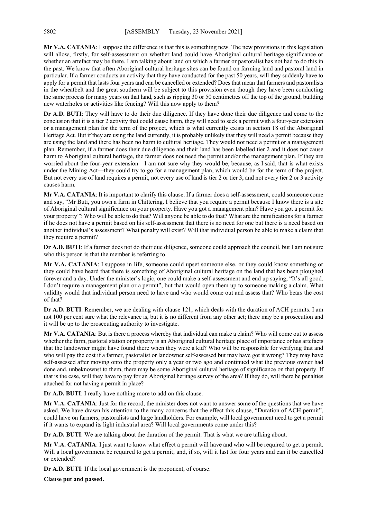**Mr V.A. CATANIA**: I suppose the difference is that this is something new. The new provisions in this legislation will allow, firstly, for self-assessment on whether land could have Aboriginal cultural heritage significance or whether an artefact may be there. I am talking about land on which a farmer or pastoralist has not had to do this in the past. We know that often Aboriginal cultural heritage sites can be found on farming land and pastoral land in particular. If a farmer conducts an activity that they have conducted for the past 50 years, will they suddenly have to apply for a permit that lasts four years and can be cancelled or extended? Does that mean that farmers and pastoralists in the wheatbelt and the great southern will be subject to this provision even though they have been conducting the same process for many years on that land, such as ripping 30 or 50 centimetres off the top of the ground, building new waterholes or activities like fencing? Will this now apply to them?

**Dr A.D. BUTI**: They will have to do their due diligence. If they have done their due diligence and come to the conclusion that it is a tier 2 activity that could cause harm, they will need to seek a permit with a four-year extension or a management plan for the term of the project, which is what currently exists in section 18 of the Aboriginal Heritage Act. But if they are using the land currently, it is probably unlikely that they will need a permit because they are using the land and there has been no harm to cultural heritage. They would not need a permit or a management plan. Remember, if a farmer does their due diligence and their land has been labelled tier 2 and it does not cause harm to Aboriginal cultural heritage, the farmer does not need the permit and/or the management plan. If they are worried about the four-year extension—I am not sure why they would be, because, as I said, that is what exists under the Mining Act—they could try to go for a management plan, which would be for the term of the project. But not every use of land requires a permit, not every use of land is tier 2 or tier 3, and not every tier 2 or 3 activity causes harm.

**Mr V.A. CATANIA**: It is important to clarify this clause. If a farmer does a self-assessment, could someone come and say, "Mr Buti, you own a farm in Chittering. I believe that you require a permit because I know there is a site of Aboriginal cultural significance on your property. Have you got a management plan? Have you got a permit for your property"? Who will be able to do that? Will anyone be able to do that? What are the ramifications for a farmer if he does not have a permit based on his self-assessment that there is no need for one but there is a need based on another individual's assessment? What penalty will exist? Will that individual person be able to make a claim that they require a permit?

**Dr A.D. BUTI**: If a farmer does not do their due diligence, someone could approach the council, but I am not sure who this person is that the member is referring to.

**Mr V.A. CATANIA**: I suppose in life, someone could upset someone else, or they could know something or they could have heard that there is something of Aboriginal cultural heritage on the land that has been ploughed forever and a day. Under the minister's logic, one could make a self-assessment and end up saying, "It's all good. I don't require a management plan or a permit", but that would open them up to someone making a claim. What validity would that individual person need to have and who would come out and assess that? Who bears the cost of that?

**Dr A.D. BUTI**: Remember, we are dealing with clause 121, which deals with the duration of ACH permits. I am not 100 per cent sure what the relevance is, but it is no different from any other act; there may be a prosecution and it will be up to the prosecuting authority to investigate.

**Mr V.A. CATANIA**: But is there a process whereby that individual can make a claim? Who will come out to assess whether the farm, pastoral station or property is an Aboriginal cultural heritage place of importance or has artefacts that the landowner might have found there when they were a kid? Who will be responsible for verifying that and who will pay the cost if a farmer, pastoralist or landowner self-assessed but may have got it wrong? They may have self-assessed after moving onto the property only a year or two ago and continued what the previous owner had done and, unbeknownst to them, there may be some Aboriginal cultural heritage of significance on that property. If that is the case, will they have to pay for an Aboriginal heritage survey of the area? If they do, will there be penalties attached for not having a permit in place?

**Dr A.D. BUTI**: I really have nothing more to add on this clause.

**Mr V.A. CATANIA**: Just for the record, the minister does not want to answer some of the questions that we have asked. We have drawn his attention to the many concerns that the effect this clause, "Duration of ACH permit", could have on farmers, pastoralists and large landholders. For example, will local government need to get a permit if it wants to expand its light industrial area? Will local governments come under this?

**Dr A.D. BUTI**: We are talking about the duration of the permit. That is what we are talking about.

**Mr V.A. CATANIA**: I just want to know what effect a permit will have and who will be required to get a permit. Will a local government be required to get a permit; and, if so, will it last for four years and can it be cancelled or extended?

**Dr A.D. BUTI**: If the local government is the proponent, of course.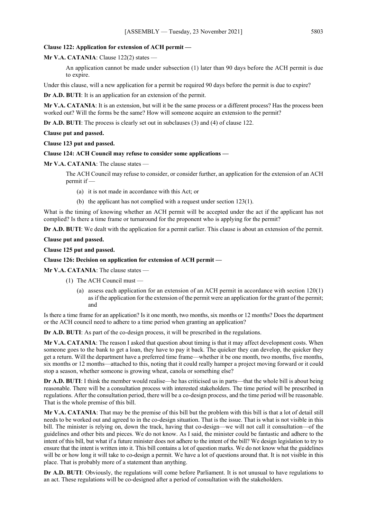#### **Clause 122: Application for extension of ACH permit —**

**Mr V.A. CATANIA**: Clause 122(2) states —

An application cannot be made under subsection (1) later than 90 days before the ACH permit is due to expire.

Under this clause, will a new application for a permit be required 90 days before the permit is due to expire?

**Dr A.D. BUTI**: It is an application for an extension of the permit.

**Mr V.A. CATANIA**: It is an extension, but will it be the same process or a different process? Has the process been worked out? Will the forms be the same? How will someone acquire an extension to the permit?

**Dr A.D. BUTI:** The process is clearly set out in subclauses (3) and (4) of clause 122.

**Clause put and passed.**

**Clause 123 put and passed.**

#### **Clause 124: ACH Council may refuse to consider some applications —**

**Mr V.A. CATANIA**: The clause states —

The ACH Council may refuse to consider, or consider further, an application for the extension of an ACH permit if —

(a) it is not made in accordance with this Act; or

(b) the applicant has not complied with a request under section 123(1).

What is the timing of knowing whether an ACH permit will be accepted under the act if the applicant has not complied? Is there a time frame or turnaround for the proponent who is applying for the permit?

**Dr A.D. BUTI**: We dealt with the application for a permit earlier. This clause is about an extension of the permit.

**Clause put and passed.**

**Clause 125 put and passed.**

#### **Clause 126: Decision on application for extension of ACH permit —**

**Mr V.A. CATANIA**: The clause states —

- (1) The ACH Council must
	- (a) assess each application for an extension of an ACH permit in accordance with section 120(1) as if the application for the extension of the permit were an application for the grant of the permit; and

Is there a time frame for an application? Is it one month, two months, six months or 12 months? Does the department or the ACH council need to adhere to a time period when granting an application?

**Dr A.D. BUTI**: As part of the co-design process, it will be prescribed in the regulations.

**Mr V.A. CATANIA**: The reason I asked that question about timing is that it may affect development costs. When someone goes to the bank to get a loan, they have to pay it back. The quicker they can develop, the quicker they get a return. Will the department have a preferred time frame—whether it be one month, two months, five months, six months or 12 months—attached to this, noting that it could really hamper a project moving forward or it could stop a season, whether someone is growing wheat, canola or something else?

**Dr A.D. BUTI:** I think the member would realise—he has criticised us in parts—that the whole bill is about being reasonable. There will be a consultation process with interested stakeholders. The time period will be prescribed in regulations. After the consultation period, there will be a co-design process, and the time period will be reasonable. That is the whole premise of this bill.

**Mr V.A. CATANIA**: That may be the premise of this bill but the problem with this bill is that a lot of detail still needs to be worked out and agreed to in the co-design situation. That is the issue. That is what is not visible in this bill. The minister is relying on, down the track, having that co-design—we will not call it consultation—of the guidelines and other bits and pieces. We do not know. As I said, the minister could be fantastic and adhere to the intent of this bill, but what if a future minister does not adhere to the intent of the bill? We design legislation to try to ensure that the intent is written into it. This bill contains a lot of question marks. We do not know what the guidelines will be or how long it will take to co-design a permit. We have a lot of questions around that. It is not visible in this place. That is probably more of a statement than anything.

**Dr A.D. BUTI**: Obviously, the regulations will come before Parliament. It is not unusual to have regulations to an act. These regulations will be co-designed after a period of consultation with the stakeholders.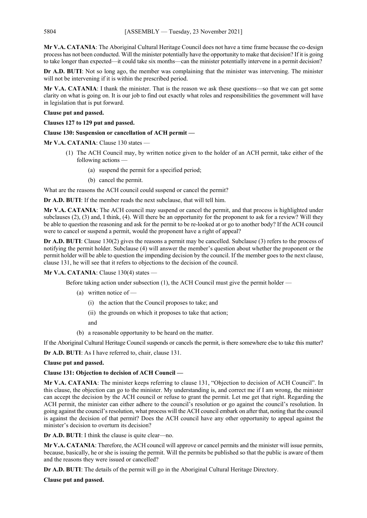**Mr V.A. CATANIA**: The Aboriginal Cultural Heritage Council does not have a time frame because the co-design process has not been conducted. Will the minister potentially have the opportunity to make that decision? If it is going to take longer than expected—it could take six months—can the minister potentially intervene in a permit decision?

**Dr A.D. BUTI:** Not so long ago, the member was complaining that the minister was intervening. The minister will not be intervening if it is within the prescribed period.

**Mr V.A. CATANIA**: I thank the minister. That is the reason we ask these questions—so that we can get some clarity on what is going on. It is our job to find out exactly what roles and responsibilities the government will have in legislation that is put forward.

## **Clause put and passed.**

**Clauses 127 to 129 put and passed.**

# **Clause 130: Suspension or cancellation of ACH permit —**

**Mr V.A. CATANIA**: Clause 130 states —

- (1) The ACH Council may, by written notice given to the holder of an ACH permit, take either of the following actions —
	- (a) suspend the permit for a specified period;
	- (b) cancel the permit.

What are the reasons the ACH council could suspend or cancel the permit?

**Dr A.D. BUTI**: If the member reads the next subclause, that will tell him.

**Mr V.A. CATANIA**: The ACH council may suspend or cancel the permit, and that process is highlighted under subclauses (2), (3) and, I think, (4). Will there be an opportunity for the proponent to ask for a review? Will they be able to question the reasoning and ask for the permit to be re-looked at or go to another body? If the ACH council were to cancel or suspend a permit, would the proponent have a right of appeal?

**Dr A.D. BUTI**: Clause 130(2) gives the reasons a permit may be cancelled. Subclause (3) refers to the process of notifying the permit holder. Subclause (4) will answer the member's question about whether the proponent or the permit holder will be able to question the impending decision by the council. If the member goes to the next clause, clause 131, he will see that it refers to objections to the decision of the council.

# **Mr V.A. CATANIA**: Clause 130(4) states —

Before taking action under subsection (1), the ACH Council must give the permit holder —

- (a) written notice of
	- (i) the action that the Council proposes to take; and
	- (ii) the grounds on which it proposes to take that action;

and

(b) a reasonable opportunity to be heard on the matter.

If the Aboriginal Cultural Heritage Council suspends or cancels the permit, is there somewhere else to take this matter?

**Dr A.D. BUTI**: As I have referred to, chair, clause 131.

## **Clause put and passed.**

# **Clause 131: Objection to decision of ACH Council —**

**Mr V.A. CATANIA**: The minister keeps referring to clause 131, "Objection to decision of ACH Council". In this clause, the objection can go to the minister. My understanding is, and correct me if I am wrong, the minister can accept the decision by the ACH council or refuse to grant the permit. Let me get that right. Regarding the ACH permit, the minister can either adhere to the council's resolution or go against the council's resolution. In going against the council's resolution, what process will the ACH council embark on after that, noting that the council is against the decision of that permit? Does the ACH council have any other opportunity to appeal against the minister's decision to overturn its decision?

**Dr A.D. BUTI**: I think the clause is quite clear—no.

**Mr V.A. CATANIA**: Therefore, the ACH council will approve or cancel permits and the minister will issue permits, because, basically, he or she is issuing the permit. Will the permits be published so that the public is aware of them and the reasons they were issued or cancelled?

**Dr A.D. BUTI**: The details of the permit will go in the Aboriginal Cultural Heritage Directory.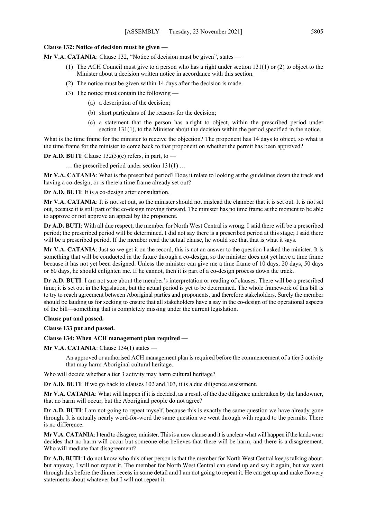#### **Clause 132: Notice of decision must be given —**

**Mr V.A. CATANIA**: Clause 132, "Notice of decision must be given", states —

- (1) The ACH Council must give to a person who has a right under section 131(1) or (2) to object to the Minister about a decision written notice in accordance with this section.
- (2) The notice must be given within 14 days after the decision is made.
- (3) The notice must contain the following
	- (a) a description of the decision;
	- (b) short particulars of the reasons for the decision;
	- (c) a statement that the person has a right to object, within the prescribed period under section 131(1), to the Minister about the decision within the period specified in the notice.

What is the time frame for the minister to receive the objection? The proponent has 14 days to object, so what is the time frame for the minister to come back to that proponent on whether the permit has been approved?

**Dr A.D. BUTI:** Clause  $132(3)(c)$  refers, in part, to –

… the prescribed period under section 131(1) …

**Mr V.A. CATANIA**: What is the prescribed period? Does it relate to looking at the guidelines down the track and having a co-design, or is there a time frame already set out?

**Dr A.D. BUTI**: It is a co-design after consultation.

**Mr V.A. CATANIA**: It is not set out, so the minister should not mislead the chamber that it is set out. It is not set out, because it is still part of the co-design moving forward. The minister has no time frame at the moment to be able to approve or not approve an appeal by the proponent.

**Dr A.D. BUTI**: With all due respect, the member for North West Central is wrong. I said there will be a prescribed period; the prescribed period will be determined. I did not say there is a prescribed period at this stage; I said there will be a prescribed period. If the member read the actual clause, he would see that that is what it says.

**Mr V.A. CATANIA**: Just so we get it on the record, this is not an answer to the question I asked the minister. It is something that will be conducted in the future through a co-design, so the minister does not yet have a time frame because it has not yet been designed. Unless the minister can give me a time frame of 10 days, 20 days, 50 days or 60 days, he should enlighten me. If he cannot, then it is part of a co-design process down the track.

**Dr A.D. BUTI**: I am not sure about the member's interpretation or reading of clauses. There will be a prescribed time; it is set out in the legislation, but the actual period is yet to be determined. The whole framework of this bill is to try to reach agreement between Aboriginal parties and proponents, and therefore stakeholders. Surely the member should be lauding us for seeking to ensure that all stakeholders have a say in the co-design of the operational aspects of the bill—something that is completely missing under the current legislation.

#### **Clause put and passed.**

**Clause 133 put and passed.**

## **Clause 134: When ACH management plan required —**

**Mr V.A. CATANIA**: Clause 134(1) states —

An approved or authorised ACH management plan is required before the commencement of a tier 3 activity that may harm Aboriginal cultural heritage.

Who will decide whether a tier 3 activity may harm cultural heritage?

**Dr A.D. BUTI**: If we go back to clauses 102 and 103, it is a due diligence assessment.

**Mr V.A. CATANIA**: What will happen if it is decided, as a result of the due diligence undertaken by the landowner, that no harm will occur, but the Aboriginal people do not agree?

**Dr A.D. BUTI**: I am not going to repeat myself, because this is exactly the same question we have already gone through. It is actually nearly word-for-word the same question we went through with regard to the permits. There is no difference.

**Mr V.A. CATANIA**: I tend to disagree, minister. This is a new clause and it is unclear what will happen if the landowner decides that no harm will occur but someone else believes that there will be harm, and there is a disagreement. Who will mediate that disagreement?

**Dr A.D. BUTI**: I do not know who this other person is that the member for North West Central keeps talking about, but anyway, I will not repeat it. The member for North West Central can stand up and say it again, but we went through this before the dinner recess in some detail and I am not going to repeat it. He can get up and make flowery statements about whatever but I will not repeat it.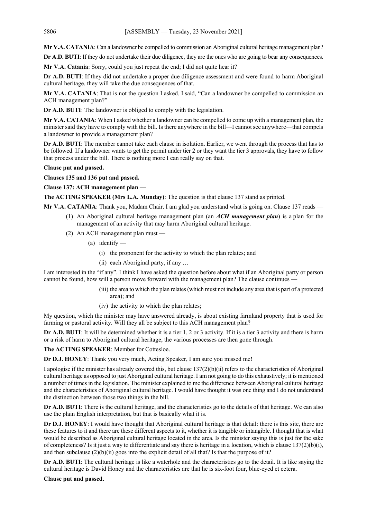**Mr V.A. CATANIA**: Can a landowner be compelled to commission an Aboriginal cultural heritage management plan?

**Dr A.D. BUTI:** If they do not undertake their due diligence, they are the ones who are going to bear any consequences.

**Mr V.A. Catania**: Sorry, could you just repeat the end; I did not quite hear it?

**Dr A.D. BUTI**: If they did not undertake a proper due diligence assessment and were found to harm Aboriginal cultural heritage, they will take the due consequences of that.

**Mr V.A. CATANIA**: That is not the question I asked. I said, "Can a landowner be compelled to commission an ACH management plan?"

**Dr A.D. BUTI**: The landowner is obliged to comply with the legislation.

**Mr V.A. CATANIA**: When I asked whether a landowner can be compelled to come up with a management plan, the minister said they have to comply with the bill. Is there anywhere in the bill—I cannot see anywhere—that compels a landowner to provide a management plan?

**Dr A.D. BUTI**: The member cannot take each clause in isolation. Earlier, we went through the process that has to be followed. If a landowner wants to get the permit under tier 2 or they want the tier 3 approvals, they have to follow that process under the bill. There is nothing more I can really say on that.

# **Clause put and passed.**

**Clauses 135 and 136 put and passed.**

**Clause 137: ACH management plan —**

**The ACTING SPEAKER (Mrs L.A. Munday)**: The question is that clause 137 stand as printed.

**Mr V.A. CATANIA**: Thank you, Madam Chair. I am glad you understand what is going on. Clause 137 reads —

- (1) An Aboriginal cultural heritage management plan (an *ACH management plan*) is a plan for the management of an activity that may harm Aboriginal cultural heritage.
- (2) An ACH management plan must
	- (a) identify  $-$ 
		- (i) the proponent for the activity to which the plan relates; and
		- (ii) each Aboriginal party, if any …

I am interested in the "if any". I think I have asked the question before about what if an Aboriginal party or person cannot be found, how will a person move forward with the management plan? The clause continues -

- (iii) the area to which the plan relates (which must not include any area that is part of a protected area); and
- (iv) the activity to which the plan relates;

My question, which the minister may have answered already, is about existing farmland property that is used for farming or pastoral activity. Will they all be subject to this ACH management plan?

**Dr A.D. BUTI**: It will be determined whether it is a tier 1, 2 or 3 activity. If it is a tier 3 activity and there is harm or a risk of harm to Aboriginal cultural heritage, the various processes are then gone through.

**The ACTING SPEAKER**: Member for Cottesloe.

**Dr D.J. HONEY**: Thank you very much, Acting Speaker, I am sure you missed me!

I apologise if the minister has already covered this, but clause 137(2)(b)(ii) refers to the characteristics of Aboriginal cultural heritage as opposed to just Aboriginal cultural heritage. I am not going to do this exhaustively; it is mentioned a number of times in the legislation. The minister explained to me the difference between Aboriginal cultural heritage and the characteristics of Aboriginal cultural heritage. I would have thought it was one thing and I do not understand the distinction between those two things in the bill.

**Dr A.D. BUTI**: There is the cultural heritage, and the characteristics go to the details of that heritage. We can also use the plain English interpretation, but that is basically what it is.

**Dr D.J. HONEY**: I would have thought that Aboriginal cultural heritage is that detail: there is this site, there are these features to it and there are these different aspects to it, whether it is tangible or intangible. I thought that is what would be described as Aboriginal cultural heritage located in the area. Is the minister saying this is just for the sake of completeness? Is it just a way to differentiate and say there is heritage in a location, which is clause  $137(2)(b)(i)$ , and then subclause  $(2)(b)(ii)$  goes into the explicit detail of all that? Is that the purpose of it?

**Dr A.D. BUTI**: The cultural heritage is like a waterhole and the characteristics go to the detail. It is like saying the cultural heritage is David Honey and the characteristics are that he is six-foot four, blue-eyed et cetera.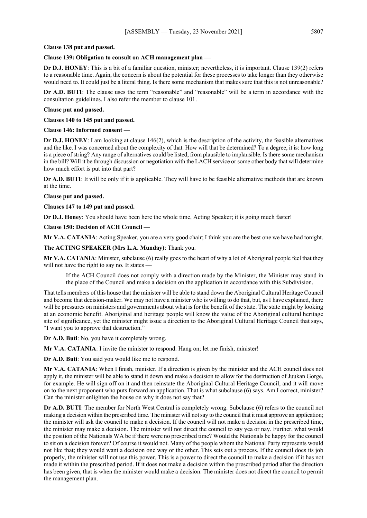#### **Clause 138 put and passed.**

## **Clause 139: Obligation to consult on ACH management plan —**

**Dr D.J. HONEY**: This is a bit of a familiar question, minister; nevertheless, it is important. Clause 139(2) refers to a reasonable time. Again, the concern is about the potential for these processes to take longer than they otherwise would need to. It could just be a literal thing. Is there some mechanism that makes sure that this is not unreasonable?

**Dr A.D. BUTI**: The clause uses the term "reasonable" and "reasonable" will be a term in accordance with the consultation guidelines. I also refer the member to clause 101.

#### **Clause put and passed.**

**Clauses 140 to 145 put and passed.**

#### **Clause 146: Informed consent —**

**Dr D.J. HONEY**: I am looking at clause 146(2), which is the description of the activity, the feasible alternatives and the like. I was concerned about the complexity of that. How will that be determined? To a degree, it is: how long is a piece of string? Any range of alternatives could be listed, from plausible to implausible. Is there some mechanism in the bill? Will it be through discussion or negotiation with the LACH service or some other body that will determine how much effort is put into that part?

**Dr A.D. BUTI**: It will be only if it is applicable. They will have to be feasible alternative methods that are known at the time.

**Clause put and passed.**

**Clauses 147 to 149 put and passed.**

**Dr D.J. Honey**: You should have been here the whole time, Acting Speaker; it is going much faster!

**Clause 150: Decision of ACH Council —**

**Mr V.A. CATANIA**: Acting Speaker, you are a very good chair; I think you are the best one we have had tonight.

**The ACTING SPEAKER (Mrs L.A. Munday)**: Thank you.

**Mr V.A. CATANIA**: Minister, subclause (6) really goes to the heart of why a lot of Aboriginal people feel that they will not have the right to say no. It states -

If the ACH Council does not comply with a direction made by the Minister, the Minister may stand in the place of the Council and make a decision on the application in accordance with this Subdivision.

That tells members of this house that the minister will be able to stand down the Aboriginal Cultural Heritage Council and become that decision-maker. We may not have a minister who is willing to do that, but, as I have explained, there will be pressures on ministers and governments about what is for the benefit of the state. The state might by looking at an economic benefit. Aboriginal and heritage people will know the value of the Aboriginal cultural heritage site of significance, yet the minister might issue a direction to the Aboriginal Cultural Heritage Council that says, "I want you to approve that destruction."

**Dr A.D. Buti**: No, you have it completely wrong.

**Mr V.A. CATANIA**: I invite the minister to respond. Hang on; let me finish, minister!

**Dr A.D. Buti**: You said you would like me to respond.

**Mr V.A. CATANIA**: When I finish, minister. If a direction is given by the minister and the ACH council does not apply it, the minister will be able to stand it down and make a decision to allow for the destruction of Juukan Gorge, for example. He will sign off on it and then reinstate the Aboriginal Cultural Heritage Council, and it will move on to the next proponent who puts forward an application. That is what subclause (6) says. Am I correct, minister? Can the minister enlighten the house on why it does not say that?

**Dr A.D. BUTI**: The member for North West Central is completely wrong. Subclause (6) refers to the council not making a decision within the prescribed time. The minister will not say to the council that it must approve an application; the minister will ask the council to make a decision. If the council will not make a decision in the prescribed time, the minister may make a decision. The minister will not direct the council to say yea or nay. Further, what would the position of the Nationals WA be if there were no prescribed time? Would the Nationals be happy for the council to sit on a decision forever? Of course it would not. Many of the people whom the National Party represents would not like that; they would want a decision one way or the other. This sets out a process. If the council does its job properly, the minister will not use this power. This is a power to direct the council to make a decision if it has not made it within the prescribed period. If it does not make a decision within the prescribed period after the direction has been given, that is when the minister would make a decision. The minister does not direct the council to permit the management plan.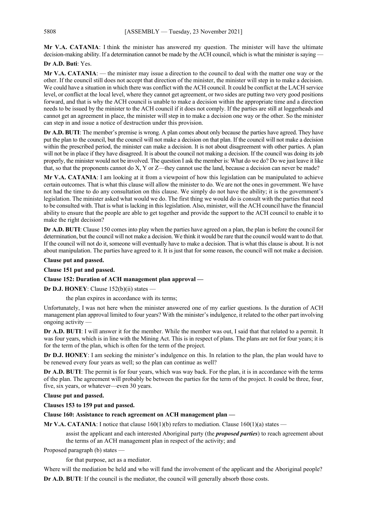**Mr V.A. CATANIA**: I think the minister has answered my question. The minister will have the ultimate decision-making ability. If a determination cannot be made by the ACH council, which is what the minister is saying

**Dr A.D. Buti**: Yes.

**Mr V.A. CATANIA**: — the minister may issue a direction to the council to deal with the matter one way or the other. If the council still does not accept that direction of the minister, the minister will step in to make a decision. We could have a situation in which there was conflict with the ACH council. It could be conflict at the LACH service level, or conflict at the local level, where they cannot get agreement, or two sides are putting two very good positions forward, and that is why the ACH council is unable to make a decision within the appropriate time and a direction needs to be issued by the minister to the ACH council if it does not comply. If the parties are still at loggerheads and cannot get an agreement in place, the minister will step in to make a decision one way or the other. So the minister can step in and issue a notice of destruction under this provision.

**Dr A.D. BUTI**: The member's premise is wrong. A plan comes about only because the parties have agreed. They have put the plan to the council, but the council will not make a decision on that plan. If the council will not make a decision within the prescribed period, the minister can make a decision. It is not about disagreement with other parties. A plan will not be in place if they have disagreed. It is about the council not making a decision. If the council was doing its job properly, the minister would not be involved. The question I ask the member is: What do we do? Do we just leave it like that, so that the proponents cannot do X, Y or Z—they cannot use the land, because a decision can never be made?

**Mr V.A. CATANIA**: I am looking at it from a viewpoint of how this legislation can be manipulated to achieve certain outcomes. That is what this clause will allow the minister to do. We are not the ones in government. We have not had the time to do any consultation on this clause. We simply do not have the ability; it is the government's legislation. The minister asked what would we do. The first thing we would do is consult with the parties that need to be consulted with. That is what is lacking in this legislation. Also, minister, will the ACH council have the financial ability to ensure that the people are able to get together and provide the support to the ACH council to enable it to make the right decision?

**Dr A.D. BUTI**: Clause 150 comes into play when the parties have agreed on a plan, the plan is before the council for determination, but the council will not make a decision. We think it would be rare that the council would want to do that. If the council will not do it, someone will eventually have to make a decision. That is what this clause is about. It is not about manipulation. The parties have agreed to it. It is just that for some reason, the council will not make a decision.

# **Clause put and passed.**

**Clause 151 put and passed.**

# **Clause 152: Duration of ACH management plan approval —**

**Dr D.J. HONEY**: Clause 152(b)(ii) states —

the plan expires in accordance with its terms;

Unfortunately, I was not here when the minister answered one of my earlier questions. Is the duration of ACH management plan approval limited to four years? With the minister's indulgence, it related to the other part involving ongoing activity —

**Dr A.D. BUTI**: I will answer it for the member. While the member was out, I said that that related to a permit. It was four years, which is in line with the Mining Act. This is in respect of plans. The plans are not for four years; it is for the term of the plan, which is often for the term of the project.

**Dr D.J. HONEY**: I am seeking the minister's indulgence on this. In relation to the plan, the plan would have to be renewed every four years as well; so the plan can continue as well?

**Dr A.D. BUTI**: The permit is for four years, which was way back. For the plan, it is in accordance with the terms of the plan. The agreement will probably be between the parties for the term of the project. It could be three, four, five, six years, or whatever—even 30 years.

**Clause put and passed.**

**Clauses 153 to 159 put and passed.**

**Clause 160: Assistance to reach agreement on ACH management plan —**

**Mr V.A. CATANIA**: I notice that clause  $160(1)(b)$  refers to mediation. Clause  $160(1)(a)$  states —

assist the applicant and each interested Aboriginal party (the *proposed parties*) to reach agreement about the terms of an ACH management plan in respect of the activity; and

Proposed paragraph (b) states —

for that purpose, act as a mediator.

Where will the mediation be held and who will fund the involvement of the applicant and the Aboriginal people?

**Dr A.D. BUTI**: If the council is the mediator, the council will generally absorb those costs.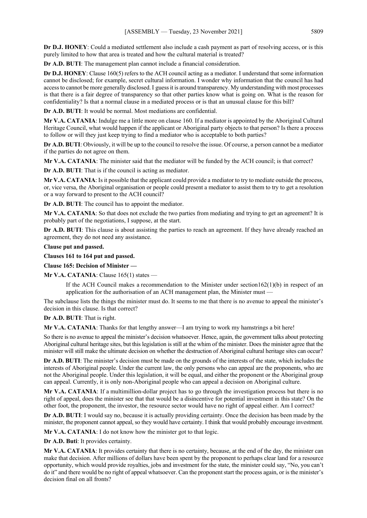**Dr D.J. HONEY**: Could a mediated settlement also include a cash payment as part of resolving access, or is this purely limited to how that area is treated and how the cultural material is treated?

**Dr A.D. BUTI**: The management plan cannot include a financial consideration.

**Dr D.J. HONEY**: Clause 160(5) refers to the ACH council acting as a mediator. I understand that some information cannot be disclosed; for example, secret cultural information. I wonder why information that the council has had access to cannot be more generally disclosed. I guess it is around transparency. My understanding with most processes is that there is a fair degree of transparency so that other parties know what is going on. What is the reason for confidentiality? Is that a normal clause in a mediated process or is that an unusual clause for this bill?

**Dr A.D. BUTI**: It would be normal. Most mediations are confidential.

**Mr V.A. CATANIA**: Indulge me a little more on clause 160. If a mediator is appointed by the Aboriginal Cultural Heritage Council, what would happen if the applicant or Aboriginal party objects to that person? Is there a process to follow or will they just keep trying to find a mediator who is acceptable to both parties?

**Dr A.D. BUTI**: Obviously, it will be up to the council to resolve the issue. Of course, a person cannot be a mediator if the parties do not agree on them.

**Mr V.A. CATANIA**: The minister said that the mediator will be funded by the ACH council; is that correct?

**Dr A.D. BUTI**: That is if the council is acting as mediator.

**Mr V.A. CATANIA**: Is it possible that the applicant could provide a mediator to try to mediate outside the process, or, vice versa, the Aboriginal organisation or people could present a mediator to assist them to try to get a resolution or a way forward to present to the ACH council?

**Dr A.D. BUTI**: The council has to appoint the mediator.

**Mr V.A. CATANIA**: So that does not exclude the two parties from mediating and trying to get an agreement? It is probably part of the negotiations, I suppose, at the start.

**Dr A.D. BUTI**: This clause is about assisting the parties to reach an agreement. If they have already reached an agreement, they do not need any assistance.

**Clause put and passed.**

**Clauses 161 to 164 put and passed.**

**Clause 165: Decision of Minister —**

**Mr V.A. CATANIA**: Clause 165(1) states —

If the ACH Council makes a recommendation to the Minister under section162(1)(b) in respect of an application for the authorisation of an ACH management plan, the Minister must -

The subclause lists the things the minister must do. It seems to me that there is no avenue to appeal the minister's decision in this clause. Is that correct?

**Dr A.D. BUTI**: That is right.

**Mr V.A. CATANIA**: Thanks for that lengthy answer—I am trying to work my hamstrings a bit here!

So there is no avenue to appeal the minister's decision whatsoever. Hence, again, the government talks about protecting Aboriginal cultural heritage sites, but this legislation is still at the whim of the minister. Does the minister agree that the minister will still make the ultimate decision on whether the destruction of Aboriginal cultural heritage sites can occur?

**Dr A.D. BUTI**: The minister's decision must be made on the grounds of the interests of the state, which includes the interests of Aboriginal people. Under the current law, the only persons who can appeal are the proponents, who are not the Aboriginal people. Under this legislation, it will be equal, and either the proponent or the Aboriginal group can appeal. Currently, it is only non-Aboriginal people who can appeal a decision on Aboriginal culture.

**Mr V.A. CATANIA**: If a multimillion-dollar project has to go through the investigation process but there is no right of appeal, does the minister see that that would be a disincentive for potential investment in this state? On the other foot, the proponent, the investor, the resource sector would have no right of appeal either. Am I correct?

**Dr A.D. BUTI**: I would say no, because it is actually providing certainty. Once the decision has been made by the minister, the proponent cannot appeal, so they would have certainty. I think that would probably encourage investment.

**Mr V.A. CATANIA**: I do not know how the minister got to that logic.

**Dr A.D. Buti**: It provides certainty.

**Mr V.A. CATANIA**: It provides certainty that there is no certainty, because, at the end of the day, the minister can make that decision. After millions of dollars have been spent by the proponent to perhaps clear land for a resource opportunity, which would provide royalties, jobs and investment for the state, the minister could say, "No, you can't do it" and there would be no right of appeal whatsoever. Can the proponent start the process again, or is the minister's decision final on all fronts?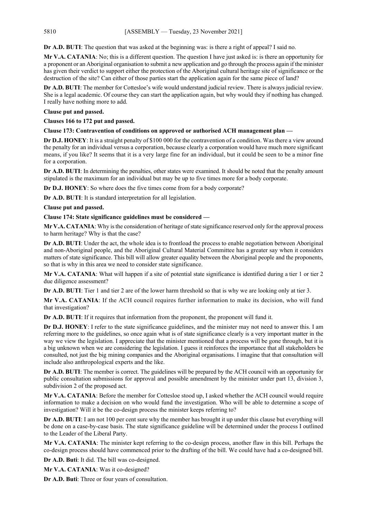**Dr A.D. BUTI**: The question that was asked at the beginning was: is there a right of appeal? I said no.

**Mr V.A. CATANIA**: No; this is a different question. The question I have just asked is: is there an opportunity for a proponent or an Aboriginal organisation to submit a new application and go through the process again if the minister has given their verdict to support either the protection of the Aboriginal cultural heritage site of significance or the destruction of the site? Can either of those parties start the application again for the same piece of land?

**Dr A.D. BUTI**: The member for Cottesloe's wife would understand judicial review. There is always judicial review. She is a legal academic. Of course they can start the application again, but why would they if nothing has changed. I really have nothing more to add.

## **Clause put and passed.**

**Clauses 166 to 172 put and passed.**

**Clause 173: Contravention of conditions on approved or authorised ACH management plan —**

**Dr D.J. HONEY**: It is a straight penalty of \$100 000 for the contravention of a condition. Was there a view around the penalty for an individual versus a corporation, because clearly a corporation would have much more significant means, if you like? It seems that it is a very large fine for an individual, but it could be seen to be a minor fine for a corporation.

**Dr A.D. BUTI**: In determining the penalties, other states were examined. It should be noted that the penalty amount stipulated is the maximum for an individual but may be up to five times more for a body corporate.

**Dr D.J. HONEY**: So where does the five times come from for a body corporate?

**Dr A.D. BUTI**: It is standard interpretation for all legislation.

**Clause put and passed.**

## **Clause 174: State significance guidelines must be considered —**

**Mr V.A. CATANIA**: Why is the consideration of heritage of state significance reserved only for the approval process to harm heritage? Why is that the case?

**Dr A.D. BUTI**: Under the act, the whole idea is to frontload the process to enable negotiation between Aboriginal and non-Aboriginal people, and the Aboriginal Cultural Material Committee has a greater say when it considers matters of state significance. This bill will allow greater equality between the Aboriginal people and the proponents, so that is why in this area we need to consider state significance.

**Mr V.A. CATANIA**: What will happen if a site of potential state significance is identified during a tier 1 or tier 2 due diligence assessment?

**Dr A.D. BUTI**: Tier 1 and tier 2 are of the lower harm threshold so that is why we are looking only at tier 3.

**Mr V.A. CATANIA**: If the ACH council requires further information to make its decision, who will fund that investigation?

**Dr A.D. BUTI**: If it requires that information from the proponent, the proponent will fund it.

**Dr D.J. HONEY**: I refer to the state significance guidelines, and the minister may not need to answer this. I am referring more to the guidelines, so once again what is of state significance clearly is a very important matter in the way we view the legislation. I appreciate that the minister mentioned that a process will be gone through, but it is a big unknown when we are considering the legislation. I guess it reinforces the importance that all stakeholders be consulted, not just the big mining companies and the Aboriginal organisations. I imagine that that consultation will include also anthropological experts and the like.

**Dr A.D. BUTI**: The member is correct. The guidelines will be prepared by the ACH council with an opportunity for public consultation submissions for approval and possible amendment by the minister under part 13, division 3, subdivision 2 of the proposed act.

**Mr V.A. CATANIA**: Before the member for Cottesloe stood up, I asked whether the ACH council would require information to make a decision on who would fund the investigation. Who will be able to determine a scope of investigation? Will it be the co-design process the minister keeps referring to?

**Dr A.D. BUTI**: I am not 100 per cent sure why the member has brought it up under this clause but everything will be done on a case-by-case basis. The state significance guideline will be determined under the process I outlined to the Leader of the Liberal Party.

**Mr V.A. CATANIA**: The minister kept referring to the co-design process, another flaw in this bill. Perhaps the co-design process should have commenced prior to the drafting of the bill. We could have had a co-designed bill.

**Dr A.D. Buti**: It did. The bill was co-designed.

**Mr V.A. CATANIA**: Was it co-designed?

**Dr A.D. Buti**: Three or four years of consultation.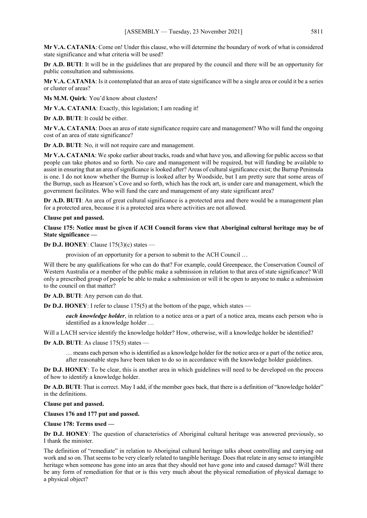**Mr V.A. CATANIA**: Come on! Under this clause, who will determine the boundary of work of what is considered state significance and what criteria will be used?

**Dr A.D. BUTI**: It will be in the guidelines that are prepared by the council and there will be an opportunity for public consultation and submissions.

**Mr V.A. CATANIA**: Is it contemplated that an area of state significance will be a single area or could it be a series or cluster of areas?

**Ms M.M. Quirk**: You'd know about clusters!

**Mr V.A. CATANIA**: Exactly, this legislation; I am reading it!

**Dr A.D. BUTI**: It could be either.

**Mr V.A. CATANIA**: Does an area of state significance require care and management? Who will fund the ongoing cost of an area of state significance?

**Dr A.D. BUTI**: No, it will not require care and management.

**Mr V.A. CATANIA**: We spoke earlier about tracks, roads and what have you, and allowing for public access so that people can take photos and so forth. No care and management will be required, but will funding be available to assist in ensuring that an area of significance is looked after? Areas of cultural significance exist; the Burrup Peninsula is one. I do not know whether the Burrup is looked after by Woodside, but I am pretty sure that some areas of the Burrup, such as Hearson's Cove and so forth, which has the rock art, is under care and management, which the government facilitates. Who will fund the care and management of any state significant area?

**Dr A.D. BUTI**: An area of great cultural significance is a protected area and there would be a management plan for a protected area, because it is a protected area where activities are not allowed.

#### **Clause put and passed.**

**Clause 175: Notice must be given if ACH Council forms view that Aboriginal cultural heritage may be of State significance —**

**Dr D.J. HONEY**: Clause 175(3)(c) states —

provision of an opportunity for a person to submit to the ACH Council …

Will there be any qualifications for who can do that? For example, could Greenpeace, the Conservation Council of Western Australia or a member of the public make a submission in relation to that area of state significance? Will only a prescribed group of people be able to make a submission or will it be open to anyone to make a submission to the council on that matter?

**Dr A.D. BUTI**: Any person can do that.

**Dr D.J. HONEY**: I refer to clause 175(5) at the bottom of the page, which states —

*each knowledge holder*, in relation to a notice area or a part of a notice area, means each person who is identified as a knowledge holder …

Will a LACH service identify the knowledge holder? How, otherwise, will a knowledge holder be identified?

**Dr A.D. BUTI**: As clause 175(5) states —

… means each person who is identified as a knowledge holder for the notice area or a part of the notice area, after reasonable steps have been taken to do so in accordance with the knowledge holder guidelines.

**Dr D.J. HONEY**: To be clear, this is another area in which guidelines will need to be developed on the process of how to identify a knowledge holder.

**Dr A.D. BUTI**: That is correct. May I add, if the member goes back, that there is a definition of "knowledge holder" in the definitions.

**Clause put and passed.**

**Clauses 176 and 177 put and passed.**

**Clause 178: Terms used —**

**Dr D.J. HONEY**: The question of characteristics of Aboriginal cultural heritage was answered previously, so I thank the minister.

The definition of "remediate" in relation to Aboriginal cultural heritage talks about controlling and carrying out work and so on. That seems to be very clearly related to tangible heritage. Does that relate in any sense to intangible heritage when someone has gone into an area that they should not have gone into and caused damage? Will there be any form of remediation for that or is this very much about the physical remediation of physical damage to a physical object?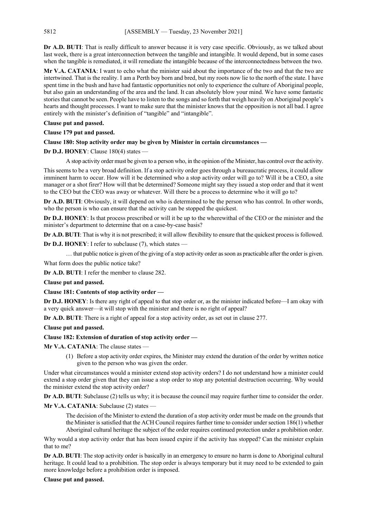**Dr A.D. BUTI**: That is really difficult to answer because it is very case specific. Obviously, as we talked about last week, there is a great interconnection between the tangible and intangible. It would depend, but in some cases when the tangible is remediated, it will remediate the intangible because of the interconnectedness between the two.

**Mr V.A. CATANIA**: I want to echo what the minister said about the importance of the two and that the two are intertwined. That is the reality. I am a Perth boy born and bred, but my roots now lie to the north of the state. I have spent time in the bush and have had fantastic opportunities not only to experience the culture of Aboriginal people, but also gain an understanding of the area and the land. It can absolutely blow your mind. We have some fantastic stories that cannot be seen. People have to listen to the songs and so forth that weigh heavily on Aboriginal people's hearts and thought processes. I want to make sure that the minister knows that the opposition is not all bad. I agree entirely with the minister's definition of "tangible" and "intangible".

# **Clause put and passed.**

**Clause 179 put and passed.**

## **Clause 180: Stop activity order may be given by Minister in certain circumstances —**

## **Dr D.J. HONEY**: Clause 180(4) states —

A stop activity order must be given to a person who, in the opinion of the Minister, has control over the activity.

This seems to be a very broad definition. If a stop activity order goes through a bureaucratic process, it could allow imminent harm to occur. How will it be determined who a stop activity order will go to? Will it be a CEO, a site manager or a shot firer? How will that be determined? Someone might say they issued a stop order and that it went to the CEO but the CEO was away or whatever. Will there be a process to determine who it will go to?

**Dr A.D. BUTI**: Obviously, it will depend on who is determined to be the person who has control. In other words, who the person is who can ensure that the activity can be stopped the quickest.

**Dr D.J. HONEY**: Is that process prescribed or will it be up to the wherewithal of the CEO or the minister and the minister's department to determine that on a case-by-case basis?

**Dr A.D. BUTI**: That is why it is not prescribed; it will allow flexibility to ensure that the quickest process is followed.

**Dr D.J. HONEY**: I refer to subclause (7), which states —

… that public notice is given of the giving of a stop activity order as soon as practicable after the order is given.

What form does the public notice take?

**Dr A.D. BUTI**: I refer the member to clause 282.

**Clause put and passed.**

**Clause 181: Contents of stop activity order —**

**Dr D.J. HONEY**: Is there any right of appeal to that stop order or, as the minister indicated before—I am okay with a very quick answer—it will stop with the minister and there is no right of appeal?

**Dr A.D. BUTI**: There is a right of appeal for a stop activity order, as set out in clause 277.

## **Clause put and passed.**

## **Clause 182: Extension of duration of stop activity order —**

**Mr V.A. CATANIA**: The clause states —

(1) Before a stop activity order expires, the Minister may extend the duration of the order by written notice given to the person who was given the order.

Under what circumstances would a minister extend stop activity orders? I do not understand how a minister could extend a stop order given that they can issue a stop order to stop any potential destruction occurring. Why would the minister extend the stop activity order?

**Dr A.D. BUTI**: Subclause (2) tells us why; it is because the council may require further time to consider the order.

## **Mr V.A. CATANIA**: Subclause (2) states —

The decision of the Minister to extend the duration of a stop activity order must be made on the grounds that the Minister is satisfied that the ACH Council requires further time to consider under section 186(1) whether Aboriginal cultural heritage the subject of the order requires continued protection under a prohibition order.

Why would a stop activity order that has been issued expire if the activity has stopped? Can the minister explain that to me?

**Dr A.D. BUTI**: The stop activity order is basically in an emergency to ensure no harm is done to Aboriginal cultural heritage. It could lead to a prohibition. The stop order is always temporary but it may need to be extended to gain more knowledge before a prohibition order is imposed.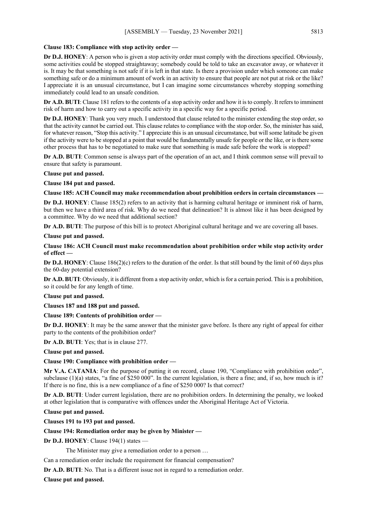## **Clause 183: Compliance with stop activity order —**

**Dr D.J. HONEY**: A person who is given a stop activity order must comply with the directions specified. Obviously, some activities could be stopped straightaway; somebody could be told to take an excavator away, or whatever it is. It may be that something is not safe if it is left in that state. Is there a provision under which someone can make something safe or do a minimum amount of work in an activity to ensure that people are not put at risk or the like? I appreciate it is an unusual circumstance, but I can imagine some circumstances whereby stopping something immediately could lead to an unsafe condition.

**Dr A.D. BUTI**: Clause 181 refers to the contents of a stop activity order and how it is to comply. It refers to imminent risk of harm and how to carry out a specific activity in a specific way for a specific period.

**Dr D.J. HONEY**: Thank you very much. I understood that clause related to the minister extending the stop order, so that the activity cannot be carried out. This clause relates to compliance with the stop order. So, the minister has said, for whatever reason, "Stop this activity." I appreciate this is an unusual circumstance, but will some latitude be given if the activity were to be stopped at a point that would be fundamentally unsafe for people or the like, or is there some other process that has to be negotiated to make sure that something is made safe before the work is stopped?

**Dr A.D. BUTI**: Common sense is always part of the operation of an act, and I think common sense will prevail to ensure that safety is paramount.

**Clause put and passed.**

**Clause 184 put and passed.**

## **Clause 185: ACH Council may make recommendation about prohibition orders in certain circumstances —**

**Dr D.J. HONEY**: Clause 185(2) refers to an activity that is harming cultural heritage or imminent risk of harm, but then we have a third area of risk. Why do we need that delineation? It is almost like it has been designed by a committee. Why do we need that additional section?

**Dr A.D. BUTI**: The purpose of this bill is to protect Aboriginal cultural heritage and we are covering all bases.

**Clause put and passed.**

## **Clause 186: ACH Council must make recommendation about prohibition order while stop activity order of effect —**

**Dr D.J. HONEY**: Clause 186(2)(c) refers to the duration of the order. Is that still bound by the limit of 60 days plus the 60-day potential extension?

**Dr A.D. BUTI**: Obviously, it is different from a stop activity order, which is for a certain period. This is a prohibition, so it could be for any length of time.

## **Clause put and passed.**

**Clauses 187 and 188 put and passed.**

# **Clause 189: Contents of prohibition order —**

**Dr D.J. HONEY**: It may be the same answer that the minister gave before. Is there any right of appeal for either party to the contents of the prohibition order?

**Dr A.D. BUTI**: Yes; that is in clause 277.

**Clause put and passed.**

# **Clause 190: Compliance with prohibition order —**

**Mr V.A. CATANIA**: For the purpose of putting it on record, clause 190, "Compliance with prohibition order", subclause  $(1)(a)$  states, "a fine of \$250 000". In the current legislation, is there a fine; and, if so, how much is it? If there is no fine, this is a new compliance of a fine of \$250 000? Is that correct?

**Dr A.D. BUTI**: Under current legislation, there are no prohibition orders. In determining the penalty, we looked at other legislation that is comparative with offences under the Aboriginal Heritage Act of Victoria.

**Clause put and passed.**

**Clauses 191 to 193 put and passed.**

# **Clause 194: Remediation order may be given by Minister —**

**Dr D.J. HONEY**: Clause 194(1) states —

The Minister may give a remediation order to a person …

Can a remediation order include the requirement for financial compensation?

**Dr A.D. BUTI**: No. That is a different issue not in regard to a remediation order.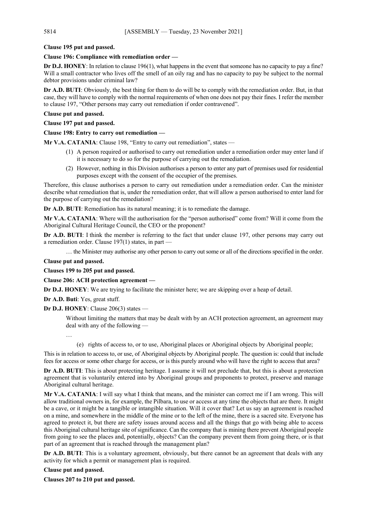# **Clause 195 put and passed.**

## **Clause 196: Compliance with remediation order —**

**Dr D.J. HONEY**: In relation to clause 196(1), what happens in the event that someone has no capacity to pay a fine? Will a small contractor who lives off the smell of an oily rag and has no capacity to pay be subject to the normal debtor provisions under criminal law?

**Dr A.D. BUTI**: Obviously, the best thing for them to do will be to comply with the remediation order. But, in that case, they will have to comply with the normal requirements of when one does not pay their fines. I refer the member to clause 197, "Other persons may carry out remediation if order contravened".

## **Clause put and passed.**

**Clause 197 put and passed.**

# **Clause 198: Entry to carry out remediation —**

**Mr V.A. CATANIA**: Clause 198, "Entry to carry out remediation", states —

- (1) A person required or authorised to carry out remediation under a remediation order may enter land if it is necessary to do so for the purpose of carrying out the remediation.
- (2) However, nothing in this Division authorises a person to enter any part of premises used for residential purposes except with the consent of the occupier of the premises.

Therefore, this clause authorises a person to carry out remediation under a remediation order. Can the minister describe what remediation that is, under the remediation order, that will allow a person authorised to enter land for the purpose of carrying out the remediation?

**Dr A.D. BUTI**: Remediation has its natural meaning; it is to remediate the damage.

**Mr V.A. CATANIA**: Where will the authorisation for the "person authorised" come from? Will it come from the Aboriginal Cultural Heritage Council, the CEO or the proponent?

**Dr A.D. BUTI**: I think the member is referring to the fact that under clause 197, other persons may carry out a remediation order. Clause 197(1) states, in part —

… the Minister may authorise any other person to carry out some or all of the directions specified in the order.

## **Clause put and passed.**

**Clauses 199 to 205 put and passed.**

# **Clause 206: ACH protection agreement —**

**Dr D.J. HONEY**: We are trying to facilitate the minister here; we are skipping over a heap of detail.

**Dr A.D. Buti**: Yes, great stuff.

# **Dr D.J. HONEY**: Clause 206(3) states —

Without limiting the matters that may be dealt with by an ACH protection agreement, an agreement may deal with any of the following —

…

(e) rights of access to, or to use, Aboriginal places or Aboriginal objects by Aboriginal people;

This is in relation to access to, or use, of Aboriginal objects by Aboriginal people. The question is: could that include fees for access or some other charge for access, or is this purely around who will have the right to access that area?

**Dr A.D. BUTI**: This is about protecting heritage. I assume it will not preclude that, but this is about a protection agreement that is voluntarily entered into by Aboriginal groups and proponents to protect, preserve and manage Aboriginal cultural heritage.

**Mr V.A. CATANIA**: I will say what I think that means, and the minister can correct me if I am wrong. This will allow traditional owners in, for example, the Pilbara, to use or access at any time the objects that are there. It might be a cave, or it might be a tangible or intangible situation. Will it cover that? Let us say an agreement is reached on a mine, and somewhere in the middle of the mine or to the left of the mine, there is a sacred site. Everyone has agreed to protect it, but there are safety issues around access and all the things that go with being able to access this Aboriginal cultural heritage site of significance. Can the company that is mining there prevent Aboriginal people from going to see the places and, potentially, objects? Can the company prevent them from going there, or is that part of an agreement that is reached through the management plan?

**Dr A.D. BUTI**: This is a voluntary agreement, obviously, but there cannot be an agreement that deals with any activity for which a permit or management plan is required.

# **Clause put and passed.**

**Clauses 207 to 210 put and passed.**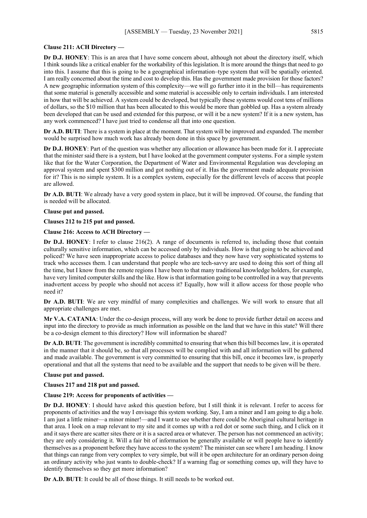#### **Clause 211: ACH Directory —**

**Dr D.J. HONEY**: This is an area that I have some concern about, although not about the directory itself, which I think sounds like a critical enabler for the workability of this legislation. It is more around the things that need to go into this. I assume that this is going to be a geographical information–type system that will be spatially oriented. I am really concerned about the time and cost to develop this. Has the government made provision for those factors? A new geographic information system of this complexity—we will go further into it in the bill—has requirements that some material is generally accessible and some material is accessible only to certain individuals. I am interested in how that will be achieved. A system could be developed, but typically these systems would cost tens of millions of dollars, so the \$10 million that has been allocated to this would be more than gobbled up. Has a system already been developed that can be used and extended for this purpose, or will it be a new system? If it is a new system, has any work commenced? I have just tried to condense all that into one question.

**Dr A.D. BUTI**: There is a system in place at the moment. That system will be improved and expanded. The member would be surprised how much work has already been done in this space by government.

**Dr D.J. HONEY**: Part of the question was whether any allocation or allowance has been made for it. I appreciate that the minister said there is a system, but I have looked at the government computer systems. For a simple system like that for the Water Corporation, the Department of Water and Environmental Regulation was developing an approval system and spent \$300 million and got nothing out of it. Has the government made adequate provision for it? This is no simple system. It is a complex system, especially for the different levels of access that people are allowed.

**Dr A.D. BUTI**: We already have a very good system in place, but it will be improved. Of course, the funding that is needed will be allocated.

#### **Clause put and passed.**

#### **Clauses 212 to 215 put and passed.**

# **Clause 216: Access to ACH Directory —**

**Dr D.J. HONEY**: I refer to clause 216(2). A range of documents is referred to, including those that contain culturally sensitive information, which can be accessed only by individuals. How is that going to be achieved and policed? We have seen inappropriate access to police databases and they now have very sophisticated systems to track who accesses them. I can understand that people who are tech-savvy are used to doing this sort of thing all the time, but I know from the remote regions I have been to that many traditional knowledge holders, for example, have very limited computer skills and the like. How is that information going to be controlled in a way that prevents inadvertent access by people who should not access it? Equally, how will it allow access for those people who need it?

**Dr A.D. BUTI**: We are very mindful of many complexities and challenges. We will work to ensure that all appropriate challenges are met.

**Mr V.A. CATANIA**: Under the co-design process, will any work be done to provide further detail on access and input into the directory to provide as much information as possible on the land that we have in this state? Will there be a co-design element to this directory? How will information be shared?

**Dr A.D. BUTI**: The government is incredibly committed to ensuring that when this bill becomes law, it is operated in the manner that it should be, so that all processes will be complied with and all information will be gathered and made available. The government is very committed to ensuring that this bill, once it becomes law, is properly operational and that all the systems that need to be available and the support that needs to be given will be there.

#### **Clause put and passed.**

**Clauses 217 and 218 put and passed.**

## **Clause 219: Access for proponents of activities —**

**Dr D.J. HONEY**: I should have asked this question before, but I still think it is relevant. I refer to access for proponents of activities and the way I envisage this system working. Say, I am a miner and I am going to dig a hole. I am just a little miner—a minor miner!—and I want to see whether there could be Aboriginal cultural heritage in that area. I look on a map relevant to my site and it comes up with a red dot or some such thing, and I click on it and it says there are scatter sites there or it is a sacred area or whatever. The person has not commenced an activity; they are only considering it. Will a fair bit of information be generally available or will people have to identify themselves as a proponent before they have access to the system? The minister can see where I am heading. I know that things can range from very complex to very simple, but will it be open architecture for an ordinary person doing an ordinary activity who just wants to double-check? If a warning flag or something comes up, will they have to identify themselves so they get more information?

**Dr A.D. BUTI**: It could be all of those things. It still needs to be worked out.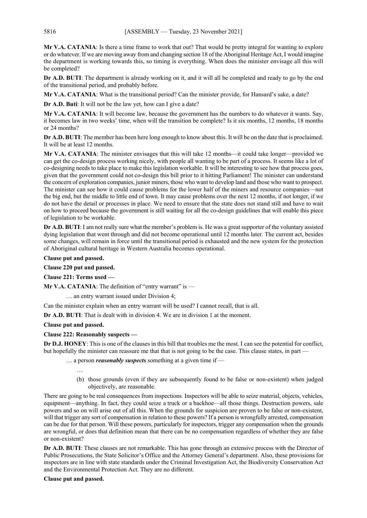**Mr V.A. CATANIA**: Is there a time frame to work that out? That would be pretty integral for wanting to explore or do whatever. If we are moving away from and changing section 18 of the Aboriginal Heritage Act, I would imagine the department is working towards this, so timing is everything. When does the minister envisage all this will be completed?

**Dr A.D. BUTI**: The department is already working on it, and it will all be completed and ready to go by the end of the transitional period, and probably before.

**Mr V.A. CATANIA**: What is the transitional period? Can the minister provide, for Hansard's sake, a date?

**Dr A.D. Buti**: It will not be the law yet, how can I give a date?

**Mr V.A. CATANIA**: It will become law, because the government has the numbers to do whatever it wants. Say, it becomes law in two weeks' time, when will the transition be complete? Is it six months, 12 months, 18 months or 24 months?

**Dr A.D. BUTI**: The member has been here long enough to know about this. It will be on the date that is proclaimed. It will be at least 12 months.

**Mr V.A. CATANIA**: The minister envisages that this will take 12 months—it could take longer—provided we can get the co-design process working nicely, with people all wanting to be part of a process. It seems like a lot of co-designing needs to take place to make this legislation workable. It will be interesting to see how that process goes, given that the government could not co-design this bill prior to it hitting Parliament! The minister can understand the concern of exploration companies, junior miners, those who want to develop land and those who want to prospect. The minister can see how it could cause problems for the lower half of the miners and resource companies—not the big end, but the middle to little end of town. It may cause problems over the next 12 months, if not longer, if we do not have the detail or processes in place. We need to ensure that the state does not stand still and have to wait on how to proceed because the government is still waiting for all the co-design guidelines that will enable this piece of legislation to be workable.

**Dr A.D. BUTI**: I am not really sure what the member's problem is. He was a great supporter of the voluntary assisted dying legislation that went through and did not become operational until 12 months later. The current act, besides some changes, will remain in force until the transitional period is exhausted and the new system for the protection of Aboriginal cultural heritage in Western Australia becomes operational.

**Clause put and passed.**

**Clause 220 put and passed.**

**Clause 221: Terms used —**

**Mr V.A. CATANIA:** The definition of "entry warrant" is —

… an entry warrant issued under Division 4;

Can the minister explain when an entry warrant will be used? I cannot recall, that is all.

**Dr A.D. BUTI**: That is dealt with in division 4. We are in division 1 at the moment.

# **Clause put and passed.**

# **Clause 222: Reasonably suspects —**

**Dr D.J. HONEY**: This is one of the clauses in this bill that troubles me the most. I can see the potential for conflict, but hopefully the minister can reassure me that that is not going to be the case. This clause states, in part -

… a person *reasonably suspects* something at a given time if —

- …
- (b) those grounds (even if they are subsequently found to be false or non-existent) when judged objectively, are reasonable.

There are going to be real consequences from inspections. Inspectors will be able to seize material, objects, vehicles, equipment—anything. In fact, they could seize a truck or a backhoe—all those things. Destruction powers, sale powers and so on will arise out of all this. When the grounds for suspicion are proven to be false or non-existent, will that trigger any sort of compensation in relation to these powers? If a person is wrongfully arrested, compensation can be due for that person. Will these powers, particularly for inspectors, trigger any compensation when the grounds are wrongful, or does that definition mean that there can be no compensation regardless of whether they are false or non-existent?

**Dr A.D. BUTI**: These clauses are not remarkable. This has gone through an extensive process with the Director of Public Prosecutions, the State Solicitor's Office and the Attorney General's department. Also, these provisions for inspectors are in line with state standards under the Criminal Investigation Act, the Biodiversity Conservation Act and the Environmental Protection Act. They are no different.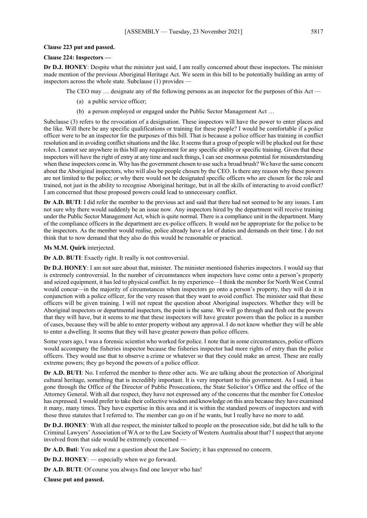#### **Clause 223 put and passed.**

## **Clause 224: Inspectors —**

**Dr D.J. HONEY**: Despite what the minister just said, I am really concerned about these inspectors. The minister made mention of the previous Aboriginal Heritage Act. We seem in this bill to be potentially building an army of inspectors across the whole state. Subclause (1) provides —

The CEO may ... designate any of the following persons as an inspector for the purposes of this Act —

- (a) a public service officer;
- (b) a person employed or engaged under the Public Sector Management Act …

Subclause (3) refers to the revocation of a designation. These inspectors will have the power to enter places and the like. Will there be any specific qualifications or training for these people? I would be comfortable if a police officer were to be an inspector for the purposes of this bill. That is because a police officer has training in conflict resolution and in avoiding conflict situations and the like. It seems that a group of people will be plucked out for these roles. I cannot see anywhere in this bill any requirement for any specific ability or specific training. Given that these inspectors will have the right of entry at any time and such things, I can see enormous potential for misunderstanding when these inspectors come in. Why has the government chosen to use such a broad brush? We have the same concern about the Aboriginal inspectors, who will also be people chosen by the CEO. Is there any reason why these powers are not limited to the police; or why there would not be designated specific officers who are chosen for the role and trained, not just in the ability to recognise Aboriginal heritage, but in all the skills of interacting to avoid conflict? I am concerned that these proposed powers could lead to unnecessary conflict.

**Dr A.D. BUTI**: I did refer the member to the previous act and said that there had not seemed to be any issues. I am not sure why there would suddenly be an issue now. Any inspectors hired by the department will receive training under the Public Sector Management Act, which is quite normal. There is a compliance unit in the department. Many of the compliance officers in the department are ex-police officers. It would not be appropriate for the police to be the inspectors. As the member would realise, police already have a lot of duties and demands on their time. I do not think that to now demand that they also do this would be reasonable or practical.

#### **Ms M.M. Quirk** interjected.

**Dr A.D. BUTI**: Exactly right. It really is not controversial.

**Dr D.J. HONEY**: I am not sure about that, minister. The minister mentioned fisheries inspectors. I would say that is extremely controversial. In the number of circumstances when inspectors have come onto a person's property and seized equipment, it has led to physical conflict. In my experience—I think the member for North West Central would concur—in the majority of circumstances when inspectors go onto a person's property, they will do it in conjunction with a police officer, for the very reason that they want to avoid conflict. The minister said that these officers will be given training. I will not repeat the question about Aboriginal inspectors. Whether they will be Aboriginal inspectors or departmental inspectors, the point is the same. We will go through and flesh out the powers that they will have, but it seems to me that these inspectors will have greater powers than the police in a number of cases, because they will be able to enter property without any approval. I do not know whether they will be able to enter a dwelling. It seems that they will have greater powers than police officers.

Some years ago, I was a forensic scientist who worked for police. I note that in some circumstances, police officers would accompany the fisheries inspector because the fisheries inspector had more rights of entry than the police officers. They would use that to observe a crime or whatever so that they could make an arrest. These are really extreme powers; they go beyond the powers of a police officer.

**Dr A.D. BUTI**: No. I referred the member to three other acts. We are talking about the protection of Aboriginal cultural heritage, something that is incredibly important. It is very important to this government. As I said, it has gone through the Office of the Director of Public Prosecutions, the State Solicitor's Office and the office of the Attorney General. With all due respect, they have not expressed any of the concerns that the member for Cottesloe has expressed. I would prefer to take their collective wisdom and knowledge on this area because they have examined it many, many times. They have expertise in this area and it is within the standard powers of inspectors and with those three statutes that I referred to. The member can go on if he wants, but I really have no more to add.

**Dr D.J. HONEY**: With all due respect, the minister talked to people on the prosecution side, but did he talk to the Criminal Lawyers' Association of WA or to the Law Society of Western Australia about that? I suspect that anyone involved from that side would be extremely concerned —

**Dr A.D. Buti**: You asked me a question about the Law Society; it has expressed no concern.

**Dr D.J. HONEY**: — especially when we go forward.

**Dr A.D. BUTI**: Of course you always find one lawyer who has!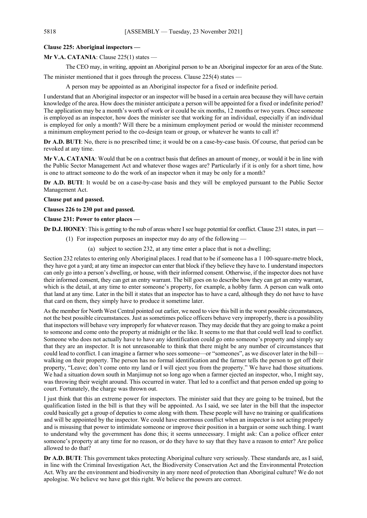## **Clause 225: Aboriginal inspectors —**

**Mr V.A. CATANIA**: Clause 225(1) states —

The CEO may, in writing, appoint an Aboriginal person to be an Aboriginal inspector for an area of the State.

The minister mentioned that it goes through the process. Clause 225(4) states —

A person may be appointed as an Aboriginal inspector for a fixed or indefinite period.

I understand that an Aboriginal inspector or an inspector will be based in a certain area because they will have certain knowledge of the area. How does the minister anticipate a person will be appointed for a fixed or indefinite period? The application may be a month's worth of work or it could be six months, 12 months or two years. Once someone is employed as an inspector, how does the minister see that working for an individual, especially if an individual is employed for only a month? Will there be a minimum employment period or would the minister recommend a minimum employment period to the co-design team or group, or whatever he wants to call it?

**Dr A.D. BUTI**: No, there is no prescribed time; it would be on a case-by-case basis. Of course, that period can be revoked at any time.

**Mr V.A. CATANIA**: Would that be on a contract basis that defines an amount of money, or would it be in line with the Public Sector Management Act and whatever those wages are? Particularly if it is only for a short time, how is one to attract someone to do the work of an inspector when it may be only for a month?

**Dr A.D. BUTI**: It would be on a case-by-case basis and they will be employed pursuant to the Public Sector Management Act.

## **Clause put and passed.**

**Clauses 226 to 230 put and passed.**

## **Clause 231: Power to enter places —**

**Dr D.J. HONEY**: This is getting to the nub of areas where I see huge potential for conflict. Clause 231 states, in part —

- (1) For inspection purposes an inspector may do any of the following
	- (a) subject to section 232, at any time enter a place that is not a dwelling;

Section 232 relates to entering only Aboriginal places. I read that to be if someone has a 1 100-square-metre block, they have got a yard; at any time an inspector can enter that block if they believe they have to. I understand inspectors can only go into a person's dwelling, or house, with their informed consent. Otherwise, if the inspector does not have their informed consent, they can get an entry warrant. The bill goes on to describe how they can get an entry warrant, which is the detail, at any time to enter someone's property, for example, a hobby farm. A person can walk onto that land at any time. Later in the bill it states that an inspector has to have a card, although they do not have to have that card on them, they simply have to produce it sometime later.

As the member for North West Central pointed out earlier, we need to view this bill in the worst possible circumstances, not the best possible circumstances. Just as sometimes police officers behave very improperly, there is a possibility that inspectors will behave very improperly for whatever reason. They may decide that they are going to make a point to someone and come onto the property at midnight or the like. It seems to me that that could well lead to conflict. Someone who does not actually have to have any identification could go onto someone's property and simply say that they are an inspector. It is not unreasonable to think that there might be any number of circumstances that could lead to conflict. I can imagine a farmer who sees someone—or "someones", as we discover later in the bill walking on their property. The person has no formal identification and the farmer tells the person to get off their property, "Leave; don't come onto my land or I will eject you from the property." We have had those situations. We had a situation down south in Manjimup not so long ago when a farmer ejected an inspector, who, I might say, was throwing their weight around. This occurred in water. That led to a conflict and that person ended up going to court. Fortunately, the charge was thrown out.

I just think that this an extreme power for inspectors. The minister said that they are going to be trained, but the qualification listed in the bill is that they will be appointed. As I said, we see later in the bill that the inspector could basically get a group of deputies to come along with them. These people will have no training or qualifications and will be appointed by the inspector. We could have enormous conflict when an inspector is not acting properly and is misusing that power to intimidate someone or improve their position in a bargain or some such thing. I want to understand why the government has done this; it seems unnecessary. I might ask: Can a police officer enter someone's property at any time for no reason, or do they have to say that they have a reason to enter? Are police allowed to do that?

**Dr A.D. BUTI**: This government takes protecting Aboriginal culture very seriously. These standards are, as I said, in line with the Criminal Investigation Act, the Biodiversity Conservation Act and the Environmental Protection Act. Why are the environment and biodiversity in any more need of protection than Aboriginal culture? We do not apologise. We believe we have got this right. We believe the powers are correct.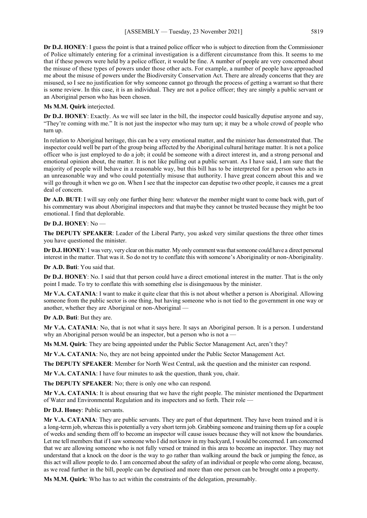**Dr D.J. HONEY**: I guess the point is that a trained police officer who is subject to direction from the Commissioner of Police ultimately entering for a criminal investigation is a different circumstance from this. It seems to me that if these powers were held by a police officer, it would be fine. A number of people are very concerned about the misuse of these types of powers under those other acts. For example, a number of people have approached me about the misuse of powers under the Biodiversity Conservation Act. There are already concerns that they are misused, so I see no justification for why someone cannot go through the process of getting a warrant so that there is some review. In this case, it is an individual. They are not a police officer; they are simply a public servant or an Aboriginal person who has been chosen.

## **Ms M.M. Quirk** interjected.

**Dr D.J. HONEY**: Exactly. As we will see later in the bill, the inspector could basically deputise anyone and say, "They're coming with me." It is not just the inspector who may turn up; it may be a whole crowd of people who turn up.

In relation to Aboriginal heritage, this can be a very emotional matter, and the minister has demonstrated that. The inspector could well be part of the group being affected by the Aboriginal cultural heritage matter. It is not a police officer who is just employed to do a job; it could be someone with a direct interest in, and a strong personal and emotional opinion about, the matter. It is not like pulling out a public servant. As I have said, I am sure that the majority of people will behave in a reasonable way, but this bill has to be interpreted for a person who acts in an unreasonable way and who could potentially misuse that authority. I have great concern about this and we will go through it when we go on. When I see that the inspector can deputise two other people, it causes me a great deal of concern.

**Dr A.D. BUTI**: I will say only one further thing here: whatever the member might want to come back with, part of his commentary was about Aboriginal inspectors and that maybe they cannot be trusted because they might be too emotional. I find that deplorable.

#### **Dr D.J. HONEY**: No —

**The DEPUTY SPEAKER**: Leader of the Liberal Party, you asked very similar questions the three other times you have questioned the minister.

**Dr D.J. HONEY**:I was very, very clear on this matter. My only comment was that someone could have a direct personal interest in the matter. That was it. So do not try to conflate this with someone's Aboriginality or non-Aboriginality.

**Dr A.D. Buti**: You said that.

**Dr D.J. HONEY**: No. I said that that person could have a direct emotional interest in the matter. That is the only point I made. To try to conflate this with something else is disingenuous by the minister.

**Mr V.A. CATANIA**: I want to make it quite clear that this is not about whether a person is Aboriginal. Allowing someone from the public sector is one thing, but having someone who is not tied to the government in one way or another, whether they are Aboriginal or non-Aboriginal —

**Dr A.D. Buti**: But they are.

**Mr V.A. CATANIA**: No, that is not what it says here. It says an Aboriginal person. It is a person. I understand why an Aboriginal person would be an inspector, but a person who is not a  $-$ 

**Ms M.M. Quirk**: They are being appointed under the Public Sector Management Act, aren't they?

**Mr V.A. CATANIA**: No, they are not being appointed under the Public Sector Management Act.

**The DEPUTY SPEAKER**: Member for North West Central, ask the question and the minister can respond.

**Mr V.A. CATANIA**: I have four minutes to ask the question, thank you, chair.

**The DEPUTY SPEAKER**: No; there is only one who can respond.

**Mr V.A. CATANIA**: It is about ensuring that we have the right people. The minister mentioned the Department of Water and Environmental Regulation and its inspectors and so forth. Their role —

**Dr D.J. Honey**: Public servants.

**Mr V.A. CATANIA**: They are public servants. They are part of that department. They have been trained and it is a long-term job, whereas this is potentially a very short term job. Grabbing someone and training them up for a couple of weeks and sending them off to become an inspector will cause issues because they will not know the boundaries. Let me tell members that if I saw someone who I did not know in my backyard, I would be concerned. I am concerned that we are allowing someone who is not fully versed or trained in this area to become an inspector. They may not understand that a knock on the door is the way to go rather than walking around the back or jumping the fence, as this act will allow people to do. I am concerned about the safety of an individual or people who come along, because, as we read further in the bill, people can be deputised and more than one person can be brought onto a property.

**Ms M.M. Quirk**: Who has to act within the constraints of the delegation, presumably.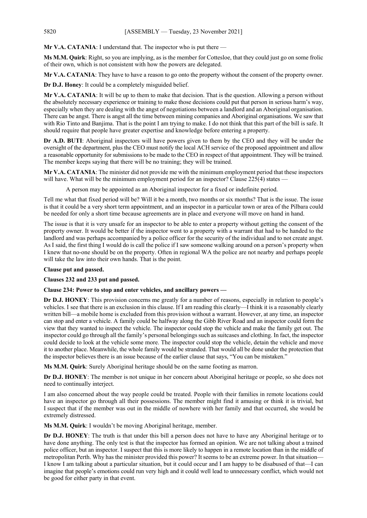**Mr V.A. CATANIA**: I understand that. The inspector who is put there —

**Ms M.M. Quirk**: Right, so you are implying, as is the member for Cottesloe, that they could just go on some frolic of their own, which is not consistent with how the powers are delegated.

**Mr V.A. CATANIA**: They have to have a reason to go onto the property without the consent of the property owner.

**Dr D.J. Honey**: It could be a completely misguided belief.

**Mr V.A. CATANIA**: It will be up to them to make that decision. That is the question. Allowing a person without the absolutely necessary experience or training to make those decisions could put that person in serious harm's way, especially when they are dealing with the angst of negotiations between a landlord and an Aboriginal organisation. There can be angst. There is angst all the time between mining companies and Aboriginal organisations. We saw that with Rio Tinto and Banjima. That is the point I am trying to make. I do not think that this part of the bill is safe. It should require that people have greater expertise and knowledge before entering a property.

**Dr A.D. BUTI**: Aboriginal inspectors will have powers given to them by the CEO and they will be under the oversight of the department, plus the CEO must notify the local ACH service of the proposed appointment and allow a reasonable opportunity for submissions to be made to the CEO in respect of that appointment. They will be trained. The member keeps saying that there will be no training; they will be trained.

**Mr V.A. CATANIA**: The minister did not provide me with the minimum employment period that these inspectors will have. What will be the minimum employment period for an inspector? Clause 225(4) states -

A person may be appointed as an Aboriginal inspector for a fixed or indefinite period.

Tell me what that fixed period will be? Will it be a month, two months or six months? That is the issue. The issue is that it could be a very short term appointment, and an inspector in a particular town or area of the Pilbara could be needed for only a short time because agreements are in place and everyone will move on hand in hand.

The issue is that it is very unsafe for an inspector to be able to enter a property without getting the consent of the property owner. It would be better if the inspector went to a property with a warrant that had to be handed to the landlord and was perhaps accompanied by a police officer for the security of the individual and to not create angst. As I said, the first thing I would do is call the police if I saw someone walking around on a person's property when I knew that no-one should be on the property. Often in regional WA the police are not nearby and perhaps people will take the law into their own hands. That is the point.

## **Clause put and passed.**

**Clauses 232 and 233 put and passed.**

## **Clause 234: Power to stop and enter vehicles, and ancillary powers —**

**Dr D.J. HONEY**: This provision concerns me greatly for a number of reasons, especially in relation to people's vehicles. I see that there is an exclusion in this clause. If I am reading this clearly—I think it is a reasonably clearly written bill—a mobile home is excluded from this provision without a warrant. However, at any time, an inspector can stop and enter a vehicle. A family could be halfway along the Gibb River Road and an inspector could form the view that they wanted to inspect the vehicle. The inspector could stop the vehicle and make the family get out. The inspector could go through all the family's personal belongings such as suitcases and clothing. In fact, the inspector could decide to look at the vehicle some more. The inspector could stop the vehicle, detain the vehicle and move it to another place. Meanwhile, the whole family would be stranded. That would all be done under the protection that the inspector believes there is an issue because of the earlier clause that says, "You can be mistaken."

**Ms M.M. Quirk**: Surely Aboriginal heritage should be on the same footing as marron.

**Dr D.J. HONEY**: The member is not unique in her concern about Aboriginal heritage or people, so she does not need to continually interject.

I am also concerned about the way people could be treated. People with their families in remote locations could have an inspector go through all their possessions. The member might find it amusing or think it is trivial, but I suspect that if the member was out in the middle of nowhere with her family and that occurred, she would be extremely distressed.

**Ms M.M. Quirk**: I wouldn't be moving Aboriginal heritage, member.

**Dr D.J. HONEY**: The truth is that under this bill a person does not have to have any Aboriginal heritage or to have done anything. The only test is that the inspector has formed an opinion. We are not talking about a trained police officer, but an inspector. I suspect that this is more likely to happen in a remote location than in the middle of metropolitan Perth. Why has the minister provided this power? It seems to be an extreme power. In that situation— I know I am talking about a particular situation, but it could occur and I am happy to be disabused of that—I can imagine that people's emotions could run very high and it could well lead to unnecessary conflict, which would not be good for either party in that event.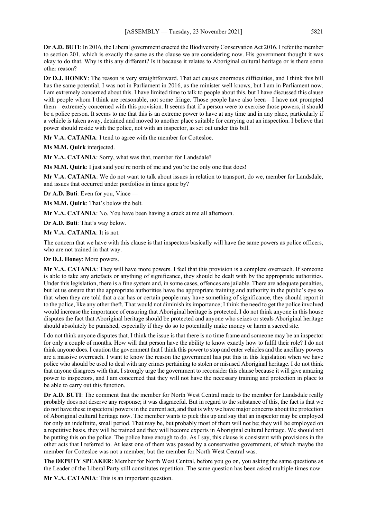**Dr A.D. BUTI**: In 2016, the Liberal government enacted the Biodiversity Conservation Act 2016. I refer the member to section 201, which is exactly the same as the clause we are considering now. His government thought it was okay to do that. Why is this any different? Is it because it relates to Aboriginal cultural heritage or is there some other reason?

**Dr D.J. HONEY**: The reason is very straightforward. That act causes enormous difficulties, and I think this bill has the same potential. I was not in Parliament in 2016, as the minister well knows, but I am in Parliament now. I am extremely concerned about this. I have limited time to talk to people about this, but I have discussed this clause with people whom I think are reasonable, not some fringe. Those people have also been—I have not prompted them—extremely concerned with this provision. It seems that if a person were to exercise those powers, it should be a police person. It seems to me that this is an extreme power to have at any time and in any place, particularly if a vehicle is taken away, detained and moved to another place suitable for carrying out an inspection. I believe that power should reside with the police, not with an inspector, as set out under this bill.

**Mr V.A. CATANIA**: I tend to agree with the member for Cottesloe.

**Ms M.M. Quirk** interjected.

**Mr V.A. CATANIA**: Sorry, what was that, member for Landsdale?

Ms M.M. Quirk: I just said you're north of me and you're the only one that does!

**Mr V.A. CATANIA**: We do not want to talk about issues in relation to transport, do we, member for Landsdale, and issues that occurred under portfolios in times gone by?

**Dr A.D. Buti**: Even for you, Vince —

**Ms M.M. Quirk**: That's below the belt.

**Mr V.A. CATANIA:** No. You have been having a crack at me all afternoon.

**Dr A.D. Buti**: That's way below.

**Mr V.A. CATANIA**: It is not.

The concern that we have with this clause is that inspectors basically will have the same powers as police officers, who are not trained in that way.

**Dr D.J. Honey**: More powers.

**Mr V.A. CATANIA**: They will have more powers. I feel that this provision is a complete overreach. If someone is able to take any artefacts or anything of significance, they should be dealt with by the appropriate authorities. Under this legislation, there is a fine system and, in some cases, offences are jailable. There are adequate penalties, but let us ensure that the appropriate authorities have the appropriate training and authority in the public's eye so that when they are told that a car has or certain people may have something of significance, they should report it to the police, like any other theft. That would not diminish its importance; I think the need to get the police involved would increase the importance of ensuring that Aboriginal heritage is protected. I do not think anyone in this house disputes the fact that Aboriginal heritage should be protected and anyone who seizes or steals Aboriginal heritage should absolutely be punished, especially if they do so to potentially make money or harm a sacred site.

I do not think anyone disputes that. I think the issue is that there is no time frame and someone may be an inspector for only a couple of months. How will that person have the ability to know exactly how to fulfil their role? I do not think anyone does. I caution the government that I think this power to stop and enter vehicles and the ancillary powers are a massive overreach. I want to know the reason the government has put this in this legislation when we have police who should be used to deal with any crimes pertaining to stolen or misused Aboriginal heritage. I do not think that anyone disagrees with that. I strongly urge the government to reconsider this clause because it will give amazing power to inspectors, and I am concerned that they will not have the necessary training and protection in place to be able to carry out this function.

**Dr A.D. BUTI**: The comment that the member for North West Central made to the member for Landsdale really probably does not deserve any response; it was disgraceful. But in regard to the substance of this, the fact is that we do not have these inspectoral powers in the current act, and that is why we have major concerns about the protection of Aboriginal cultural heritage now. The member wants to pick this up and say that an inspector may be employed for only an indefinite, small period. That may be, but probably most of them will not be; they will be employed on a repetitive basis, they will be trained and they will become experts in Aboriginal cultural heritage. We should not be putting this on the police. The police have enough to do. As I say, this clause is consistent with provisions in the other acts that I referred to. At least one of them was passed by a conservative government, of which maybe the member for Cottesloe was not a member, but the member for North West Central was.

**The DEPUTY SPEAKER**: Member for North West Central, before you go on, you asking the same questions as the Leader of the Liberal Party still constitutes repetition. The same question has been asked multiple times now.

**Mr V.A. CATANIA**: This is an important question.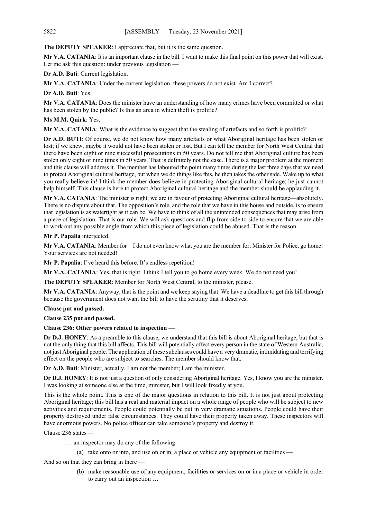**The DEPUTY SPEAKER**: I appreciate that, but it is the same question.

**Mr V.A. CATANIA**: It is an important clause in the bill. I want to make this final point on this power that will exist. Let me ask this question: under previous legislation —

**Dr A.D. Buti**: Current legislation.

**Mr V.A. CATANIA**: Under the current legislation, these powers do not exist. Am I correct?

**Dr A.D. Buti**: Yes.

**Mr V.A. CATANIA**: Does the minister have an understanding of how many crimes have been committed or what has been stolen by the public? Is this an area in which theft is prolific?

# **Ms M.M. Quirk**: Yes.

**Mr V.A. CATANIA**: What is the evidence to suggest that the stealing of artefacts and so forth is prolific?

**Dr A.D. BUTI**: Of course, we do not know how many artefacts or what Aboriginal heritage has been stolen or lost; if we knew, maybe it would not have been stolen or lost. But I can tell the member for North West Central that there have been eight or nine successful prosecutions in 50 years. Do not tell me that Aboriginal culture has been stolen only eight or nine times in 50 years. That is definitely not the case. There is a major problem at the moment and this clause will address it. The member has laboured the point many times during the last three days that we need to protect Aboriginal cultural heritage, but when we do things like this, he then takes the other side. Wake up to what you really believe in! I think the member does believe in protecting Aboriginal cultural heritage; he just cannot help himself. This clause is here to protect Aboriginal cultural heritage and the member should be applauding it.

**Mr V.A. CATANIA**: The minister is right; we are in favour of protecting Aboriginal cultural heritage—absolutely. There is no dispute about that. The opposition's role, and the role that we have in this house and outside, is to ensure that legislation is as watertight as it can be. We have to think of all the unintended consequences that may arise from a piece of legislation. That is our role. We will ask questions and flip from side to side to ensure that we are able to work out any possible angle from which this piece of legislation could be abused. That is the reason.

# **Mr P. Papalia** interjected.

**Mr V.A. CATANIA**: Member for—I do not even know what you are the member for; Minister for Police, go home! Your services are not needed!

**Mr P. Papalia**: I've heard this before. It's endless repetition!

**Mr V.A. CATANIA**: Yes, that is right. I think I tell you to go home every week. We do not need you!

**The DEPUTY SPEAKER**: Member for North West Central, to the minister, please.

**Mr V.A. CATANIA**: Anyway, that is the point and we keep saying that. We have a deadline to get this bill through because the government does not want the bill to have the scrutiny that it deserves.

# **Clause put and passed.**

**Clause 235 put and passed.**

# **Clause 236: Other powers related to inspection —**

**Dr D.J. HONEY**: As a preamble to this clause, we understand that this bill is about Aboriginal heritage, but that is not the only thing that this bill affects. This bill will potentially affect every person in the state of Western Australia, not just Aboriginal people. The application of these subclauses could have a very dramatic, intimidating and terrifying effect on the people who are subject to searches. The member should know that.

**Dr A.D. Buti**: Minister, actually. I am not the member; I am the minister.

**Dr D.J. HONEY**: It is not just a question of only considering Aboriginal heritage. Yes, I know you are the minister. I was looking at someone else at the time, minister, but I will look fixedly at you.

This is the whole point. This is one of the major questions in relation to this bill. It is not just about protecting Aboriginal heritage; this bill has a real and material impact on a whole range of people who will be subject to new activities and requirements. People could potentially be put in very dramatic situations. People could have their property destroyed under false circumstances. They could have their property taken away. These inspectors will have enormous powers. No police officer can take someone's property and destroy it.

Clause 236 states —

… an inspector may do any of the following —

(a) take onto or into, and use on or in, a place or vehicle any equipment or facilities —

- And so on that they can bring in there
	- (b) make reasonable use of any equipment, facilities or services on or in a place or vehicle in order to carry out an inspection …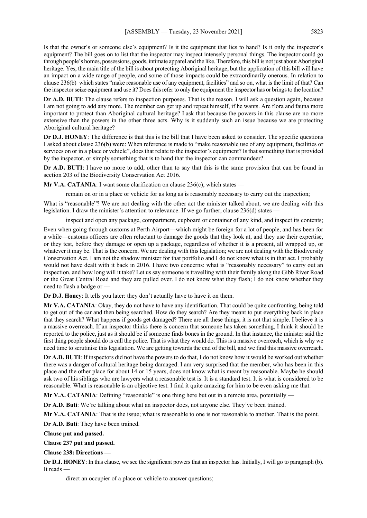Is that the owner's or someone else's equipment? Is it the equipment that lies to hand? Is it only the inspector's equipment? The bill goes on to list that the inspector may inspect intensely personal things. The inspector could go through people's homes, possessions, goods, intimate apparel and the like. Therefore, this bill is not just about Aboriginal heritage. Yes, the main title of the bill is about protecting Aboriginal heritage, but the application of this bill will have an impact on a wide range of people, and some of those impacts could be extraordinarily onerous. In relation to clause 236(b) which states "make reasonable use of any equipment, facilities" and so on, what is the limit of that? Can the inspector seize equipment and use it? Does this refer to only the equipment the inspector has or brings to the location?

**Dr A.D. BUTI**: The clause refers to inspection purposes. That is the reason. I will ask a question again, because I am not going to add any more. The member can get up and repeat himself, if he wants. Are flora and fauna more important to protect than Aboriginal cultural heritage? I ask that because the powers in this clause are no more extensive than the powers in the other three acts. Why is it suddenly such an issue because we are protecting Aboriginal cultural heritage?

**Dr D.J. HONEY**: The difference is that this is the bill that I have been asked to consider. The specific questions I asked about clause 236(b) were: When reference is made to "make reasonable use of any equipment, facilities or services on or in a place or vehicle", does that relate to the inspector's equipment? Is that something that is provided by the inspector, or simply something that is to hand that the inspector can commandeer?

**Dr A.D. BUTI**: I have no more to add, other than to say that this is the same provision that can be found in section 203 of the Biodiversity Conservation Act 2016.

**Mr V.A. CATANIA:** I want some clarification on clause 236(c), which states —

remain on or in a place or vehicle for as long as is reasonably necessary to carry out the inspection;

What is "reasonable"? We are not dealing with the other act the minister talked about, we are dealing with this legislation. I draw the minister's attention to relevance. If we go further, clause 236(d) states —

inspect and open any package, compartment, cupboard or container of any kind, and inspect its contents;

Even when going through customs at Perth Airport—which might be foreign for a lot of people, and has been for a while—customs officers are often reluctant to damage the goods that they look at, and they use their expertise, or they test, before they damage or open up a package, regardless of whether it is a present, all wrapped up, or whatever it may be. That is the concern. We are dealing with this legislation; we are not dealing with the Biodiversity Conservation Act. I am not the shadow minister for that portfolio and I do not know what is in that act. I probably would not have dealt with it back in 2016. I have two concerns: what is "reasonably necessary" to carry out an inspection, and how long will it take? Let us say someone is travelling with their family along the Gibb River Road or the Great Central Road and they are pulled over. I do not know what they flash; I do not know whether they need to flash a badge or —

**Dr D.J. Honey**: It tells you later: they don't actually have to have it on them.

**Mr V.A. CATANIA**: Okay, they do not have to have any identification. That could be quite confronting, being told to get out of the car and then being searched. How do they search? Are they meant to put everything back in place that they search? What happens if goods get damaged? There are all these things; it is not that simple. I believe it is a massive overreach. If an inspector thinks there is concern that someone has taken something, I think it should be reported to the police, just as it should be if someone finds bones in the ground. In that instance, the minister said the first thing people should do is call the police. That is what they would do. This is a massive overreach, which is why we need time to scrutinise this legislation. We are getting towards the end of the bill, and we find this massive overreach.

**Dr A.D. BUTI**: If inspectors did not have the powers to do that, I do not know how it would be worked out whether there was a danger of cultural heritage being damaged. I am very surprised that the member, who has been in this place and the other place for about 14 or 15 years, does not know what is meant by reasonable. Maybe he should ask two of his siblings who are lawyers what a reasonable test is. It is a standard test. It is what is considered to be reasonable. What is reasonable is an objective test. I find it quite amazing for him to be even asking me that.

**Mr V.A. CATANIA:** Defining "reasonable" is one thing here but out in a remote area, potentially –

**Dr A.D. Buti**: We're talking about what an inspector does, not anyone else. They've been trained.

**Mr V.A. CATANIA**: That is the issue; what is reasonable to one is not reasonable to another. That is the point.

**Dr A.D. Buti**: They have been trained.

**Clause put and passed.**

**Clause 237 put and passed.**

**Clause 238: Directions —**

**Dr D.J. HONEY**: In this clause, we see the significant powers that an inspector has. Initially, I will go to paragraph (b). It reads —

direct an occupier of a place or vehicle to answer questions;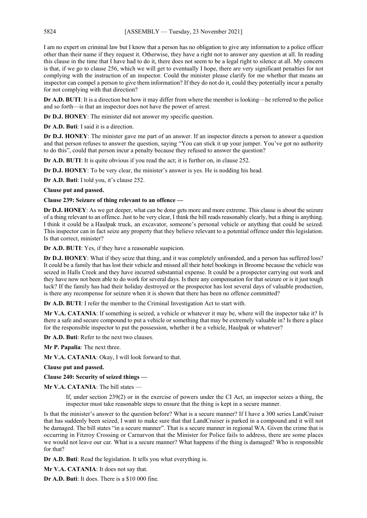I am no expert on criminal law but I know that a person has no obligation to give any information to a police officer other than their name if they request it. Otherwise, they have a right not to answer any question at all. In reading this clause in the time that I have had to do it, there does not seem to be a legal right to silence at all. My concern is that, if we go to clause 256, which we will get to eventually I hope, there are very significant penalties for not complying with the instruction of an inspector. Could the minister please clarify for me whether that means an inspector can compel a person to give them information? If they do not do it, could they potentially incur a penalty for not complying with that direction?

**Dr A.D. BUTI:** It is a direction but how it may differ from where the member is looking—he referred to the police and so forth—is that an inspector does not have the power of arrest.

**Dr D.J. HONEY**: The minister did not answer my specific question.

**Dr A.D. Buti**: I said it is a direction.

**Dr D.J. HONEY**: The minister gave me part of an answer. If an inspector directs a person to answer a question and that person refuses to answer the question, saying "You can stick it up your jumper. You've got no authority to do this", could that person incur a penalty because they refused to answer the question?

**Dr A.D. BUTI:** It is quite obvious if you read the act; it is further on, in clause 252.

**Dr D.J. HONEY**: To be very clear, the minister's answer is yes. He is nodding his head.

**Dr A.D. Buti**: I told you, it's clause 252.

## **Clause put and passed.**

## **Clause 239: Seizure of thing relevant to an offence —**

**Dr D.J. HONEY**: As we get deeper, what can be done gets more and more extreme. This clause is about the seizure of a thing relevant to an offence. Just to be very clear, I think the bill reads reasonably clearly, but a thing is anything. I think it could be a Haulpak truck, an excavator, someone's personal vehicle or anything that could be seized. This inspector can in fact seize any property that they believe relevant to a potential offence under this legislation. Is that correct, minister?

**Dr A.D. BUTI**: Yes, if they have a reasonable suspicion.

**Dr D.J. HONEY**: What if they seize that thing, and it was completely unfounded, and a person has suffered loss? It could be a family that has lost their vehicle and missed all their hotel bookings in Broome because the vehicle was seized in Halls Creek and they have incurred substantial expense. It could be a prospector carrying out work and they have now not been able to do work for several days. Is there any compensation for that seizure or is it just tough luck? If the family has had their holiday destroyed or the prospector has lost several days of valuable production, is there any recompense for seizure when it is shown that there has been no offence committed?

**Dr A.D. BUTI**: I refer the member to the Criminal Investigation Act to start with.

**Mr V.A. CATANIA**: If something is seized, a vehicle or whatever it may be, where will the inspector take it? Is there a safe and secure compound to put a vehicle or something that may be extremely valuable in? Is there a place for the responsible inspector to put the possession, whether it be a vehicle, Haulpak or whatever?

**Dr A.D. Buti**: Refer to the next two clauses.

**Mr P. Papalia**: The next three.

**Mr V.A. CATANIA**: Okay, I will look forward to that.

**Clause put and passed.**

**Clause 240: Security of seized things —**

**Mr V.A. CATANIA**: The bill states —

If, under section 239(2) or in the exercise of powers under the CI Act, an inspector seizes a thing, the inspector must take reasonable steps to ensure that the thing is kept in a secure manner.

Is that the minister's answer to the question before? What is a secure manner? If I have a 300 series LandCruiser that has suddenly been seized, I want to make sure that that LandCruiser is parked in a compound and it will not be damaged. The bill states "in a secure manner". That is a secure manner in regional WA. Given the crime that is occurring in Fitzroy Crossing or Carnarvon that the Minister for Police fails to address, there are some places we would not leave our car. What is a secure manner? What happens if the thing is damaged? Who is responsible for that?

**Dr A.D. Buti**: Read the legislation. It tells you what everything is.

**Mr V.A. CATANIA**: It does not say that.

**Dr A.D. Buti**: It does. There is a \$10 000 fine.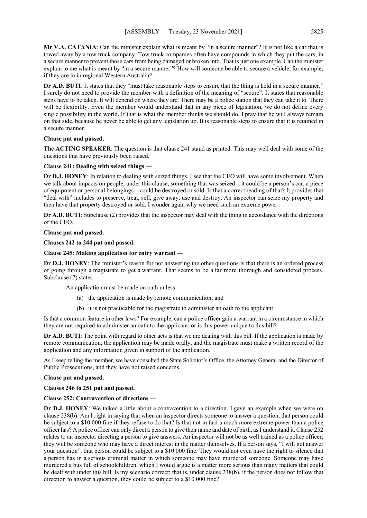**Mr V.A. CATANIA**: Can the minister explain what is meant by "in a secure manner"? It is not like a car that is towed away by a tow truck company. Tow truck companies often have compounds in which they put the cars, in a secure manner to prevent those cars from being damaged or broken into. That is just one example. Can the minister explain to me what is meant by "in a secure manner"? How will someone be able to secure a vehicle, for example, if they are in in regional Western Australia?

**Dr A.D. BUTI:** It states that they "must take reasonable steps to ensure that the thing is held in a secure manner." I surely do not need to provide the member with a definition of the meaning of "secure". It states that reasonable steps have to be taken. It will depend on where they are. There may be a police station that they can take it to. There will be flexibility. Even the member would understand that in any piece of legislation, we do not define every single possibility in the world. If that is what the member thinks we should do, I pray that he will always remain on that side, because he never be able to get any legislation up. It is reasonable steps to ensure that it is retained in a secure manner.

## **Clause put and passed.**

**The ACTING SPEAKER**: The question is that clause 241 stand as printed. This may well deal with some of the questions that have previously been raised.

## **Clause 241: Dealing with seized things —**

**Dr D.J. HONEY**: In relation to dealing with seized things, I see that the CEO will have some involvement. When we talk about impacts on people, under this clause, something that was seized—it could be a person's car, a piece of equipment or personal belongings—could be destroyed or sold. Is that a correct reading of that? It provides that "deal with" includes to preserve, treat, sell, give away, use and destroy. An inspector can seize my property and then have that property destroyed or sold. I wonder again why we need such an extreme power.

**Dr A.D. BUTI**: Subclause (2) provides that the inspector may deal with the thing in accordance with the directions of the CEO.

## **Clause put and passed.**

**Clauses 242 to 244 put and passed.**

## **Clause 245: Making application for entry warrant —**

**Dr D.J. HONEY**: The minister's reason for not answering the other questions is that there is an ordered process of going through a magistrate to get a warrant. That seems to be a far more thorough and considered process. Subclause (7) states —

An application must be made on oath unless —

- (a) the application is made by remote communication; and
- (b) it is not practicable for the magistrate to administer an oath to the applicant.

Is that a common feature in other laws? For example, can a police officer gain a warrant in a circumstance in which they are not required to administer an oath to the applicant, or is this power unique to this bill?

**Dr A.D. BUTI**: The point with regard to other acts is that we are dealing with this bill. If the application is made by remote communication, the application may be made orally, and the magistrate must make a written record of the application and any information given in support of the application.

As I keep telling the member, we have consulted the State Solicitor's Office, the Attorney General and the Director of Public Prosecutions, and they have not raised concerns.

## **Clause put and passed.**

# **Clauses 246 to 251 put and passed.**

# **Clause 252: Contravention of directions —**

**Dr D.J. HONEY**: We talked a little about a contravention to a direction. I gave an example when we were on clause 238(b). Am I right in saying that when an inspector directs someone to answer a question, that person could be subject to a \$10 000 fine if they refuse to do that? Is that not in fact a much more extreme power than a police officer has? A police officer can only direct a person to give their name and date of birth, asI understand it. Clause 252 relates to an inspector directing a person to give answers. An inspector will not be as well trained as a police officer; they will be someone who may have a direct interest in the matter themselves. If a person says, "I will not answer your question", that person could be subject to a \$10 000 fine. They would not even have the right to silence that a person has in a serious criminal matter in which someone may have murdered someone. Someone may have murdered a bus full of schoolchildren, which I would argue is a matter more serious than many matters that could be dealt with under this bill. Is my scenario correct; that is, under clause 238(b), if the person does not follow that direction to answer a question, they could be subject to a \$10 000 fine?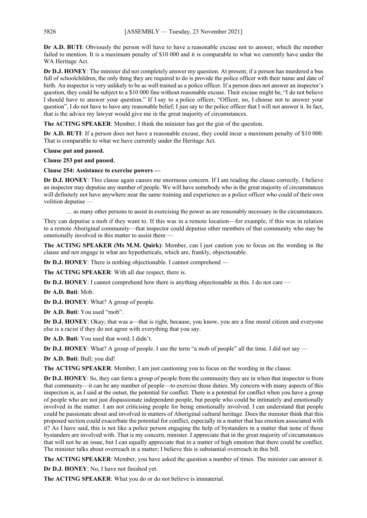**Dr A.D. BUTI**: Obviously the person will have to have a reasonable excuse not to answer, which the member failed to mention. It is a maximum penalty of \$10 000 and it is comparable to what we currently have under the WA Heritage Act.

**Dr D.J. HONEY**: The minister did not completely answer my question. At present, if a person has murdered a bus full of schoolchildren, the only thing they are required to do is provide the police officer with their name and date of birth. An inspector is very unlikely to be as well trained as a police officer. If a person does not answer an inspector's question, they could be subject to a \$10 000 fine without reasonable excuse. Their excuse might be, "I do not believe I should have to answer your question." If I say to a police officer, "Officer, no, I choose not to answer your question", I do not have to have any reasonable belief; I just say to the police officer that I will not answer it. In fact, that is the advice my lawyer would give me in the great majority of circumstances.

**The ACTING SPEAKER**: Member, I think the minister has got the gist of the question.

**Dr A.D. BUTI:** If a person does not have a reasonable excuse, they could incur a maximum penalty of \$10 000. That is comparable to what we have currently under the Heritage Act.

**Clause put and passed.** 

**Clause 253 put and passed.**

**Clause 254: Assistance to exercise powers —**

**Dr D.J. HONEY**: This clause again causes me enormous concern. If I am reading the clause correctly, I believe an inspector may deputise any number of people. We will have somebody who in the great majority of circumstances will definitely not have anywhere near the same training and experience as a police officer who could of their own volition deputise —

… as many other persons to assist in exercising the power as are reasonably necessary in the circumstances.

They can deputise a mob if they want to. If this was in a remote location—for example, if this was in relation to a remote Aboriginal community—that inspector could deputise other members of that community who may be emotionally involved in this matter to assist them —

**The ACTING SPEAKER (Ms M.M. Quirk)**: Member, can I just caution you to focus on the wording in the clause and not engage in what are hypotheticals, which are, frankly, objectionable.

**Dr D.J. HONEY**: There is nothing objectionable. I cannot comprehend —

**The ACTING SPEAKER**: With all due respect, there is.

**Dr D.J. HONEY**: I cannot comprehend how there is anything objectionable in this. I do not care —

**Dr A.D. Buti**: Mob.

**Dr D.J. HONEY**: What? A group of people.

**Dr A.D. Buti**: You used "mob".

**Dr D.J. HONEY**: Okay; that was a—that is right, because, you know, you are a fine moral citizen and everyone else is a racist if they do not agree with everything that you say.

**Dr A.D. Buti**: You used that word; I didn't.

**Dr D.J. HONEY:** What? A group of people. I use the term "a mob of people" all the time. I did not say —

**Dr A.D. Buti**: Bull; you did!

**The ACTING SPEAKER**: Member, I am just cautioning you to focus on the wording in the clause.

**Dr D.J. HONEY**: So, they can form a group of people from the community they are in when that inspector is from that community—it can be any number of people—to exercise those duties. My concern with many aspects of this inspection is, as I said at the outset, the potential for conflict. There is a potential for conflict when you have a group of people who are not just dispassionate independent people, but people who could be intimately and emotionally involved in the matter. I am not criticising people for being emotionally involved. I can understand that people could be passionate about and involved in matters of Aboriginal cultural heritage. Does the minister think that this proposed section could exacerbate the potential for conflict, especially in a matter that has emotion associated with it? As I have said, this is not like a police person engaging the help of bystanders in a matter that none of those bystanders are involved with. That is my concern, minister. I appreciate that in the great majority of circumstances that will not be an issue, but I can equally appreciate that in a matter of high emotion that there could be conflict. The minister talks about overreach in a matter; I believe this is substantial overreach in this bill.

**The ACTING SPEAKER**: Member, you have asked the question a number of times. The minister can answer it.

**Dr D.J. HONEY**: No, I have not finished yet.

**The ACTING SPEAKER**: What you do or do not believe is immaterial.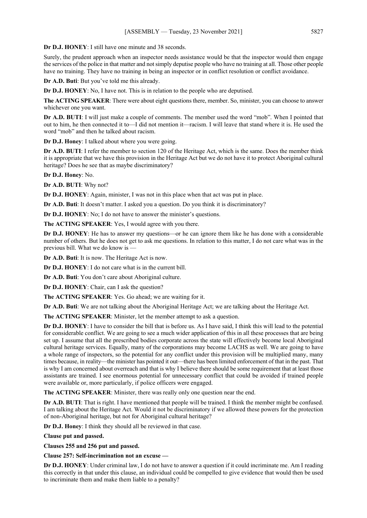**Dr D.J. HONEY**: I still have one minute and 38 seconds.

Surely, the prudent approach when an inspector needs assistance would be that the inspector would then engage the services of the police in that matter and not simply deputise people who have no training at all. Those other people have no training. They have no training in being an inspector or in conflict resolution or conflict avoidance.

**Dr A.D. Buti**: But you've told me this already.

**Dr D.J. HONEY**: No, I have not. This is in relation to the people who are deputised.

**The ACTING SPEAKER**: There were about eight questions there, member. So, minister, you can choose to answer whichever one you want.

**Dr A.D. BUTI**: I will just make a couple of comments. The member used the word "mob". When I pointed that out to him, he then connected it to—I did not mention it—racism. I will leave that stand where it is. He used the word "mob" and then he talked about racism.

**Dr D.J. Honey**: I talked about where you were going.

**Dr A.D. BUTI**: I refer the member to section 120 of the Heritage Act, which is the same. Does the member think it is appropriate that we have this provision in the Heritage Act but we do not have it to protect Aboriginal cultural heritage? Does he see that as maybe discriminatory?

**Dr D.J. Honey**: No.

**Dr A.D. BUTI**: Why not?

**Dr D.J. HONEY**: Again, minister, I was not in this place when that act was put in place.

**Dr A.D. Buti**: It doesn't matter. I asked you a question. Do you think it is discriminatory?

**Dr D.J. HONEY**: No; I do not have to answer the minister's questions.

**The ACTING SPEAKER**: Yes, I would agree with you there.

**Dr D.J. HONEY**: He has to answer my questions—or he can ignore them like he has done with a considerable number of others. But he does not get to ask me questions. In relation to this matter, I do not care what was in the previous bill. What we do know is —

**Dr A.D. Buti**: It is now. The Heritage Act is now.

**Dr D.J. HONEY**: I do not care what is in the current bill.

**Dr A.D. Buti**: You don't care about Aboriginal culture.

**Dr D.J. HONEY**: Chair, can I ask the question?

**The ACTING SPEAKER**: Yes. Go ahead; we are waiting for it.

**Dr A.D. Buti**: We are not talking about the Aboriginal Heritage Act; we are talking about the Heritage Act.

**The ACTING SPEAKER**: Minister, let the member attempt to ask a question.

**Dr D.J. HONEY**: I have to consider the bill that is before us. As I have said, I think this will lead to the potential for considerable conflict. We are going to see a much wider application of this in all these processes that are being set up. I assume that all the prescribed bodies corporate across the state will effectively become local Aboriginal cultural heritage services. Equally, many of the corporations may become LACHS as well. We are going to have a whole range of inspectors, so the potential for any conflict under this provision will be multiplied many, many times because, in reality—the minister has pointed it out—there has been limited enforcement of that in the past. That is why I am concerned about overreach and that is why I believe there should be some requirement that at least those assistants are trained. I see enormous potential for unnecessary conflict that could be avoided if trained people were available or, more particularly, if police officers were engaged.

**The ACTING SPEAKER**: Minister, there was really only one question near the end.

**Dr A.D. BUTI**: That is right. I have mentioned that people will be trained. I think the member might be confused. I am talking about the Heritage Act. Would it not be discriminatory if we allowed these powers for the protection of non-Aboriginal heritage, but not for Aboriginal cultural heritage?

**Dr D.J. Honey**: I think they should all be reviewed in that case.

**Clause put and passed.**

**Clauses 255 and 256 put and passed.**

**Clause 257: Self-incrimination not an excuse —**

**Dr D.J. HONEY**: Under criminal law, I do not have to answer a question if it could incriminate me. Am I reading this correctly in that under this clause, an individual could be compelled to give evidence that would then be used to incriminate them and make them liable to a penalty?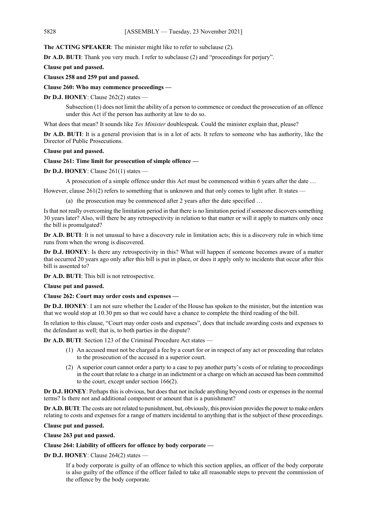**The ACTING SPEAKER**: The minister might like to refer to subclause (2).

**Dr A.D. BUTI:** Thank you very much. I refer to subclause (2) and "proceedings for perjury".

**Clause put and passed.**

**Clauses 258 and 259 put and passed.**

**Clause 260: Who may commence proceedings —**

**Dr D.J. HONEY**: Clause 262(2) states —

Subsection (1) does not limit the ability of a person to commence or conduct the prosecution of an offence under this Act if the person has authority at law to do so.

What does that mean? It sounds like *Yes Minister* doublespeak. Could the minister explain that, please?

**Dr A.D. BUTI**: It is a general provision that is in a lot of acts. It refers to someone who has authority, like the Director of Public Prosecutions.

## **Clause put and passed.**

## **Clause 261: Time limit for prosecution of simple offence —**

**Dr D.J. HONEY**: Clause 261(1) states —

A prosecution of a simple offence under this Act must be commenced within 6 years after the date …

However, clause  $261(2)$  refers to something that is unknown and that only comes to light after. It states —

(a) the prosecution may be commenced after 2 years after the date specified …

Is that not really overcoming the limitation period in that there is no limitation period if someone discovers something 30 years later? Also, will there be any retrospectivity in relation to that matter or will it apply to matters only once the bill is promulgated?

**Dr A.D. BUTI**: It is not unusual to have a discovery rule in limitation acts; this is a discovery rule in which time runs from when the wrong is discovered.

**Dr D.J. HONEY**: Is there any retrospectivity in this? What will happen if someone becomes aware of a matter that occurred 20 years ago only after this bill is put in place, or does it apply only to incidents that occur after this bill is assented to?

**Dr A.D. BUTI**: This bill is not retrospective.

**Clause put and passed.**

**Clause 262: Court may order costs and expenses —**

**Dr D.J. HONEY**: I am not sure whether the Leader of the House has spoken to the minister, but the intention was that we would stop at 10.30 pm so that we could have a chance to complete the third reading of the bill.

In relation to this clause, "Court may order costs and expenses", does that include awarding costs and expenses to the defendant as well; that is, to both parties in the dispute?

**Dr A.D. BUTI**: Section 123 of the Criminal Procedure Act states —

- (1) An accused must not be charged a fee by a court for or in respect of any act or proceeding that relates to the prosecution of the accused in a superior court.
- (2) A superior court cannot order a party to a case to pay another party's costs of or relating to proceedings in the court that relate to a charge in an indictment or a charge on which an accused has been committed to the court, except under section 166(2).

**Dr D.J. HONEY**: Perhaps this is obvious, but does that not include anything beyond costs or expenses in the normal terms? Is there not and additional component or amount that is a punishment?

**Dr A.D. BUTI**: The costs are not related to punishment, but, obviously, this provision provides the power to make orders relating to costs and expenses for a range of matters incidental to anything that is the subject of these proceedings.

#### **Clause put and passed.**

**Clause 263 put and passed.**

**Clause 264: Liability of officers for offence by body corporate —**

**Dr D.J. HONEY**: Clause 264(2) states —

If a body corporate is guilty of an offence to which this section applies, an officer of the body corporate is also guilty of the offence if the officer failed to take all reasonable steps to prevent the commission of the offence by the body corporate.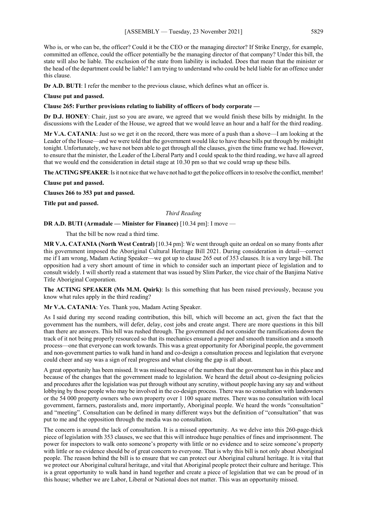Who is, or who can be, the officer? Could it be the CEO or the managing director? If Strike Energy, for example, committed an offence, could the officer potentially be the managing director of that company? Under this bill, the state will also be liable. The exclusion of the state from liability is included. Does that mean that the minister or the head of the department could be liable? I am trying to understand who could be held liable for an offence under this clause.

**Dr A.D. BUTI**: I refer the member to the previous clause, which defines what an officer is.

## **Clause put and passed.**

## **Clause 265: Further provisions relating to liability of officers of body corporate —**

**Dr D.J. HONEY**: Chair, just so you are aware, we agreed that we would finish these bills by midnight. In the discussions with the Leader of the House, we agreed that we would leave an hour and a half for the third reading.

**Mr V.A. CATANIA**: Just so we get it on the record, there was more of a push than a shove—I am looking at the Leader of the House—and we were told that the government would like to have these bills put through by midnight tonight. Unfortunately, we have not been able to get through all the clauses, given the time frame we had. However, to ensure that the minister, the Leader of the Liberal Party and I could speak to the third reading, we have all agreed that we would end the consideration in detail stage at 10.30 pm so that we could wrap up these bills.

**The ACTING SPEAKER**: Is it not nice that we have not had to get the police officers in to resolve the conflict, member!

**Clause put and passed.**

**Clauses 266 to 353 put and passed.**

**Title put and passed.** 

*Third Reading*

## **DR A.D. BUTI (Armadale — Minister for Finance)** [10.34 pm]: I move —

That the bill be now read a third time.

**MR V.A. CATANIA (North West Central)** [10.34 pm]: We went through quite an ordeal on so many fronts after this government imposed the Aboriginal Cultural Heritage Bill 2021. During consideration in detail—correct me if I am wrong, Madam Acting Speaker—we got up to clause 265 out of 353 clauses. It is a very large bill. The opposition had a very short amount of time in which to consider such an important piece of legislation and to consult widely. I will shortly read a statement that was issued by Slim Parker, the vice chair of the Banjima Native Title Aboriginal Corporation.

**The ACTING SPEAKER (Ms M.M. Quirk)**: Is this something that has been raised previously, because you know what rules apply in the third reading?

**Mr V.A. CATANIA**: Yes. Thank you, Madam Acting Speaker.

As I said during my second reading contribution, this bill, which will become an act, given the fact that the government has the numbers, will defer, delay, cost jobs and create angst. There are more questions in this bill than there are answers. This bill was rushed through. The government did not consider the ramifications down the track of it not being properly resourced so that its mechanics ensured a proper and smooth transition and a smooth process—one that everyone can work towards. This was a great opportunity for Aboriginal people, the government and non-government parties to walk hand in hand and co-design a consultation process and legislation that everyone could cheer and say was a sign of real progress and what closing the gap is all about.

A great opportunity has been missed. It was missed because of the numbers that the government has in this place and because of the changes that the government made to legislation. We heard the detail about co-designing policies and procedures after the legislation was put through without any scrutiny, without people having any say and without lobbying by those people who may be involved in the co-design process. There was no consultation with landowners or the 54 000 property owners who own property over 1 100 square metres. There was no consultation with local government, farmers, pastoralists and, more importantly, Aboriginal people. We heard the words "consultation" and "meeting". Consultation can be defined in many different ways but the definition of "consultation" that was put to me and the opposition through the media was no consultation.

The concern is around the lack of consultation. It is a missed opportunity. As we delve into this 260-page-thick piece of legislation with 353 clauses, we see that this will introduce huge penalties of fines and imprisonment. The power for inspectors to walk onto someone's property with little or no evidence and to seize someone's property with little or no evidence should be of great concern to everyone. That is why this bill is not only about Aboriginal people. The reason behind the bill is to ensure that we can protect our Aboriginal cultural heritage. It is vital that we protect our Aboriginal cultural heritage, and vital that Aboriginal people protect their culture and heritage. This is a great opportunity to walk hand in hand together and create a piece of legislation that we can be proud of in this house; whether we are Labor, Liberal or National does not matter. This was an opportunity missed.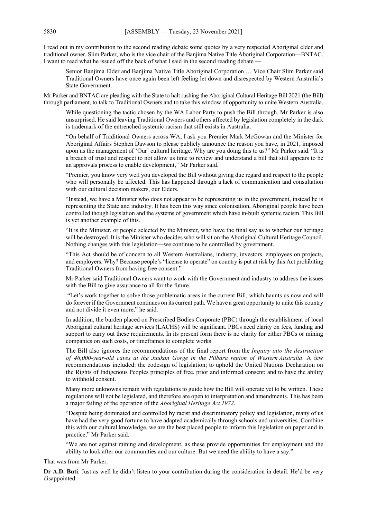I read out in my contribution to the second reading debate some quotes by a very respected Aboriginal elder and traditional owner, Slim Parker, who is the vice chair of the Banjima Native Title Aboriginal Corporation—BNTAC. I want to read what he issued off the back of what I said in the second reading debate —

Senior Banjima Elder and Banjima Native Title Aboriginal Corporation … Vice Chair Slim Parker said Traditional Owners have once again been left feeling let down and disrespected by Western Australia's State Government.

Mr Parker and BNTAC are pleading with the State to halt rushing the Aboriginal Cultural Heritage Bill 2021 (the Bill) through parliament, to talk to Traditional Owners and to take this window of opportunity to unite Western Australia.

While questioning the tactic chosen by the WA Labor Party to push the Bill through, Mr Parker is also unsurprised. He said leaving Traditional Owners and others affected by legislation completely in the dark is trademark of the entrenched systemic racism that still exists in Australia.

"On behalf of Traditional Owners across WA, I ask you Premier Mark McGowan and the Minister for Aboriginal Affairs Stephen Dawson to please publicly announce the reason you have, in 2021, imposed upon us the management of 'Our' cultural heritage. Why are you doing this to us?" Mr Parker said. "It is a breach of trust and respect to not allow us time to review and understand a bill that still appears to be an approvals process to enable development," Mr Parker said.

"Premier, you know very well you developed the Bill without giving due regard and respect to the people who will personally be affected. This has happened through a lack of communication and consultation with our cultural decision makers, our Elders.

"Instead, we have a Minister who does not appear to be representing us in the government, instead he is representing the State and industry. It has been this way since colonisation, Aboriginal people have been controlled though legislation and the systems of government which have in-built systemic racism. This Bill is yet another example of this.

"It is the Minister, or people selected by the Minister, who have the final say as to whether our heritage will be destroyed. It is the Minister who decides who will sit on the Aboriginal Cultural Heritage Council. Nothing changes with this legislation—we continue to be controlled by government.

"This Act should be of concern to all Western Australians, industry, investors, employees on projects, and employers. Why? Because people's "license to operate" on country is put at risk by this Act prohibiting Traditional Owners from having free consent."

Mr Parker said Traditional Owners want to work with the Government and industry to address the issues with the Bill to give assurance to all for the future.

"Let's work together to solve those problematic areas in the current Bill, which haunts us now and will do forever if the Government continues on its current path. We have a great opportunity to unite this country and not divide it even more," he said.

In addition, the burden placed on Prescribed Bodies Corporate (PBC) through the establishment of local Aboriginal cultural heritage services (LACHS) will be significant. PBCs need clarity on fees, funding and support to carry out these requirements. In its present form there is no clarity for either PBCs or mining companies on such costs, or timeframes to complete works.

The Bill also ignores the recommendations of the final report from the *Inquiry into the destruction of 46,000-year-old caves at the Juukan Gorge in the Pilbara region of Western Australia*. A few recommendations included: the codesign of legislation; to uphold the United Nations Declaration on the Rights of Indigenous Peoples principles of free, prior and informed consent; and to have the ability to withhold consent.

Many more unknowns remain with regulations to guide how the Bill will operate yet to be written. These regulations will not be legislated, and therefore are open to interpretation and amendments. This has been a major failing of the operation of the *Aboriginal Heritage Act 1972*.

"Despite being dominated and controlled by racist and discriminatory policy and legislation, many of us have had the very good fortune to have adapted academically through schools and universities. Combine this with our cultural knowledge, we are the best placed people to inform this legislation on paper and in practice," Mr Parker said.

"We are not against mining and development, as these provide opportunities for employment and the ability to look after our communities and our culture. But we need the ability to have a say."

That was from Mr Parker.

**Dr A.D. Buti**: Just as well he didn't listen to your contribution during the consideration in detail. He'd be very disappointed.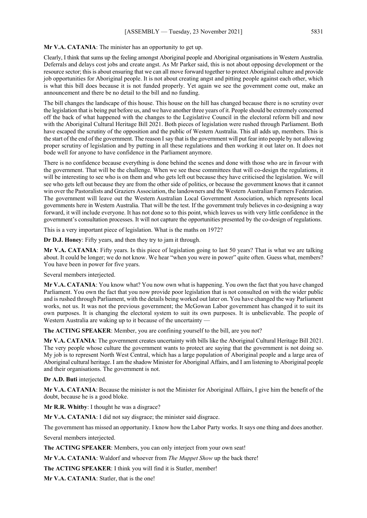**Mr V.A. CATANIA**: The minister has an opportunity to get up.

Clearly, I think that sums up the feeling amongst Aboriginal people and Aboriginal organisations in Western Australia. Deferrals and delays cost jobs and create angst. As Mr Parker said, this is not about opposing development or the resource sector; this is about ensuring that we can all move forward together to protect Aboriginal culture and provide job opportunities for Aboriginal people. It is not about creating angst and pitting people against each other, which is what this bill does because it is not funded properly. Yet again we see the government come out, make an announcement and there be no detail to the bill and no funding.

The bill changes the landscape of this house. This house on the hill has changed because there is no scrutiny over the legislation that is being put before us, and we have another three years of it. People should be extremely concerned off the back of what happened with the changes to the Legislative Council in the electoral reform bill and now with the Aboriginal Cultural Heritage Bill 2021. Both pieces of legislation were rushed through Parliament. Both have escaped the scrutiny of the opposition and the public of Western Australia. This all adds up, members. This is the start of the end of the government. The reason I say that is the government will put fear into people by not allowing proper scrutiny of legislation and by putting in all these regulations and then working it out later on. It does not bode well for anyone to have confidence in the Parliament anymore.

There is no confidence because everything is done behind the scenes and done with those who are in favour with the government. That will be the challenge. When we see these committees that will co-design the regulations, it will be interesting to see who is on them and who gets left out because they have criticised the legislation. We will see who gets left out because they are from the other side of politics, or because the government knows that it cannot win over the Pastoralists and Graziers Association, the landowners and the Western Australian Farmers Federation. The government will leave out the Western Australian Local Government Association, which represents local governments here in Western Australia. That will be the test. If the government truly believes in co-designing a way forward, it will include everyone. It has not done so to this point, which leaves us with very little confidence in the government's consultation processes. It will not capture the opportunities presented by the co-design of regulations.

This is a very important piece of legislation. What is the maths on 1972?

**Dr D.J. Honey**: Fifty years, and then they try to jam it through.

**Mr V.A. CATANIA**: Fifty years. Is this piece of legislation going to last 50 years? That is what we are talking about. It could be longer; we do not know. We hear "when you were in power" quite often. Guess what, members? You have been in power for five years.

Several members interjected.

**Mr V.A. CATANIA**: You know what? You now own what is happening. You own the fact that you have changed Parliament. You own the fact that you now provide poor legislation that is not consulted on with the wider public and is rushed through Parliament, with the details being worked out later on. You have changed the way Parliament works, not us. It was not the previous government; the McGowan Labor government has changed it to suit its own purposes. It is changing the electoral system to suit its own purposes. It is unbelievable. The people of Western Australia are waking up to it because of the uncertainty –

**The ACTING SPEAKER**: Member, you are confining yourself to the bill, are you not?

**Mr V.A. CATANIA**: The government creates uncertainty with bills like the Aboriginal Cultural Heritage Bill 2021. The very people whose culture the government wants to protect are saying that the government is not doing so. My job is to represent North West Central, which has a large population of Aboriginal people and a large area of Aboriginal cultural heritage. I am the shadow Minister for Aboriginal Affairs, and I am listening to Aboriginal people and their organisations. The government is not.

**Dr A.D. Buti** interjected.

**Mr V.A. CATANIA**: Because the minister is not the Minister for Aboriginal Affairs, I give him the benefit of the doubt, because he is a good bloke.

**Mr R.R. Whitby**: I thought he was a disgrace?

**Mr V.A. CATANIA**: I did not say disgrace; the minister said disgrace.

The government has missed an opportunity. I know how the Labor Party works. It says one thing and does another.

Several members interjected.

**The ACTING SPEAKER**: Members, you can only interject from your own seat!

**Mr V.A. CATANIA**: Waldorf and whoever from *The Muppet Show* up the back there!

**The ACTING SPEAKER**: I think you will find it is Statler, member!

**Mr V.A. CATANIA**: Statler, that is the one!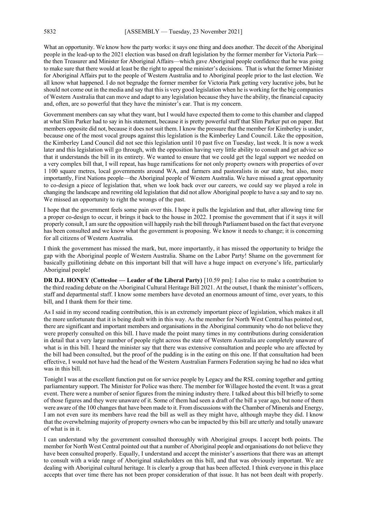What an opportunity. We know how the party works: it says one thing and does another. The deceit of the Aboriginal people in the lead-up to the 2021 election was based on draft legislation by the former member for Victoria Park the then Treasurer and Minister for Aboriginal Affairs—which gave Aboriginal people confidence that he was going to make sure that there would at least be the right to appeal the minister's decisions. That is what the former Minister for Aboriginal Affairs put to the people of Western Australia and to Aboriginal people prior to the last election. We all know what happened. I do not begrudge the former member for Victoria Park getting very lucrative jobs, but he should not come out in the media and say that this is very good legislation when he is working for the big companies of Western Australia that can move and adapt to any legislation because they have the ability, the financial capacity and, often, are so powerful that they have the minister's ear. That is my concern.

Government members can say what they want, but I would have expected them to come to this chamber and clapped at what Slim Parker had to say in his statement, because it is pretty powerful stuff that Slim Parker put on paper. But members opposite did not, because it does not suit them. I know the pressure that the member for Kimberley is under, because one of the most vocal groups against this legislation is the Kimberley Land Council. Like the opposition, the Kimberley Land Council did not see this legislation until 10 past five on Tuesday, last week. It is now a week later and this legislation will go through, with the opposition having very little ability to consult and get advice so that it understands the bill in its entirety. We wanted to ensure that we could get the legal support we needed on a very complex bill that, I will repeat, has huge ramifications for not only property owners with properties of over 1 100 square metres, local governments around WA, and farmers and pastoralists in our state, but also, more importantly, First Nations people—the Aboriginal people of Western Australia. We have missed a great opportunity to co-design a piece of legislation that, when we look back over our careers, we could say we played a role in changing the landscape and rewriting old legislation that did not allow Aboriginal people to have a say and to say no. We missed an opportunity to right the wrongs of the past.

I hope that the government feels some pain over this. I hope it pulls the legislation and that, after allowing time for a proper co-design to occur, it brings it back to the house in 2022. I promise the government that if it says it will properly consult, I am sure the opposition will happily rush the bill through Parliament based on the fact that everyone has been consulted and we know what the government is proposing. We know it needs to change; it is concerning for all citizens of Western Australia.

I think the government has missed the mark, but, more importantly, it has missed the opportunity to bridge the gap with the Aboriginal people of Western Australia. Shame on the Labor Party! Shame on the government for basically guillotining debate on this important bill that will have a huge impact on everyone's life, particularly Aboriginal people!

**DR D.J. HONEY (Cottesloe — Leader of the Liberal Party)** [10.59 pm]: I also rise to make a contribution to the third reading debate on the Aboriginal Cultural Heritage Bill 2021. At the outset, I thank the minister's officers, staff and departmental staff. I know some members have devoted an enormous amount of time, over years, to this bill, and I thank them for their time.

As I said in my second reading contribution, this is an extremely important piece of legislation, which makes it all the more unfortunate that it is being dealt with in this way. As the member for North West Central has pointed out, there are significant and important members and organisations in the Aboriginal community who do not believe they were properly consulted on this bill. I have made the point many times in my contributions during consideration in detail that a very large number of people right across the state of Western Australia are completely unaware of what is in this bill. I heard the minister say that there was extensive consultation and people who are affected by the bill had been consulted, but the proof of the pudding is in the eating on this one. If that consultation had been effective, I would not have had the head of the Western Australian Farmers Federation saying he had no idea what was in this bill.

Tonight I was at the excellent function put on for service people by Legacy and the RSL coming together and getting parliamentary support. The Minister for Police was there. The member for Willagee hosted the event. It was a great event. There were a number of senior figures from the mining industry there. I talked about this bill briefly to some of those figures and they were unaware of it. Some of them had seen a draft of the bill a year ago, but none of them were aware of the 100 changes that have been made to it. From discussions with the Chamber of Minerals and Energy, I am not even sure its members have read the bill as well as they might have, although maybe they did. I know that the overwhelming majority of property owners who can be impacted by this bill are utterly and totally unaware of what is in it.

I can understand why the government consulted thoroughly with Aboriginal groups. I accept both points. The member for North West Central pointed out that a number of Aboriginal people and organisations do not believe they have been consulted properly. Equally, I understand and accept the minister's assertions that there was an attempt to consult with a wide range of Aboriginal stakeholders on this bill, and that was obviously important. We are dealing with Aboriginal cultural heritage. It is clearly a group that has been affected. I think everyone in this place accepts that over time there has not been proper consideration of that issue. It has not been dealt with properly.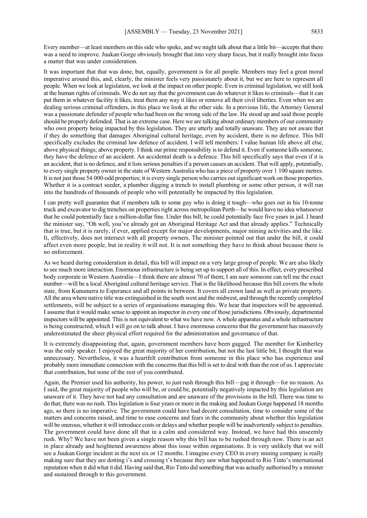Every member—at least members on this side who spoke, and we might talk about that a little bit—accepts that there was a need to improve. Juukan Gorge obviously brought that into very sharp focus, but it really brought into focus a matter that was under consideration.

It was important that that was done, but, equally, government is for all people. Members may feel a great moral imperative around this, and, clearly, the minister feels very passionately about it, but we are here to represent all people. When we look at legislation, we look at the impact on other people. Even in criminal legislation, we still look at the human rights of criminals. We do not say that the government can do whatever it likes to criminals—that it can put them in whatever facility it likes, treat them any way it likes or remove all their civil liberties. Even when we are dealing serious criminal offenders, in this place we look at the other side. In a previous life, the Attorney General was a passionate defender of people who had been on the wrong side of the law. He stood up and said those people should be properly defended. That is an extreme case. Here we are talking about ordinary members of our community who own property being impacted by this legislation. They are utterly and totally unaware. They are not aware that if they do something that damages Aboriginal cultural heritage, even by accident, there is no defence. This bill specifically excludes the criminal law defence of accident. I will tell members: I value human life above all else, above physical things; above property. I think our prime responsibility is to defend it. Even if someone kills someone, they have the defence of an accident. An accidental death is a defence. This bill specifically says that even if it is an accident, that is no defence, and it lists serious penalties if a person causes an accident. That will apply, potentially, to every single property owner in the state of Western Australia who has a piece of property over 1 100 square metres. It is not just those 54 000-odd properties; it is every single person who carries out significant work on those properties. Whether it is a contract seeder, a plumber digging a trench to install plumbing or some other person, it will run into the hundreds of thousands of people who will potentially be impacted by this legislation.

I can pretty well guarantee that if members talk to some guy who is doing it tough—who goes out in his 10-tonne truck and excavator to dig trenches on properties right across metropolitan Perth—he would have no idea whatsoever that he could potentially face a million-dollar fine. Under this bill, he could potentially face five years in jail. I heard the minister say, "Oh well, you've already got an Aboriginal Heritage Act and that already applies." Technically that is true, but it is rarely, if ever, applied except for major developments, major mining activities and the like. It, effectively, does not intersect with all property owners. The minister pointed out that under the bill, it could affect even more people, but in reality it will not. It is not something they have to think about because there is no enforcement.

As we heard during consideration in detail, this bill will impact on a very large group of people. We are also likely to see much more interaction. Enormous infrastructure is being set up to support all of this. In effect, every prescribed body corporate in Western Australia—I think there are almost 70 of them; I am sure someone can tell me the exact number—will be a local Aboriginal cultural heritage service. That is the likelihood because this bill covers the whole state, from Kununurra to Esperance and all points in between. It covers all crown land as well as private property. All the area where native title was extinguished in the south west and the midwest, and through the recently completed settlements, will be subject to a series of organisations managing this. We hear that inspectors will be appointed. I assume that it would make sense to appoint an inspector in every one of those jurisdictions. Obviously, departmental inspectors will be appointed. This is not equivalent to what we have now. A whole apparatus and a whole infrastructure is being constructed, which I will go on to talk about. I have enormous concerns that the government has massively underestimated the sheer physical effort required for the administration and governance of that.

It is extremely disappointing that, again, government members have been gagged. The member for Kimberley was the only speaker. I enjoyed the great majority of her contribution, but not the last little bit; I thought that was unnecessary. Nevertheless, it was a heartfelt contribution from someone in this place who has experience and probably more immediate connection with the concerns that this bill is set to deal with than the rest of us. I appreciate that contribution, but none of the rest of you contributed.

Again, the Premier used his authority, his power, to just rush through this bill—gag it through—for no reason. As I said, the great majority of people who will be, or could be, potentially negatively impacted by this legislation are unaware of it. They have not had any consultation and are unaware of the provisions in the bill. There was time to do that; there was no rush. This legislation is four years or more in the making and Juukan Gorge happened 18 months ago, so there is no imperative. The government could have had decent consultation, time to consider some of the matters and concerns raised, and time to ease concerns and fears in the community about whether this legislation will be onerous, whether it will introduce costs or delays and whether people will be inadvertently subject to penalties. The government could have done all that in a calm and considered way. Instead, we have had this unseemly rush. Why? We have not been given a single reason why this bill has to be rushed through now. There is an act in place already and heightened awareness about this issue within organisations. It is very unlikely that we will see a Juukan Gorge incident in the next six or 12 months. I imagine every CEO in every mining company is really making sure that they are dotting i's and crossing t's because they saw what happened to Rio Tinto's international reputation when it did what it did. Having said that, Rio Tinto did something that was actually authorised by a minister and sustained through to this government.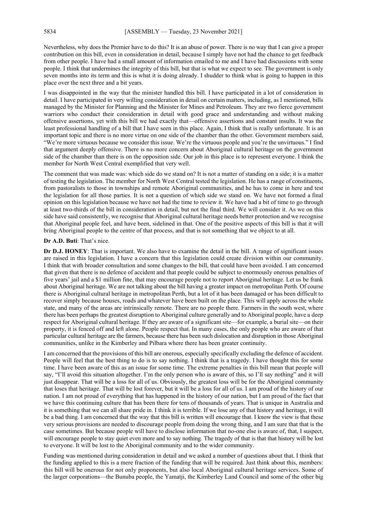Nevertheless, why does the Premier have to do this? It is an abuse of power. There is no way that I can give a proper contribution on this bill, even in consideration in detail, because I simply have not had the chance to get feedback from other people. I have had a small amount of information emailed to me and I have had discussions with some people. I think that undermines the integrity of this bill, but that is what we expect to see. The government is only seven months into its term and this is what it is doing already. I shudder to think what is going to happen in this place over the next three and a bit years.

I was disappointed in the way that the minister handled this bill. I have participated in a lot of consideration in detail. I have participated in very willing consideration in detail on certain matters, including, as I mentioned, bills managed by the Minister for Planning and the Minister for Mines and Petroleum. They are two fierce government warriors who conduct their consideration in detail with good grace and understanding and without making offensive assertions, yet with this bill we had exactly that—offensive assertions and constant insults. It was the least professional handling of a bill that I have seen in this place. Again, I think that is really unfortunate. It is an important topic and there is no more virtue on one side of the chamber than the other. Government members said, "We're more virtuous because we consider this issue. We're the virtuous people and you're the unvirtuous." I find that argument deeply offensive. There is no more concern about Aboriginal cultural heritage on the government side of the chamber than there is on the opposition side. Our job in this place is to represent everyone. I think the member for North West Central exemplified that very well.

The comment that was made was: which side do we stand on? It is not a matter of standing on a side; it is a matter of testing the legislation. The member for North West Central tested the legislation. He has a range of constituents, from pastoralists to those in townships and remote Aboriginal communities, and he has to come in here and test the legislation for all those parties. It is not a question of which side we stand on. We have not formed a final opinion on this legislation because we have not had the time to review it. We have had a bit of time to go through at least two-thirds of the bill in consideration in detail, but not the final third. We will consider it. As we on this side have said consistently, we recognise that Aboriginal cultural heritage needs better protection and we recognise that Aboriginal people feel, and have been, sidelined in that. One of the positive aspects of this bill is that it will bring Aboriginal people to the centre of that process, and that is not something that we object to at all.

#### **Dr A.D. Buti**: That's nice.

**Dr D.J. HONEY**: That is important. We also have to examine the detail in the bill. A range of significant issues are raised in this legislation. I have a concern that this legislation could create division within our community. I think that with broader consultation and some changes to the bill, that could have been avoided. I am concerned that given that there is no defence of accident and that people could be subject to enormously onerous penalties of five years' jail and a \$1 million fine, that may encourage people not to report Aboriginal heritage. Let us be frank about Aboriginal heritage. We are not talking about the bill having a greater impact on metropolitan Perth. Of course there is Aboriginal cultural heritage in metropolitan Perth, but a lot of it has been damaged or has been difficult to recover simply because houses, roads and whatever have been built on the place. This will apply across the whole state, and many of the areas are intrinsically remote. There are no people there. Farmers in the south west, where there has been perhaps the greatest disruption to Aboriginal culture generally and to Aboriginal people, have a deep respect for Aboriginal cultural heritage. If they are aware of a significant site—for example, a burial site—on their property, it is fenced off and left alone. People respect that. In many cases, the only people who are aware of that particular cultural heritage are the farmers, because there has been such dislocation and disruption in those Aboriginal communities, unlike in the Kimberley and Pilbara where there has been greater continuity.

I am concerned that the provisions of this bill are onerous, especially specifically excluding the defence of accident. People will feel that the best thing to do is to say nothing. I think that is a tragedy. I have thought this for some time. I have been aware of this as an issue for some time. The extreme penalties in this bill mean that people will say, "I'll avoid this situation altogether. I'm the only person who is aware of this, so I'll say nothing" and it will just disappear. That will be a loss for all of us. Obviously, the greatest loss will be for the Aboriginal community that loses that heritage. That will be lost forever, but it will be a loss for all of us. I am proud of the history of our nation. I am not proud of everything that has happened in the history of our nation, but I am proud of the fact that we have this continuing culture that has been there for tens of thousands of years. That is unique in Australia and it is something that we can all share pride in. I think it is terrible. If we lose any of that history and heritage, it will be a bad thing. I am concerned that the way that this bill is written will encourage that. I know the view is that these very serious provisions are needed to discourage people from doing the wrong thing, and I am sure that that is the case sometimes. But because people will have to disclose information that no-one else is aware of, that, I suspect, will encourage people to stay quiet even more and to say nothing. The tragedy of that is that that history will be lost to everyone. It will be lost to the Aboriginal community and to the wider community.

Funding was mentioned during consideration in detail and we asked a number of questions about that. I think that the funding applied to this is a mere fraction of the funding that will be required. Just think about this, members: this bill will be onerous for not only proponents, but also local Aboriginal cultural heritage services. Some of the larger corporations—the Bunuba people, the Yamatji, the Kimberley Land Council and some of the other big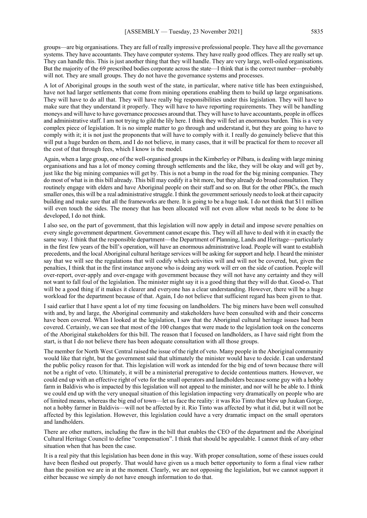groups—are big organisations. They are full of really impressive professional people. They have all the governance systems. They have accountants. They have computer systems. They have really good offices. They are really set up. They can handle this. This is just another thing that they will handle. They are very large, well-oiled organisations. But the majority of the 69 prescribed bodies corporate across the state—I think that is the correct number—probably will not. They are small groups. They do not have the governance systems and processes.

A lot of Aboriginal groups in the south west of the state, in particular, where native title has been extinguished, have not had larger settlements that come from mining operations enabling them to build up large organisations. They will have to do all that. They will have really big responsibilities under this legislation. They will have to make sure that they understand it properly. They will have to have reporting requirements. They will be handling moneys and will have to have governance processes around that. They will have to have accountants, people in offices and administrative staff. I am not trying to gild the lily here. I think they will feel an enormous burden. This is a very complex piece of legislation. It is no simple matter to go through and understand it, but they are going to have to comply with it; it is not just the proponents that will have to comply with it. I really do genuinely believe that this will put a huge burden on them, and I do not believe, in many cases, that it will be practical for them to recover all the cost of that through fees, which I know is the model.

Again, when a large group, one of the well-organised groups in the Kimberley or Pilbara, is dealing with large mining organisations and has a lot of money coming through settlements and the like, they will be okay and will get by, just like the big mining companies will get by. This is not a bump in the road for the big mining companies. They do most of what is in this bill already. This bill may codify it a bit more, but they already do broad consultation. They routinely engage with elders and have Aboriginal people on their staff and so on. But for the other PBCs, the much smaller ones, this will be a real administrative struggle. I think the government seriously needs to look at their capacity building and make sure that all the frameworks are there. It is going to be a huge task. I do not think that \$11 million will even touch the sides. The money that has been allocated will not even allow what needs to be done to be developed, I do not think.

I also see, on the part of government, that this legislation will now apply in detail and impose severe penalties on every single government department. Government cannot escape this. They will all have to deal with it in exactly the same way. I think that the responsible department—the Department of Planning, Lands and Heritage—particularly in the first few years of the bill's operation, will have an enormous administrative load. People will want to establish precedents, and the local Aboriginal cultural heritage services will be asking for support and help. I heard the minister say that we will see the regulations that will codify which activities will and will not be covered, but, given the penalties, I think that in the first instance anyone who is doing any work will err on the side of caution. People will over-report, over-apply and over-engage with government because they will not have any certainty and they will not want to fall foul of the legislation. The minister might say it is a good thing that they will do that. Good-o. That will be a good thing if it makes it clearer and everyone has a clear understanding. However, there will be a huge workload for the department because of that. Again, I do not believe that sufficient regard has been given to that.

I said earlier that I have spent a lot of my time focusing on landholders. The big miners have been well consulted with and, by and large, the Aboriginal community and stakeholders have been consulted with and their concerns have been covered. When I looked at the legislation, I saw that the Aboriginal cultural heritage issues had been covered. Certainly, we can see that most of the 100 changes that were made to the legislation took on the concerns of the Aboriginal stakeholders for this bill. The reason that I focused on landholders, as I have said right from the start, is that I do not believe there has been adequate consultation with all those groups.

The member for North West Central raised the issue of the right of veto. Many people in the Aboriginal community would like that right, but the government said that ultimately the minister would have to decide. I can understand the public policy reason for that. This legislation will work as intended for the big end of town because there will not be a right of veto. Ultimately, it will be a ministerial prerogative to decide contentious matters. However, we could end up with an effective right of veto for the small operators and landholders because some guy with a hobby farm in Baldivis who is impacted by this legislation will not appeal to the minister, and nor will he be able to. I think we could end up with the very unequal situation of this legislation impacting very dramatically on people who are of limited means, whereas the big end of town—let us face the reality: it was Rio Tinto that blew up Juukan Gorge, not a hobby farmer in Baldivis—will not be affected by it. Rio Tinto was affected by what it did, but it will not be affected by this legislation. However, this legislation could have a very dramatic impact on the small operators and landholders.

There are other matters, including the flaw in the bill that enables the CEO of the department and the Aboriginal Cultural Heritage Council to define "compensation". I think that should be appealable. I cannot think of any other situation when that has been the case.

It is a real pity that this legislation has been done in this way. With proper consultation, some of these issues could have been fleshed out properly. That would have given us a much better opportunity to form a final view rather than the position we are in at the moment. Clearly, we are not opposing the legislation, but we cannot support it either because we simply do not have enough information to do that.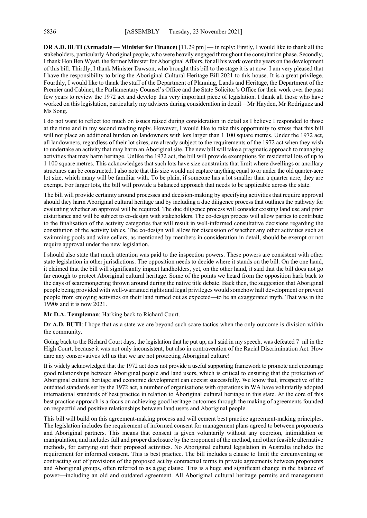**DR A.D. BUTI (Armadale — Minister for Finance)** [11.29 pm] — in reply: Firstly, I would like to thank all the stakeholders, particularly Aboriginal people, who were heavily engaged throughout the consultation phase. Secondly, I thank Hon Ben Wyatt, the former Minister for Aboriginal Affairs, for all his work over the years on the development of this bill. Thirdly, I thank Minister Dawson, who brought this bill to the stage it is at now. I am very pleased that I have the responsibility to bring the Aboriginal Cultural Heritage Bill 2021 to this house. It is a great privilege. Fourthly, I would like to thank the staff of the Department of Planning, Lands and Heritage, the Department of the Premier and Cabinet, the Parliamentary Counsel's Office and the State Solicitor's Office for their work over the past few years to review the 1972 act and develop this very important piece of legislation. I thank all those who have worked on this legislation, particularly my advisers during consideration in detail—Mr Hayden, Mr Rodriguez and Ms Song.

I do not want to reflect too much on issues raised during consideration in detail as I believe I responded to those at the time and in my second reading reply. However, I would like to take this opportunity to stress that this bill will not place an additional burden on landowners with lots larger than 1 100 square metres. Under the 1972 act, all landowners, regardless of their lot sizes, are already subject to the requirements of the 1972 act when they wish to undertake an activity that may harm an Aboriginal site. The new bill will take a pragmatic approach to managing activities that may harm heritage. Unlike the 1972 act, the bill will provide exemptions for residential lots of up to 1 100 square metres. This acknowledges that such lots have size constraints that limit where dwellings or ancillary structures can be constructed. I also note that this size would not capture anything equal to or under the old quarter-acre lot size, which many will be familiar with. To be plain, if someone has a lot smaller than a quarter acre, they are exempt. For larger lots, the bill will provide a balanced approach that needs to be applicable across the state.

The bill will provide certainty around processes and decision-making by specifying activities that require approval should they harm Aboriginal cultural heritage and by including a due diligence process that outlines the pathway for evaluating whether an approval will be required. The due diligence process will consider existing land use and prior disturbance and will be subject to co-design with stakeholders. The co-design process will allow parties to contribute to the finalisation of the activity categories that will result in well-informed consultative decisions regarding the constitution of the activity tables. The co-design will allow for discussion of whether any other activities such as swimming pools and wine cellars, as mentioned by members in consideration in detail, should be exempt or not require approval under the new legislation.

I should also state that much attention was paid to the inspection powers. These powers are consistent with other state legislation in other jurisdictions. The opposition needs to decide where it stands on the bill. On the one hand, it claimed that the bill will significantly impact landholders, yet, on the other hand, it said that the bill does not go far enough to protect Aboriginal cultural heritage. Some of the points we heard from the opposition hark back to the days of scaremongering thrown around during the native title debate. Back then, the suggestion that Aboriginal people being provided with well-warranted rights and legal privileges would somehow halt development or prevent people from enjoying activities on their land turned out as expected—to be an exaggerated myth. That was in the 1990s and it is now 2021.

**Mr D.A. Templeman**: Harking back to Richard Court.

**Dr A.D. BUTI**: I hope that as a state we are beyond such scare tactics when the only outcome is division within the community.

Going back to the Richard Court days, the legislation that he put up, as I said in my speech, was defeated 7–nil in the High Court, because it was not only inconsistent, but also in contravention of the Racial Discrimination Act. How dare any conservatives tell us that we are not protecting Aboriginal culture!

It is widely acknowledged that the 1972 act does not provide a useful supporting framework to promote and encourage good relationships between Aboriginal people and land users, which is critical to ensuring that the protection of Aboriginal cultural heritage and economic development can coexist successfully. We know that, irrespective of the outdated standards set by the 1972 act, a number of organisations with operations in WA have voluntarily adopted international standards of best practice in relation to Aboriginal cultural heritage in this state. At the core of this best practice approach is a focus on achieving good heritage outcomes through the making of agreements founded on respectful and positive relationships between land users and Aboriginal people.

This bill will build on this agreement-making process and will cement best practice agreement-making principles. The legislation includes the requirement of informed consent for management plans agreed to between proponents and Aboriginal partners. This means that consent is given voluntarily without any coercion, intimidation or manipulation, and includes full and proper disclosure by the proponent of the method, and other feasible alternative methods, for carrying out their proposed activities. No Aboriginal cultural legislation in Australia includes the requirement for informed consent. This is best practice. The bill includes a clause to limit the circumventing or contracting out of provisions of the proposed act by contractual terms in private agreements between proponents and Aboriginal groups, often referred to as a gag clause. This is a huge and significant change in the balance of power—including an old and outdated agreement. All Aboriginal cultural heritage permits and management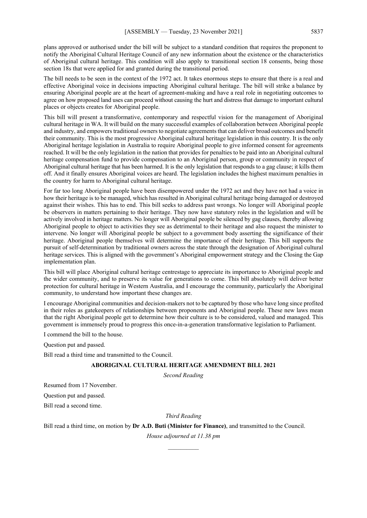plans approved or authorised under the bill will be subject to a standard condition that requires the proponent to notify the Aboriginal Cultural Heritage Council of any new information about the existence or the characteristics of Aboriginal cultural heritage. This condition will also apply to transitional section 18 consents, being those section 18s that were applied for and granted during the transitional period.

The bill needs to be seen in the context of the 1972 act. It takes enormous steps to ensure that there is a real and effective Aboriginal voice in decisions impacting Aboriginal cultural heritage. The bill will strike a balance by ensuring Aboriginal people are at the heart of agreement-making and have a real role in negotiating outcomes to agree on how proposed land uses can proceed without causing the hurt and distress that damage to important cultural places or objects creates for Aboriginal people.

This bill will present a transformative, contemporary and respectful vision for the management of Aboriginal cultural heritage in WA. It will build on the many successful examples of collaboration between Aboriginal people and industry, and empowers traditional owners to negotiate agreements that can deliver broad outcomes and benefit their community. This is the most progressive Aboriginal cultural heritage legislation in this country. It is the only Aboriginal heritage legislation in Australia to require Aboriginal people to give informed consent for agreements reached. It will be the only legislation in the nation that provides for penalties to be paid into an Aboriginal cultural heritage compensation fund to provide compensation to an Aboriginal person, group or community in respect of Aboriginal cultural heritage that has been harmed. It is the only legislation that responds to a gag clause; it kills them off. And it finally ensures Aboriginal voices are heard. The legislation includes the highest maximum penalties in the country for harm to Aboriginal cultural heritage.

For far too long Aboriginal people have been disempowered under the 1972 act and they have not had a voice in how their heritage is to be managed, which has resulted in Aboriginal cultural heritage being damaged or destroyed against their wishes. This has to end. This bill seeks to address past wrongs. No longer will Aboriginal people be observers in matters pertaining to their heritage. They now have statutory roles in the legislation and will be actively involved in heritage matters. No longer will Aboriginal people be silenced by gag clauses, thereby allowing Aboriginal people to object to activities they see as detrimental to their heritage and also request the minister to intervene. No longer will Aboriginal people be subject to a government body asserting the significance of their heritage. Aboriginal people themselves will determine the importance of their heritage. This bill supports the pursuit of self-determination by traditional owners across the state through the designation of Aboriginal cultural heritage services. This is aligned with the government's Aboriginal empowerment strategy and the Closing the Gap implementation plan.

This bill will place Aboriginal cultural heritage centrestage to appreciate its importance to Aboriginal people and the wider community, and to preserve its value for generations to come. This bill absolutely will deliver better protection for cultural heritage in Western Australia, and I encourage the community, particularly the Aboriginal community, to understand how important these changes are.

I encourage Aboriginal communities and decision-makers not to be captured by those who have long since profited in their roles as gatekeepers of relationships between proponents and Aboriginal people. These new laws mean that the right Aboriginal people get to determine how their culture is to be considered, valued and managed. This government is immensely proud to progress this once-in-a-generation transformative legislation to Parliament.

I commend the bill to the house.

Question put and passed.

Bill read a third time and transmitted to the Council.

### **ABORIGINAL CULTURAL HERITAGE AMENDMENT BILL 2021**

*Second Reading*

Resumed from 17 November.

Question put and passed.

Bill read a second time.

### *Third Reading*

Bill read a third time, on motion by **Dr A.D. Buti (Minister for Finance)**, and transmitted to the Council.

*House adjourned at 11.38 pm \_\_\_\_\_\_\_\_\_\_*